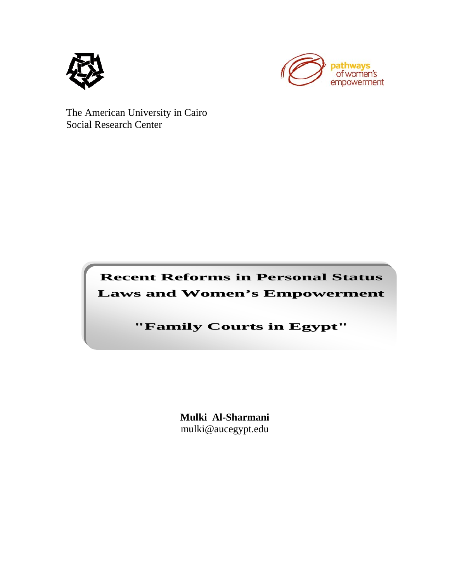



The American University in Cairo Social Research Center

> **Recent Reforms in Personal Status Laws and Women's Empowerment**

> > **"Family Courts in Egypt"**

**Mulki Al-Sharmani** mulki@aucegypt.edu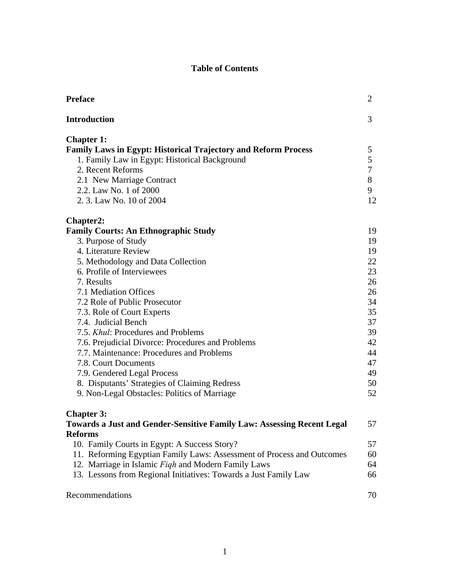## **Table of Contents**

| <b>Preface</b>                                                         | 2              |
|------------------------------------------------------------------------|----------------|
| <b>Introduction</b>                                                    | 3              |
| <b>Chapter 1:</b>                                                      |                |
| <b>Family Laws in Egypt: Historical Trajectory and Reform Process</b>  | 5              |
| 1. Family Law in Egypt: Historical Background                          | 5              |
| 2. Recent Reforms                                                      | $\overline{7}$ |
| 2.1 New Marriage Contract                                              | 8              |
| 2.2. Law No. 1 of 2000                                                 | 9              |
| 2. 3. Law No. 10 of 2004                                               | 12             |
| <b>Chapter2:</b>                                                       |                |
| <b>Family Courts: An Ethnographic Study</b>                            | 19             |
| 3. Purpose of Study                                                    | 19             |
| 4. Literature Review                                                   | 19             |
| 5. Methodology and Data Collection                                     | 22             |
| 6. Profile of Interviewees                                             | 23             |
| 7. Results                                                             | 26             |
| 7.1 Mediation Offices                                                  | 26             |
| 7.2 Role of Public Prosecutor                                          | 34             |
| 7.3. Role of Court Experts                                             | 35             |
| 7.4. Judicial Bench                                                    | 37             |
| 7.5. <i>Khul</i> : Procedures and Problems                             | 39             |
| 7.6. Prejudicial Divorce: Procedures and Problems                      | 42             |
| 7.7. Maintenance: Procedures and Problems                              | 44             |
| 7.8. Court Documents                                                   | 47             |
| 7.9. Gendered Legal Process                                            | 49             |
| 8. Disputants' Strategies of Claiming Redress                          | 50             |
| 9. Non-Legal Obstacles: Politics of Marriage                           | 52             |
| <b>Chapter 3:</b>                                                      |                |
| Towards a Just and Gender-Sensitive Family Law: Assessing Recent Legal | 57             |
| <b>Reforms</b>                                                         |                |
| 10. Family Courts in Egypt: A Success Story?                           | 57             |
| 11. Reforming Egyptian Family Laws: Assessment of Process and Outcomes | 60             |
| 12. Marriage in Islamic Figh and Modern Family Laws                    | 64             |
| 13. Lessons from Regional Initiatives: Towards a Just Family Law       | 66             |
| Recommendations                                                        | 70             |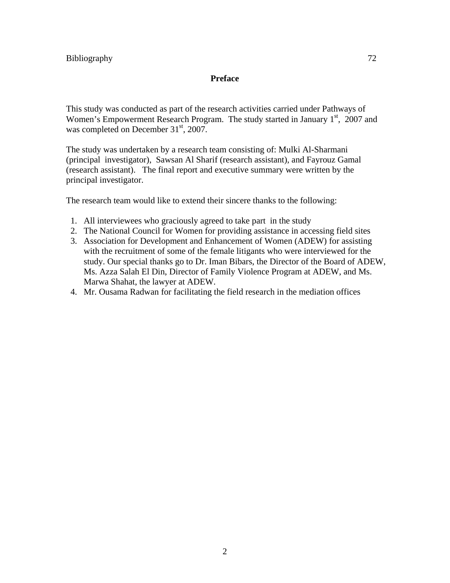#### **Preface**

This study was conducted as part of the research activities carried under Pathways of Women's Empowerment Research Program. The study started in January  $1<sup>st</sup>$ , 2007 and was completed on December  $31<sup>st</sup>$ , 2007.

The study was undertaken by a research team consisting of: Mulki Al-Sharmani (principal investigator), Sawsan Al Sharif (research assistant), and Fayrouz Gamal (research assistant). The final report and executive summary were written by the principal investigator.

The research team would like to extend their sincere thanks to the following:

- 1. All interviewees who graciously agreed to take part in the study
- 2. The National Council for Women for providing assistance in accessing field sites
- 3. Association for Development and Enhancement of Women (ADEW) for assisting with the recruitment of some of the female litigants who were interviewed for the study. Our special thanks go to Dr. Iman Bibars, the Director of the Board of ADEW, Ms. Azza Salah El Din, Director of Family Violence Program at ADEW, and Ms. Marwa Shahat, the lawyer at ADEW.
- 4. Mr. Ousama Radwan for facilitating the field research in the mediation offices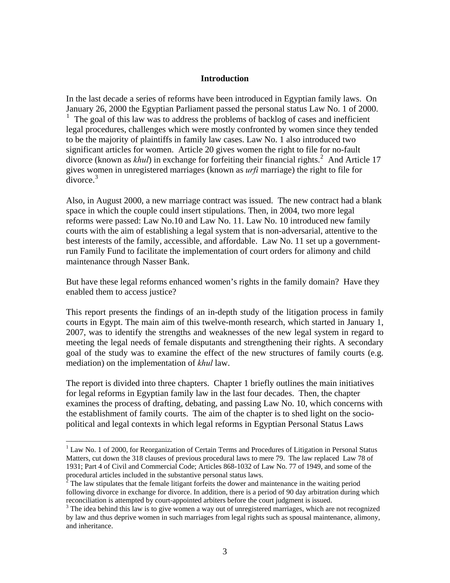#### **Introduction**

In the last decade a series of reforms have been introduced in Egyptian family laws. On January 26, 2000 the Egyptian Parliament passed the personal status Law No. 1 of 2000. <sup>[1](#page-3-0)</sup> The goal of this law was to address the problems of backlog of cases and inefficient legal procedures, challenges which were mostly confronted by women since they tended to be the majority of plaintiffs in family law cases. Law No. 1 also introduced two significant articles for women. Article 20 gives women the right to file for no-fault divorce (known as *khul*) in exchange for forfeiting their financial rights.<sup>[2](#page-3-1)</sup> And Article 17 gives women in unregistered marriages (known as *urfi* marriage) the right to fi le for  $divorce.<sup>3</sup>$ 

Also, in August 2000, a new marriage contract was issued. The new contract had a blank best interests of the family, accessible, and affordable. Law No. 11 set up a governmentrun Family Fund to facilitate the implementation of court orders for alimony and child maintenance through Nasser Bank. space in which the couple could insert stipulations. Then, in 2004, two more legal reforms were passed: Law No.10 and Law No. 11. Law No. 10 introduced new family courts with the aim of establishing a legal system that is non-adversarial, attentive to the

But have these legal reforms enhanced women's rights in the family domain? Have they enabled them to access justice?

goal of the study was to examine the effect of the new structures of family courts (e.g. mediation) on the implementation of *khul* law. This report presents the findings of an in-depth study of the litigation process in family courts in Egypt. The main aim of this twelve-month research, which started in January 1, 2007, was to identify the strengths and weaknesses of the new legal system in regard to meeting the legal needs of female disputants and strengthening their rights. A secondary

The report is divided into three chapters. Chapter 1 briefly outlines the main initiatives examines the process of drafting, debating, and passing Law No. 10, which concerns with the establishment of family courts. The aim of the chapter is to shed light on the sociopolitical and legal contexts in which legal reforms in Egyptian Personal Status Laws for legal reforms in Egyptian family law in the last four decades. Then, the chapter

1

<span id="page-3-0"></span><sup>&</sup>lt;sup>1</sup> Law No. 1 of 2000, for Reorganization of Certain Terms and Procedures of Litigation in Personal Status Matters, cut down the 318 clauses of previous procedural laws to mere 79. The law replaced Law 78 of 1931; Part 4 of Civil and Commercial Code; Articles 868-1032 of Law No. 77 of 1949, and some of the procedural articles included in the substantive personal status laws. 2

<span id="page-3-1"></span> $<sup>2</sup>$  The law stipulates that the female litigant forfeits the dower and maintenance in the waiting period</sup> following divorce in exchange for divorce. In addition, there is a period of 90 day arbitration during which reconciliation is attempted by court-appointed arbiters before the court judgment is issued.

<sup>&</sup>lt;sup>3</sup> The idea behind this law is to give women a way out of unregistered marriages, which are not recognized by law and thus deprive women in such marriages from legal rights such as spousal maintenance, alimony, and inheritance.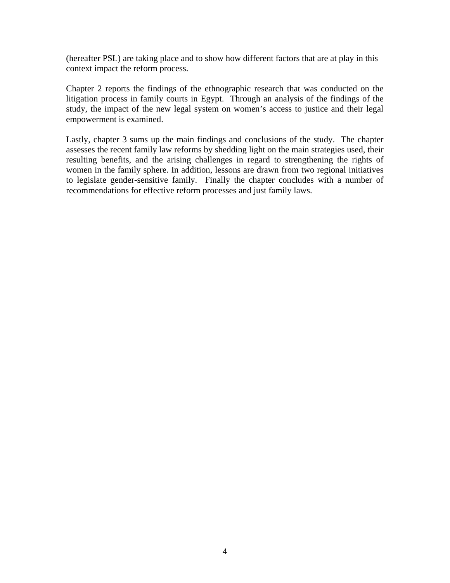(hereafter PSL) are taking place and to show how different factors that are at play in this context impact the reform process.

Chapter 2 reports the findings of the ethnographic research that was conducted on the litigation process in family courts in Egypt. Through an analysis of the findings of the study, the impact of the new legal system on women's access to justice and their legal empowerment is examined.

Lastly, chapter 3 sums up the main findings and conclusions of the study. The chapter assesses the recent family law reforms by shedding light on the main strategies used, their resulting benefits, and the arising challenges in regard to strengthening the rights of women in the family sphere. In addition, lessons are drawn from two regional initiatives to legislate gender-sensitive family. Finally the chapter concludes with a number of recommendations for effective reform processes and just family laws.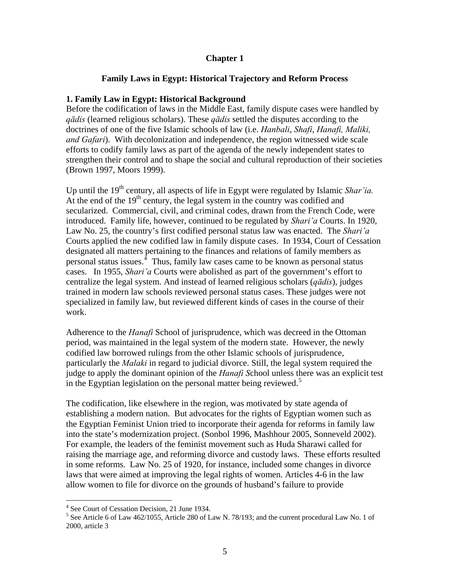#### **Chapter 1**

#### **Family Laws in Egypt: Historical Trajectory and Reform Process**

#### **1. Family Law in Egypt: Historical Background**

Before the codification of laws in the Middle East, family dispute cases were handled by *qādis* (learned religious scholars). These *qādis* settled the disputes according to the doctrines of one of the five Islamic schools of law (i.e. *Hanbali*, *Shafi*, *Hanafi, Maliki, and Gafari*). With decolonization and independence, the region witnessed wide scale efforts to codify family laws as part of the agenda of the newly independent states to strengthen their control and to shape the social and cultural reproduction of their societies (Brown 1997, Moors 1999).

Up until the 19<sup>th</sup> century, all aspects of life in Egypt were regulated by Islamic *Shar'ia*. At the end of the  $19<sup>th</sup>$  century, the legal system in the country was codified and secularized. Commercial, civil, and criminal codes, drawn from the French Code, were introduced. Family life, however, continued to be regulated by *Shari'a* Courts. In 1920, Law No. 25, the country's first codified personal status law was enacted. The *Shari'a*  Courts applied the new codified law in family dispute cases. In 1934, Court of Cessation designated all matters pertaining to the finances and relations of family members as personal status issues. $4$  Thus, family law cases came to be known as personal status cases. In 1955, *Shari'a* Courts were abolished as part of the government's effort to centralize the legal system. And instead of learned religious scholars (*qādis*), judges trained in modern law schools reviewed personal status cases. These judges were not specialized in family law, but reviewed different kinds of cases in the course of their work.

period, was maintained in the legal system of the modern state. However, the newly judge to apply the dominant opinion of the *Hanafi School unless there was an explicit test* in the Egyptian legislation on the personal matter being reviewed.<sup>5</sup> Adherence to the *Hanafi* School of jurisprudence, which was decreed in the Ottoman codified law borrowed rulings from the other Islamic schools of jurisprudence, particularly the *Malaki* in regard to judicial divorce. Still, the legal system required the

into the state's modernization project. (Sonbol 1996, Mashhour 2005, Sonneveld 2002). raising the marriage age, and reforming divorce and custody laws. These efforts resulted laws that were aimed at improving the legal rights of women. Articles 4-6 in the law The codification, like elsewhere in the region, was motivated by state agenda of establishing a modern nation. But advocates for the rights of Egyptian women such as the Egyptian Feminist Union tried to incorporate their agenda for reforms in family law For example, the leaders of the feminist movement such as Huda Sharawi called for in some reforms. Law No. 25 of 1920, for instance, included some changes in divorce allow women to file for divorce on the grounds of husband's failure to provide

1

<sup>4</sup> See Court of Cessation Decision, 21 June 1934.

<span id="page-5-0"></span><sup>&</sup>lt;sup>5</sup> See Article 6 of Law 462/1055, Article 280 of Law N. 78/193; and the current procedural Law No. 1 of 2000, article 3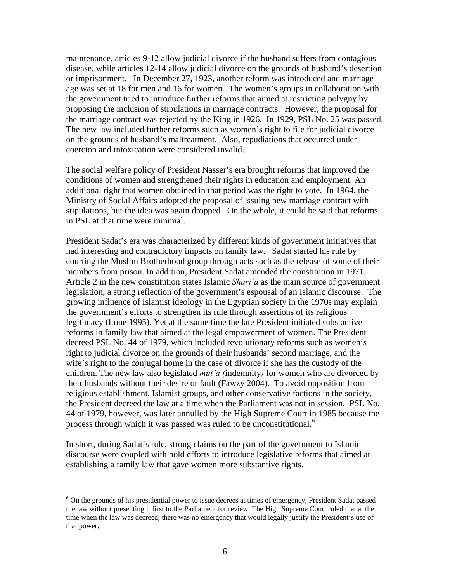maintenance, articles 9-12 allow judicial divorce if the husband suffers from contagious disease, while articles 12-14 allow judicial divorce on the grounds of husband's desertio n or imprisonment. In December 27, 1923, another reform was introduced and marriage age was set at 18 for men and 16 for women. The women's groups in collaboration wi th the government tried to introduce further reforms that aimed at restricting polygny by proposing the inclusion of stipulations in marriage contracts. However, the proposal for the marriage contract was rejected by the King in 1926. In 1929, PSL No. 25 was passed . The new law included further reforms such as women's right to file for judicial divorce on the grounds of husband's maltreatment. Also, rep udiations that occurred under oercion and intoxication were considered invalid. c

stipulations, but the idea was again dropped. On the whole, it could be said that reforms in PSL at that time were minimal. The social welfare policy of President Nasser's era brought reforms that improved the conditions of women and strengthened their rights in education and employment. An additional right that women obtained in that period was the right to vote. In 1964, the Ministry of Social Affairs adopted the proposal of issuing new marriage contract with

President Sadat's era was characterized by different kinds of government initiatives that courting the Muslim Brotherhood group through acts such as the release of some of their growing influence of Islamist ideology in the Egyptian society in the 1970s may explain decreed PSL No. 44 of 1979, which included revolutionary reforms such as women's children. The new law also legislated *mut'a (*indemnity) for women who are divorced by 44 of 1979, however, was later annulled by the High Supreme Court in 1985 because the process through which it was passed was ruled to be unconstitutional.<sup>6</sup> had interesting and contradictory impacts on family law. Sadat started his rule by members from prison. In addition, President Sadat amended the constitution in 1971. Article 2 in the new constitution states Islamic *Shari'a* as the main source of government legislation, a strong reflection of the government's espousal of an Islamic discourse. The the government's efforts to strengthen its rule through assertions of its religious legitimacy (Lone 1995). Yet at the same time the late President initiated substantive reforms in family law that aimed at the legal empowerment of women. The President right to judicial divorce on the grounds of their husbands' second marriage, and the wife's right to the conjugal home in the case of divorce if she has the custody of the their husbands without their desire or fault (Fawzy 2004). To avoid opposition from religious establishment, Islamist groups, and other conservative factions in the society, the President decreed the law at a time when the Parliament was not in session. PSL No.

discourse were coupled with bold efforts to introduce legislative reforms that aimed at establishing a family law that gave women more substantive rights. In short, during Sadat's rule, strong claims on the part of the government to Islamic

<u>.</u>

<sup>&</sup>lt;sup>6</sup> On the grounds of his presidential power to issue decrees at times of emergency, President Sadat passed the law without presenting it first to the Parliament for review. The High Supreme Court ruled that at the time when the law was decreed, there was no emergency that would legally justify the President's use of that power.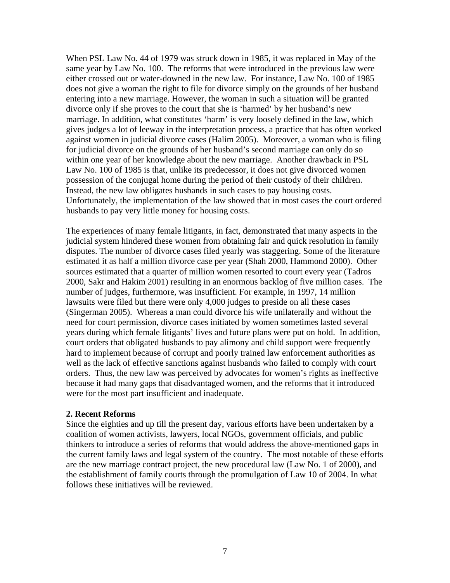When PSL Law No. 44 of 1979 was struck down in 1985, it was replaced in May of the same year by Law No. 100. The reforms that were introduced in the previous law were either crossed out or water-downed in the new law. For instance, Law No. 100 of 1985 does not give a woman the right to file for divorce simply on the grounds of her husband entering into a new marriage. However, the woman in such a situation will be granted divorce only if she proves to the court that she is 'harmed' by her husband's new marriage. In addition, what constitutes 'harm' is very loosely defined in the law, which gives judges a lot of leeway in the interpretation process, a practice that has often worked against women in judicial divorce cases (Halim 2005). Moreover, a woman who is filing for judicial divorce on the grounds of her husband's second marriage can only do so within one year of her knowledge about the new marriage. Another drawback in PSL Law No. 100 of 1985 is that, unlike its predecessor, it does not give divorced women possession of the conjugal home during the period of their custody of their children. Instead, the new law obligates husbands in such cases to pay housing costs. Unfortunately, the implementation of the law showed that in most cases the court ordered husbands to pay very little money for housing costs.

The experiences of many female litigants, in fact, demonstrated that many aspects in the judicial system hindered these women from obtaining fair and quick resolution in family disputes. The number of divorce cases filed yearly was staggering. Some of the literature estimated it as half a million divorce case per year (Shah 2000, Hammond 2000). Other sources estimated that a quarter of million women resorted to court every year (Tadros 2000, Sakr and Hakim 2001) resulting in an enormous backlog of five million cases. The number of judges, furthermore, was insufficient. For example, in 1997, 14 million lawsuits were filed but there were only 4,000 judges to preside on all these cases (Singerman 2005). Whereas a man could divorce his wife unilaterally and without the need for court permission, divorce cases initiated by women sometimes lasted several years during which female litigants' lives and future plans were put on hold. In addition, court orders that obligated husbands to pay alimony and child support were frequently hard to implement because of corrupt and poorly trained law enforcement authorities as well as the lack of effective sanctions against husbands who failed to comply with court orders. Thus, the new law was perceived by advocates for women's rights as ineffective because it had many gaps that disadvantaged women, and the reforms that it introduced were for the most part insufficient and inadequate.

#### **2. Recent Reforms**

Since the eighties and up till the present day, various efforts have been undertaken by a coalition of women activists, lawyers, local NGOs, government officials, and public thinkers to introduce a series of reforms that would address the above-mentioned gaps in the current family laws and legal system of the country. The most notable of these efforts are the new marriage contract project, the new procedural law (Law No. 1 of 2000), and the establishment of family courts through the promulgation of Law 10 of 2004. In what follows these initiatives will be reviewed.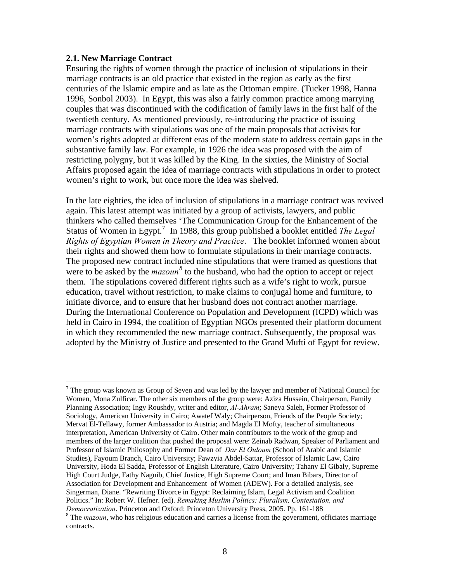#### **2.1. New Marriage Contract**

 $\overline{a}$ 

Ensuring the rights of women through the practice of inclusion of stipulations in their marriage contracts is an old practice that existed in the region as early as the first centuries of the Islamic empire and as late as the Ottoman empire. (Tucker 1998, Hanna 1996, Sonbol 2003). In Egypt, this was also a fairly common practice among marrying couples that was discontinued with the codification of family laws in the first half of the twentieth century. As mentioned previously, re-introducing the practice of issuing marriage contracts with stipulations was one of the main proposals that activists for women's rights adopted at different eras of the modern state to address certain gaps in the substantive family law. For example, in 1926 the idea was proposed with the aim of restricting polygny, but it was killed by the King. In the sixties, the Ministry of Social Affairs proposed again the idea of marriage contracts with stipulations in order to protect women's right to work, but once more the idea was shelved.

In the late eighties, the idea of inclusion of stipulations in a marriage contract was revived again. This latest attempt was initiated by a group of activists, lawyers, and public thinkers who called themselves 'The Communication Group for the Enhancement of the Status of Women in Egypt.<sup>[7](#page-8-0)</sup> In 1988, this group published a booklet entitled *The Legal Rights of Egyptian Women in Theory and Practice*. The booklet informed women about their rights and showed them how to formulate stipulations in their marriage contracts. The proposed new contract included nine stipulations that were framed as questions that were to be asked by the  $maxoun^8$  $maxoun^8$  to the husband, who had the option to accept or reject them. The stipulations covered different rights such as a wife's right to work, pursue education, travel without restriction, to make claims to conjugal home and furniture, to initiate divorce, and to ensure that her husband does not contract another marriage. During the International Conference on Population and Development (ICPD) which was held in Cairo in 1994, the coalition of Egyptian NGOs presented their platform document in which they recommended the new marriage contract. Subsequently, the proposal was adopted by the Ministry of Justice and presented to the Grand Mufti of Egypt for review.

<span id="page-8-0"></span> $7$  The group was known as Group of Seven and was led by the lawyer and member of National Council for Women, Mona Zulficar. The other six members of the group were: Aziza Hussein, Chairperson, Family Planning Association; Ingy Roushdy, writer and editor, *Al-Ahram*; Saneya Saleh, Former Professor of Sociology, American University in Cairo; Awatef Waly; Chairperson, Friends of the People Society; Mervat El-Tellawy, former Ambassador to Austria; and Magda El Mofty, teacher of simultaneous interpretation, American University of Cairo. Other main contributors to the work of the group and members of the larger coalition that pushed the proposal were: Zeinab Radwan, Speaker of Parliament and Professor of Islamic Philosophy and Former Dean of *Dar El Ouloum* (School of Arabic and Islamic Studies), Fayoum Branch, Cairo University; Fawzyia Abdel-Sattar, Professor of Islamic Law, Cairo University, Hoda El Sadda, Professor of English Literature, Cairo University; Tahany El Gibaly, Supreme High Court Judge, Fathy Naguib, Chief Justice, High Supreme Court; and Iman Bibars, Director of Association for Development and Enhancement of Women (ADEW). For a detailed analysis, see Singerman, Diane. "Rewriting Divorce in Egypt: Reclaiming Islam, Legal Activism and Coalition Politics." In: Robert W. Hefner. (ed). *Remaking Muslim Politics: Pluralism, Contestation, and Democratization*. Princeton and Oxford: Princeton University Press, 2005. Pp. 161-188 8

<span id="page-8-1"></span><sup>&</sup>lt;sup>8</sup> The *mazoun*, who has religious education and carries a license from the government, officiates marriage contracts.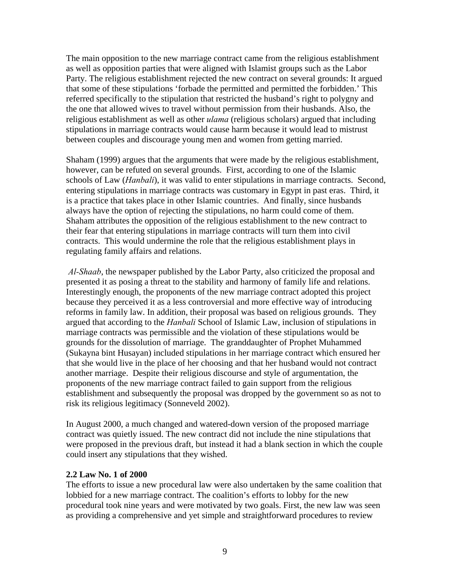The main opposition to the new marriage contract came from the religious establishment as well as opposition parties that were aligned with Islamist groups such as the Labor Party. The religious establishment rejected the new contract on several grounds: It argued that some of these stipulations 'forbade the permitted and permitted the forbidden.' This referred specifically to the stipulation that restricted the husband's right to polygny and the one that allowed wives to travel without permission from their husbands. Also, the religious establishment as well as other *ulama* (religious scholars) argued that including stipulations in marriage contracts would cause harm because it would lead to mistrust between couples and discourage young men and women from getting married.

Shaham (1999) argues that the arguments that were made by the religious establishment, however, can be refuted on several grounds. First, according to one of the Islamic schools of Law (*Hanbali*), it was valid to enter stipulations in marriage contracts. Second, entering stipulations in marriage contracts was customary in Egypt in past eras. Third, it is a practice that takes place in other Islamic countries. And finally, since husbands always have the option of rejecting the stipulations, no harm could come of them. Shaham attributes the opposition of the religious establishment to the new contract to their fear that entering stipulations in marriage contracts will turn them into civil contracts. This would undermine the role that the religious establishment plays in regulating family affairs and relations.

 *Al-Shaab*, the newspaper published by the Labor Party, also criticized the proposal and presented it as posing a threat to the stability and harmony of family life and relations. Interestingly enough, the proponents of the new marriage contract adopted this project because they perceived it as a less controversial and more effective way of introducing reforms in family law. In addition, their proposal was based on religious grounds. They argued that according to the *Hanbali* School of Islamic Law, inclusion of stipulations in marriage contracts was permissible and the violation of these stipulations would be grounds for the dissolution of marriage. The granddaughter of Prophet Muhammed (Sukayna bint Husayan) included stipulations in her marriage contract which ensured her that she would live in the place of her choosing and that her husband would not contract another marriage. Despite their religious discourse and style of argumentation, the proponents of the new marriage contract failed to gain support from the religious establishment and subsequently the proposal was dropped by the government so as not to risk its religious legitimacy (Sonneveld 2002).

In August 2000, a much changed and watered-down version of the proposed marriage contract was quietly issued. The new contract did not include the nine stipulations that were proposed in the previous draft, but instead it had a blank section in which the couple could insert any stipulations that they wished.

#### **2.2 Law No. 1 of 2000**

The efforts to issue a new procedural law were also undertaken by the same coalition that lobbied for a new marriage contract. The coalition's efforts to lobby for the new procedural took nine years and were motivated by two goals. First, the new law was seen as providing a comprehensive and yet simple and straightforward procedures to review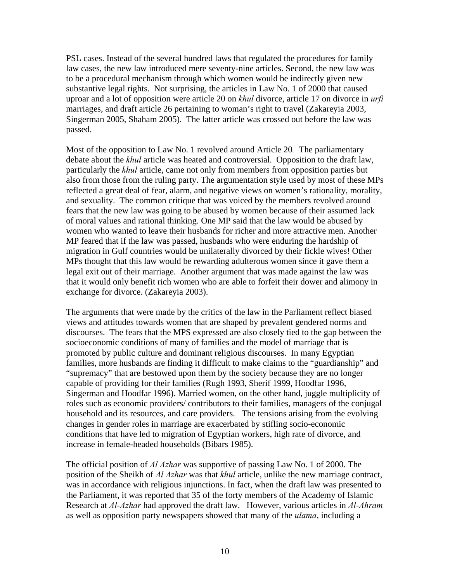PSL cases. Instead of the several hundred laws that regulated the procedures for family law cases, the new law introduced mere seventy-nine articles. Second, the new law was to be a procedural mechanism through which women would be indirectly given new substantive legal rights. Not surprising, the articles in Law No. 1 of 2000 that caused uproar and a lot of opposition were article 20 on *khul* divorce, article 17 on divorce in *urfi* marriages, and draft article 26 pertaining to woman's right to travel (Zakareyia 2003, Singerman 2005, Shaham 2005). The latter article was crossed out before the law was passed.

Most of the opposition to Law No. 1 revolved around Article 20*.* The parliamentary debate about the *khul* article was heated and controversial. Opposition to the draft law, particularly the *khul* article, came not only from members from opposition parties but also from those from the ruling party. The argumentation style used by most of these MPs reflected a great deal of fear, alarm, and negative views on women's rationality, morality, and sexuality. The common critique that was voiced by the members revolved around fears that the new law was going to be abused by women because of their assumed lack of moral values and rational thinking. One MP said that the law would be abused by women who wanted to leave their husbands for richer and more attractive men. Another MP feared that if the law was passed, husbands who were enduring the hardship of migration in Gulf countries would be unilaterally divorced by their fickle wives! Other MPs thought that this law would be rewarding adulterous women since it gave them a legal exit out of their marriage. Another argument that was made against the law was that it would only benefit rich women who are able to forfeit their dower and alimony in exchange for divorce. (Zakareyia 2003).

The arguments that were made by the critics of the law in the Parliament reflect biased views and attitudes towards women that are shaped by prevalent gendered norms and discourses. The fears that the MPS expressed are also closely tied to the gap between the socioeconomic conditions of many of families and the model of marriage that is promoted by public culture and dominant religious discourses. In many Egyptian families, more husbands are finding it difficult to make claims to the "guardianship" and "supremacy" that are bestowed upon them by the society because they are no longer capable of providing for their families (Rugh 1993, Sherif 1999, Hoodfar 1996, Singerman and Hoodfar 1996). Married women, on the other hand, juggle multiplicity of roles such as economic providers/ contributors to their families, managers of the conjugal household and its resources, and care providers. The tensions arising from the evolving changes in gender roles in marriage are exacerbated by stifling socio-economic conditions that have led to migration of Egyptian workers, high rate of divorce, and increase in female-headed households (Bibars 1985).

The official position of *Al Azhar* was supportive of passing Law No. 1 of 2000. The position of the Sheikh of *Al Azhar* was that *khul* article, unlike the new marriage contract, was in accordance with religious injunctions. In fact, when the draft law was presented to the Parliament, it was reported that 35 of the forty members of the Academy of Islamic Research at *Al-Azhar* had approved the draft law. However, various articles in *Al-Ahram* as well as opposition party newspapers showed that many of the *ulama*, including a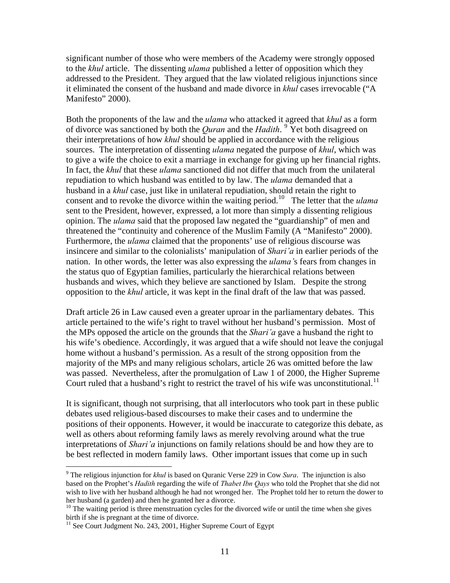significant number of those who were members of the Academy were strongly opposed to the *khul* article. The dissenting *ulama* published a letter of opposition which they addressed to the President. They argued that the law violated religious injunctions since it eliminated the consent of the husband and made divorce in *khul* cases irrevocable ("A Manifesto" 2000).

Both the proponents of the law and the *ulama* who attacked it agreed that *khul* as a form of divorce was sanctioned by both the *Quran* and the *Hadith*.<sup>[9](#page-11-0)</sup> Yet both disagreed on their interpretations of how *khul* should be applied in accordance with the religious sources. The interpretation of dissenting *ulama* negated the purpose of *khul*, which was to give a wife the choice to exit a marriage in exchange for giving up her financial rights. In fact, the *khul* that these *ulama* sanctioned did not differ that much from the unilateral repudiation to which husband was entitled to by law. The *ulama* demanded that a husband in a *khul* case, just like in unilateral repudiation, should retain the right to consent and to revoke the divorce within the waiting period.<sup>[10](#page-11-1)</sup> The letter that the *ulama* sent to the President, however, expressed, a lot more than simply a dissenting religious opinion. The *ulama* said that the proposed law negated the "guardianship" of men and threatened the "continuity and coherence of the Muslim Family (A "Manifesto" 2000). Furthermore, the *ulama* claimed that the proponents' use of religious discourse was insincere and similar to the colonialists' manipulation of *Shari'a* in earlier periods of the nation. In other words, the letter was also expressing the *ulama'*s fears from changes in the status quo of Egyptian families, particularly the hierarchical relations between husbands and wives, which they believe are sanctioned by Islam. Despite the strong opposition to the *khul* article, it was kept in the final draft of the law that was passed.

Draft article 26 in Law caused even a greater uproar in the parliamentary debates. This article pertained to the wife's right to travel without her husband's permission. Most of the MPs opposed the article on the grounds that the *Shari'a* gave a husband the right to his wife's obedience. Accordingly, it was argued that a wife should not leave the conjugal home without a husband's permission. As a result of the strong opposition from the majority of the MPs and many religious scholars, article 26 was omitted before the law was passed. Nevertheless, after the promulgation of Law 1 of 2000, the Higher Supreme Court ruled that a husband's right to restrict the travel of his wife was unconstitutional.<sup>[11](#page-11-2)</sup>

It is significant, though not surprising, that all interlocutors who took part in these public debates used religious-based discourses to make their cases and to undermine the positions of their opponents. However, it would be inaccurate to categorize this debate, as well as others about reforming family laws as merely revolving around what the true interpretations of *Shari'a* injunctions on family relations should be and how they are to be best reflected in modern family laws. Other important issues that come up in such

<span id="page-11-0"></span><sup>9</sup> The religious injunction for *khul* is based on Quranic Verse 229 in Cow *Sura*. The injunction is also based on the Prophet's *Hadith* regarding the wife of *Thabet Ibn Qays* who told the Prophet that she did not wish to live with her husband although he had not wronged her. The Prophet told her to return the dower to her husband (a garden) and then he granted her a divorce.

<span id="page-11-1"></span><sup>&</sup>lt;sup>10</sup> The waiting period is three menstruation cycles for the divorced wife or until the time when she gives birth if she is pregnant at the time of divorce.

<span id="page-11-2"></span><sup>&</sup>lt;sup>11</sup> See Court Judgment No. 243, 2001, Higher Supreme Court of Egypt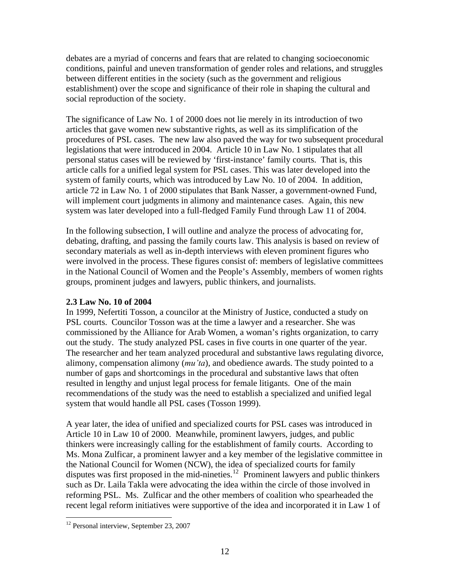debates are a myriad of concerns and fears that are related to changing socioeconomic conditions, painful and uneven transformation of gender roles and relations, and struggles between different entities in the society (such as the government and religious establishment) over the scope and significance of their role in shaping the cultural and social reproduction of the society.

The significance of Law No. 1 of 2000 does not lie merely in its introduction of two articles that gave women new substantive rights, as well as its simplification of the procedures of PSL cases. The new law also paved the way for two subsequent procedural legislations that were introduced in 2004. Article 10 in Law No. 1 stipulates that all personal status cases will be reviewed by 'first-instance' family courts. That is, this article calls for a unified legal system for PSL cases. This was later developed into the system of family courts, which was introduced by Law No. 10 of 2004. In addition, article 72 in Law No. 1 of 2000 stipulates that Bank Nasser, a government-owned Fund, will implement court judgments in alimony and maintenance cases. Again, this new system was later developed into a full-fledged Family Fund through Law 11 of 2004.

In the following subsection, I will outline and analyze the process of advocating for, debating, drafting, and passing the family courts law. This analysis is based on review of secondary materials as well as in-depth interviews with eleven prominent figures who were involved in the process. These figures consist of: members of legislative committees in the National Council of Women and the People's Assembly, members of women rights groups, prominent judges and lawyers, public thinkers, and journalists.

## **2.3 Law No. 10 of 2004**

In 1999, Nefertiti Tosson, a councilor at the Ministry of Justice, conducted a study on PSL courts. Councilor Tosson was at the time a lawyer and a researcher. She was commissioned by the Alliance for Arab Women, a woman's rights organization, to carry out the study. The study analyzed PSL cases in five courts in one quarter of the year. The researcher and her team analyzed procedural and substantive laws regulating divorce, alimony, compensation alimony (*mu'ta*), and obedience awards. The study pointed to a number of gaps and shortcomings in the procedural and substantive laws that often resulted in lengthy and unjust legal process for female litigants. One of the main recommendations of the study was the need to establish a specialized and unified legal system that would handle all PSL cases (Tosson 1999).

A year later, the idea of unified and specialized courts for PSL cases was introduced in Article 10 in Law 10 of 2000. Meanwhile, prominent lawyers, judges, and public thinkers were increasingly calling for the establishment of family courts. According to Ms. Mona Zulficar, a prominent lawyer and a key member of the legislative committee in the National Council for Women (NCW), the idea of specialized courts for family disputes was first proposed in the mid-nineties.<sup>[12](#page-12-0)</sup> Prominent lawyers and public thinkers such as Dr. Laila Takla were advocating the idea within the circle of those involved in reforming PSL. Ms. Zulficar and the other members of coalition who spearheaded the recent legal reform initiatives were supportive of the idea and incorporated it in Law 1 of

<span id="page-12-0"></span><sup>&</sup>lt;sup>12</sup> Personal interview, September 23, 2007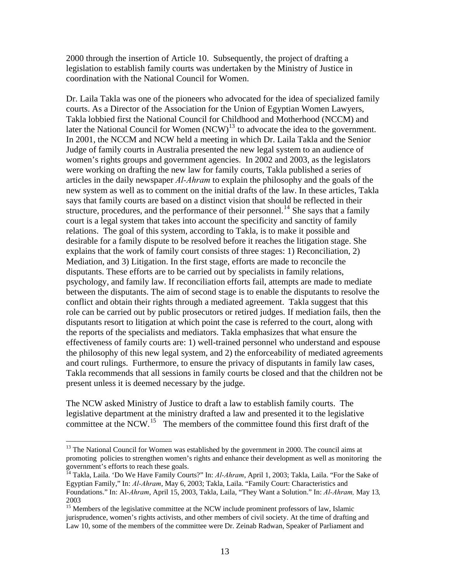2000 through the insertion of Article 10. Subsequently, the project of drafting a legislation to establish family courts was undertaken by the Ministry of Justice in coordination with the National Council for Women.

Dr. Laila Takla was one of the pioneers who advocated for the idea of specialized family courts. As a Director of the Association for the Union of Egyptian Women Lawyers, Takla lobbied first the National Council for Childhood and Motherhood (NCCM) and later the National Council for Women (NCW)<sup>[13](#page-13-0)</sup> to advocate the idea to the government. In 2001, the NCCM and NCW held a meeting in which Dr. Laila Takla and the Senior Judge of family courts in Australia presented the new legal system to an audience of women's rights groups and government agencies. In 2002 and 2003, as the legislators were working on drafting the new law for family courts, Takla published a series of articles in the daily newspaper *Al-Ahram* to explain the philosophy and the goals of the new system as well as to comment on the initial drafts of the law. In these articles, Takla says that family courts are based on a distinct vision that should be reflected in their structure, procedures, and the performance of their personnel.<sup>[14](#page-13-1)</sup> She says that a family court is a legal system that takes into account the specificity and sanctity of family relations. The goal of this system, according to Takla, is to make it possible and desirable for a family dispute to be resolved before it reaches the litigation stage. She explains that the work of family court consists of three stages: 1) Reconciliation, 2) Mediation, and 3) Litigation. In the first stage, efforts are made to reconcile the disputants. These efforts are to be carried out by specialists in family relations, psychology, and family law. If reconciliation efforts fail, attempts are made to mediate between the disputants. The aim of second stage is to enable the disputants to resolve the conflict and obtain their rights through a mediated agreement. Takla suggest that this role can be carried out by public prosecutors or retired judges. If mediation fails, then the disputants resort to litigation at which point the case is referred to the court, along with the reports of the specialists and mediators. Takla emphasizes that what ensure the effectiveness of family courts are: 1) well-trained personnel who understand and espouse the philosophy of this new legal system, and 2) the enforceability of mediated agreements and court rulings. Furthermore, to ensure the privacy of disputants in family law cases, Takla recommends that all sessions in family courts be closed and that the children not be present unless it is deemed necessary by the judge.

The NCW asked Ministry of Justice to draft a law to establish family courts. The legislative department at the ministry drafted a law and presented it to the legislative committee at the NCW.<sup>[15](#page-13-2)</sup> The members of the committee found this first draft of the

<span id="page-13-0"></span><sup>&</sup>lt;sup>13</sup> The National Council for Women was established by the government in 2000. The council aims at promoting policies to strengthen women's rights and enhance their development as well as monitoring the government's efforts to reach these goals.

<span id="page-13-1"></span><sup>&</sup>lt;sup>14</sup> Takla, Laila. 'Do We Have Family Courts?" In: *Al-Ahram*, April 1, 2003; Takla, Laila. "For the Sake of Egyptian Family," In: *Al-Ahram*, May 6, 2003; Takla, Laila. "Family Court: Characteristics and Foundations." In: Al-*Ahram*, April 15, 2003, Takla, Laila, "They Want a Solution." In: *Al-Ahram,* May 13*,*  2003

<span id="page-13-2"></span><sup>&</sup>lt;sup>15</sup> Members of the legislative committee at the NCW include prominent professors of law, Islamic jurisprudence, women's rights activists, and other members of civil society. At the time of drafting and Law 10, some of the members of the committee were Dr. Zeinab Radwan, Speaker of Parliament and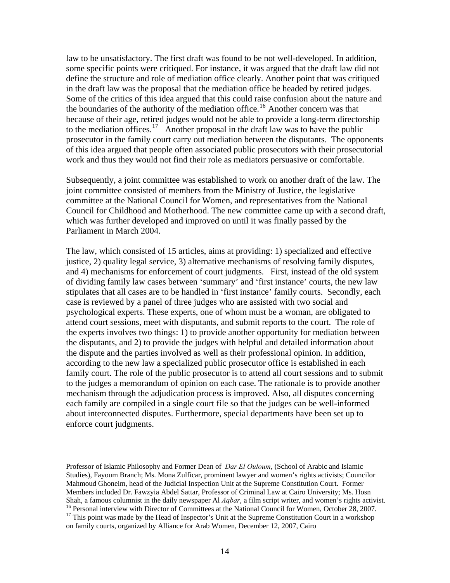law to be unsatisfactory. The first draft was found to be not well-developed. In addition, some specific points were critiqued. For instance, it was argued that the draft law did not define the structure and role of mediation office clearly. Another point that was critiqued in the draft law was the proposal that the mediation office be headed by retired judges. Some of the critics of this idea argued that this could raise confusion about the nature and the boundaries of the authority of the mediation office. [16](#page-14-0) Another concern was that prosecutor in the family court carry out mediation between the disputants. The opponents work and thus they would not find their role as mediators persuasive or comfortable. because of their age, retired judges would not be able to provide a long-term directorship to the mediation offices.<sup>[17](#page-14-1)</sup> Another proposal in the draft law was to have the public of this idea argued that people often associated public prosecutors with their prosecutorial

Subsequently, a joint committee was established to work on another draft of the law. The joint committee consisted of members from the Ministry of Justice, the legislative committee at the National Council for Women, and representatives from the National Council for Childhood and Motherhood. The new committee came up with a second draft, which was further developed and improved on until it was finally passed by the Parliament in March 2004.

The law, which consisted of 15 articles, aims at providing: 1) specialized and effective justice, 2) quality legal service, 3) alternative mechanisms of resolving family disputes, and 4) mechanisms for enforcement of court judgments. First, instead of the old system of dividing family law cases between 'summary' and 'first instance' courts, the new law stipulates that all cases are to be handled in 'first instance' family courts. Secondly, each case is reviewed by a panel of three judges who are assisted with two social and psychological experts. These experts, one of whom must be a woman, are obligated to attend court sessions, meet with disputants, and submit reports to the court. The role of the experts involves two things: 1) to provide another opportunity for mediation between the disputants, and 2) to provide the judges with helpful and detailed information about the dispute and the parties involved as well as their professional opinion. In addition, according to the new law a specialized public prosecutor office is established in each family court. The role of the public prosecutor is to attend all court sessions and to submit to the judges a memorandum of opinion on each case. The rationale is to provide another mechanism through the adjudication process is improved. Also, all disputes concerning each family are compiled in a single court file so that the judges can be well-informed about interconnected disputes. Furthermore, special departments have been set up to enforce court judgments.

Professor of Islamic Philosophy and Former Dean of *Dar El Ouloum*, (School of Arabic and Islamic Studies), Fayoum Branch; Ms. Mona Zulficar, prominent lawyer and women's rights activists; Councilor Mahmoud Ghoneim, head of the Judicial Inspection Unit at the Supreme Constitution Court. Former Members included Dr. Fawzyia Abdel Sattar, Professor of Criminal Law at Cairo University; Ms. Hosn<br>Shah, a famous columnist in the daily newspaper Al *Aqbar*, a film script writer, and women's rights activist. <sup>16</sup> Personal interview with Director of Committees at the National Council for Women, October 28, 2007.<br><sup>17</sup> This point was made by the Head of Inspector's Unit at the Supreme Constitution Court in a workshop

1

<span id="page-14-1"></span><span id="page-14-0"></span>on family courts, organized by Alliance for Arab Women, December 12, 2007, Cairo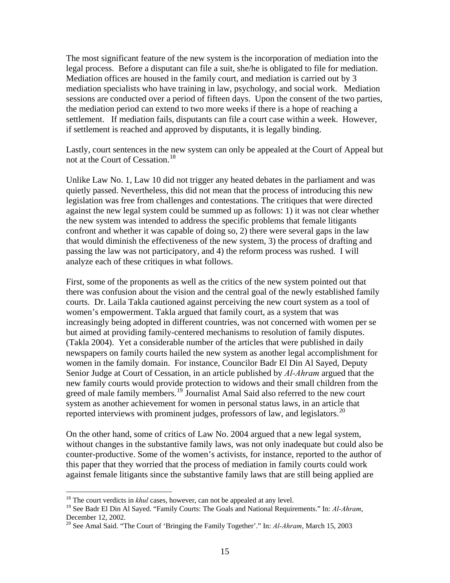The most significant feature of the new system is the incorporation of mediation into the legal process. Before a disputant can file a suit, she/he is obligated to file for mediation. Mediation offices are housed in the family court, and mediation is carried out by 3 mediation specialists who have training in law, psychology, and social work. Mediation sessions are conducted over a period of fifteen days. Upon the consent of the two parties, the mediation period can extend to two more weeks if there is a hope of reaching a settlement. If mediation fails, disputants can file a court case within a week. However, if settlement is reached and approved by disputants, it is legally binding.

Lastly, court sentences in the new system can only be appealed at the Court of Appeal but not at the Court of Cessation.<sup>[18](#page-15-0)</sup>

Unlike Law No. 1, Law 10 did not trigger any heated debates in the parliament and was quietly passed. Nevertheless, this did not mean that the process of introducing this new legislation was free from challenges and contestations. The critiques that were directed against the new legal system could be summed up as follows: 1) it was not clear whether the new system was intended to address the specific problems that female litigants confront and whether it was capable of doing so, 2) there were several gaps in the law that would diminish the effectiveness of the new system, 3) the process of drafting and passing the law was not participatory, and 4) the reform process was rushed. I will analyze each of these critiques in what follows.

First, some of the proponents as well as the critics of the new system pointed out that there was confusion about the vision and the central goal of the newly established family courts. Dr. Laila Takla cautioned against perceiving the new court system as a tool of women's empowerment. Takla argued that family court, as a system that was increasingly being adopted in different countries, was not concerned with women per se but aimed at providing family-centered mechanisms to resolution of family disputes. (Takla 2004). Yet a considerable number of the articles that were published in daily newspapers on family courts hailed the new system as another legal accomplishment for women in the family domain. For instance, Councilor Badr El Din Al Sayed, Deputy Senior Judge at Court of Cessation, in an article published by *Al-Ahram* argued that the new family courts would provide protection to widows and their small children from the greed of male family members.<sup>[19](#page-15-1)</sup> Journalist Amal Said also referred to the new court system as another achievement for women in personal status laws, in an article that reported interviews with prominent judges, professors of law, and legislators.<sup>[20](#page-15-2)</sup>

On the other hand, some of critics of Law No. 2004 argued that a new legal system, without changes in the substantive family laws, was not only inadequate but could also be counter-productive. Some of the women's activists, for instance, reported to the author of this paper that they worried that the process of mediation in family courts could work against female litigants since the substantive family laws that are still being applied are

<sup>&</sup>lt;sup>18</sup> The court verdicts in *khul* cases, however, can not be appealed at any level.

<span id="page-15-1"></span><span id="page-15-0"></span><sup>19</sup> See Badr El Din Al Sayed. "Family Courts: The Goals and National Requirements." In: *Al-Ahram*, December 12, 2002.

<span id="page-15-2"></span><sup>20</sup> See Amal Said. "The Court of 'Bringing the Family Together'." In: *Al-Ahram*, March 15, 2003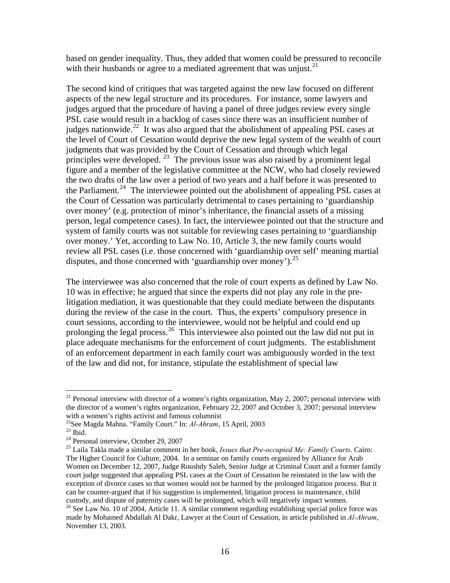based on gender inequality. Thus, they added that women could be pressured to reconcile with their husbands or agree to a mediated agreement that was unjust. $2<sup>1</sup>$ 

The second kind of critiques that was targeted against the new law focused on different aspects of the new legal structure and its procedures. For instance, some lawyers and judges argued that the procedure of having a panel of three judges review every single PSL case would result in a backlog of cases since there was an insufficient number of judges nationwide.<sup>[22](#page-16-1)</sup> It was also argued that the abolishment of appealing PSL cases at the level of Court of Cessation would deprive the new legal system of the wealth of court judgments that was provided by the Court of Cessation and through which legal principles were developed. <sup>[23](#page-16-2)</sup> The previous issue was also raised by a prominent legal figure and a member of the legislative committee at the NCW, who had closely reviewed the two drafts of the law over a period of two years and a half before it was presented to the Parliament.<sup>[24](#page-16-3)</sup> The interviewee pointed out the abolishment of appealing PSL cases at the Court of Cessation was particularly detrimental to cases pertaining to 'guardianship over money' (e.g. protection of minor's inheritance, the financial assets of a missing person, legal competence cases). In fact, the interviewee pointed out that the structure and system of family courts was not suitable for reviewing cases pertaining to 'guardianship over money.' Yet, according to Law No. 10, Article 3, the new family courts would review all PSL cases (i.e. those concerned with 'guardianship over self' meaning martial disputes, and those concerned with 'guardianship over money').<sup>[25](#page-16-4)</sup>

The interviewee was also concerned that the role of court experts as defined by Law No. 10 was in effective; he argued that since the experts did not play any role in the prelitigation mediation, it was questionable that they could mediate between the disputants during the review of the case in the court. Thus, the experts' compulsory presence in court sessions, according to the interviewee, would not be helpful and could end up prolonging the legal process.<sup>[26](#page-16-5)</sup> This interviewee also pointed out the law did not put in place adequate mechanisms for the enforcement of court judgments. The establishment of an enforcement department in each family court was ambiguously worded in the text of the law and did not, for instance, stipulate the establishment of special law

<span id="page-16-0"></span><sup>&</sup>lt;sup>21</sup> Personal interview with director of a women's rights organization, May 2, 2007; personal interview with the director of a women's rights organization, February 22, 2007 and October 3, 2007; personal interview with a women's rights activist and famous columnist

<span id="page-16-1"></span><sup>&</sup>lt;sup>22</sup>See Magda Mahna. "Family Court." In: *Al-Ahram*, 15 April, 2003<br><sup>23</sup> Ibid.

<span id="page-16-3"></span><span id="page-16-2"></span><sup>24</sup> Personal interview, October 29, 2007

<span id="page-16-4"></span><sup>25</sup> Laila Takla made a similar comment in her book, *Issues that Pre-occupied Me: Family Courts*. Cairo: The Higher Council for Culture, 2004. In a seminar on family courts organized by Alliance for Arab Women on December 12, 2007, Judge Roushdy Saleh, Senior Judge at Criminal Court and a former family court judge suggested that appealing PSL cases at the Court of Cessation be reinstated in the law with the exception of divorce cases so that women would not be harmed by the prolonged litigation process. But it can be counter-argued that if his suggestion is implemented, litigation process in maintenance, child custody, and dispute of paternity cases will be prolonged, which will negatively impact women.

<span id="page-16-5"></span><sup>&</sup>lt;sup>26</sup> See Law No. 10 of 2004, Article 11. A similar comment regarding establishing special police force was made by Mohamed Abdallah Al Dakr, Lawyer at the Court of Cessation, in article published in *Al-Ahram*, November 13, 2003.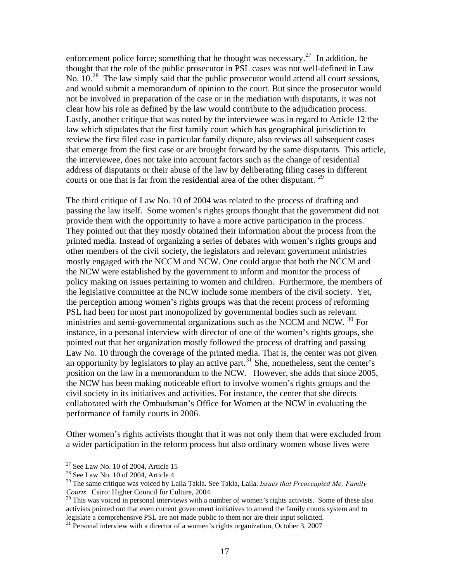enforcement police force; something that he thought was necessary.<sup>[27](#page-17-0)</sup> In addition, he thought that the role of the public prosecutor in PSL cases was not well-defined in Law No.  $10^{28}$  $10^{28}$  $10^{28}$  The law simply said that the public prosecutor would attend all court sessions, and would submit a memorandum of opinion to the court. But since the prosecutor would not be involved in preparation of the case or in the mediation with disputants, it was not clear how his role as defined by the law would contribute to the adjudication process. Lastly, another critique that was noted by the interviewee was in regard to Article 12 the law which stipulates that the first family court which has geographical jurisdiction to review the first filed case in particular family dispute, also reviews all subsequent cases that emerge from the first case or are brought forward by the same disputants. This article, the interviewee, does not take into account factors such as the change of residential address of disputants or their abuse of the law by deliberating filing cases in different courts or one that is far from the residential area of the other disputant. [29](#page-17-2)

The third critique of Law No. 10 of 2004 was related to the process of drafting and passing the law itself. Some women's rights groups thought that the government did not provide them with the opportunity to have a more active participation in the process. They pointed out that they mostly obtained their information about the process from the printed media. Instead of organizing a series of debates with women's rights groups and other members of the civil society, the legislators and relevant government ministries mostly engaged with the NCCM and NCW. One could argue that both the NCCM and the NCW were established by the government to inform and monitor the process of policy making on issues pertaining to women and children. Furthermore, the members of the legislative committee at the NCW include some members of the civil society. Yet, the perception among women's rights groups was that the recent process of reforming PSL had been for most part monopolized by governmental bodies such as relevant ministries and semi-governmental organizations such as the NCCM and NCW.  $^{30}$  $^{30}$  $^{30}$  For instance, in a personal interview with director of one of the women's rights groups, she pointed out that her organization mostly followed the process of drafting and passing Law No. 10 through the coverage of the printed media. That is, the center was not given an opportunity by legislators to play an active part.<sup>[31](#page-17-4)</sup> She, nonetheless, sent the center's position on the law in a memorandum to the NCW. However, she adds that since 2005, the NCW has been making noticeable effort to involve women's rights groups and the civil society in its initiatives and activities. For instance, the center that she directs collaborated with the Ombudsman's Office for Women at the NCW in evaluating the performance of family courts in 2006.

Other women's rights activists thought that it was not only them that were excluded from a wider participation in the reform process but also ordinary women whose lives were

 $27$  See Law No. 10 of 2004, Article 15

<span id="page-17-1"></span><span id="page-17-0"></span> $28$  See Law No. 10 of 2004, Article 4

<span id="page-17-2"></span><sup>29</sup> The same critique was voiced by Laila Takla. See Takla, Laila. *Issues that Preoccupied Me: Family Courts*. Cairo: Higher Council for Culture, 2004.<br><sup>30</sup> This was voiced in personal interviews with a number of women's rights activists. Some of these also

<span id="page-17-3"></span>activists pointed out that even current government initiatives to amend the family courts system and to legislate a comprehensive PSL are not made public to them nor are their input solicited.<br><sup>31</sup> Personal interview with a director of a women's rights organization, October 3, 2007

<span id="page-17-4"></span>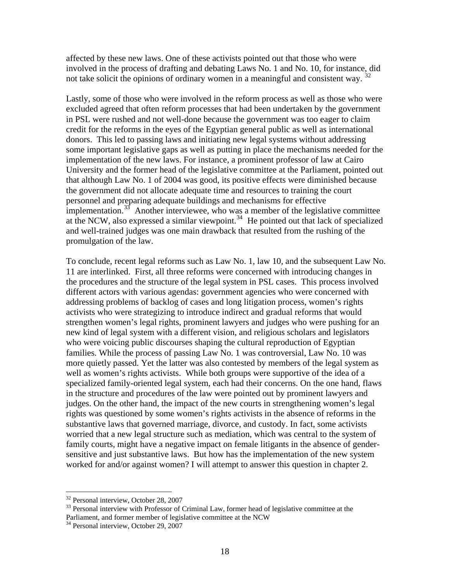affected by these new laws. One of these activists pointed out that those who were involved in the process of drafting and debating Laws No. 1 and No. 10, for instance, did not take solicit the opinions of ordinary women in a meaningful and consistent way.<sup>[32](#page-18-0)</sup>

Lastly, some of those who were involved in the reform process as well as those who were excluded agreed that often reform processes that had been undertaken by the government in PSL were rushed and not well-done because the government was too eager to claim credit for the reforms in the eyes of the Egyptian general public as well as international donors. This led to passing laws and initiating new legal systems without addressing some important legislative gaps as well as putting in place the mechanisms needed for the implementation of the new laws. For instance, a prominent professor of law at Cairo University and the former head of the legislative committee at the Parliament, pointed out that although Law No. 1 of 2004 was good, its positive effects were diminished because the government did not allocate adequate time and resources to training the court personnel and preparing adequate buildings and mechanisms for effective implementation.<sup>[33](#page-18-1)</sup> Another interviewee, who was a member of the legislative committee at the NCW, also expressed a similar viewpoint.<sup>[34](#page-18-2)</sup> He pointed out that lack of specialized and well-trained judges was one main drawback that resulted from the rushing of the promulgation of the law.

To conclude, recent legal reforms such as Law No. 1, law 10, and the subsequent Law No. 11 are interlinked. First, all three reforms were concerned with introducing changes in the procedures and the structure of the legal system in PSL cases. This process involved different actors with various agendas: government agencies who were concerned with addressing problems of backlog of cases and long litigation process, women's rights activists who were strategizing to introduce indirect and gradual reforms that would strengthen women's legal rights, prominent lawyers and judges who were pushing for an new kind of legal system with a different vision, and religious scholars and legislators who were voicing public discourses shaping the cultural reproduction of Egyptian families. While the process of passing Law No. 1 was controversial, Law No. 10 was more quietly passed. Yet the latter was also contested by members of the legal system as well as women's rights activists. While both groups were supportive of the idea of a specialized family-oriented legal system, each had their concerns. On the one hand, flaws in the structure and procedures of the law were pointed out by prominent lawyers and judges. On the other hand, the impact of the new courts in strengthening women's legal rights was questioned by some women's rights activists in the absence of reforms in the substantive laws that governed marriage, divorce, and custody. In fact, some activists worried that a new legal structure such as mediation, which was central to the system of family courts, might have a negative impact on female litigants in the absence of gendersensitive and just substantive laws. But how has the implementation of the new system worked for and/or against women? I will attempt to answer this question in chapter 2.

<sup>&</sup>lt;sup>32</sup> Personal interview, October 28, 2007

<span id="page-18-1"></span><span id="page-18-0"></span><sup>&</sup>lt;sup>33</sup> Personal interview with Professor of Criminal Law, former head of legislative committee at the Parliament, and former member of legislative committee at the NCW

<span id="page-18-2"></span><sup>&</sup>lt;sup>34</sup> Personal interview, October 29, 2007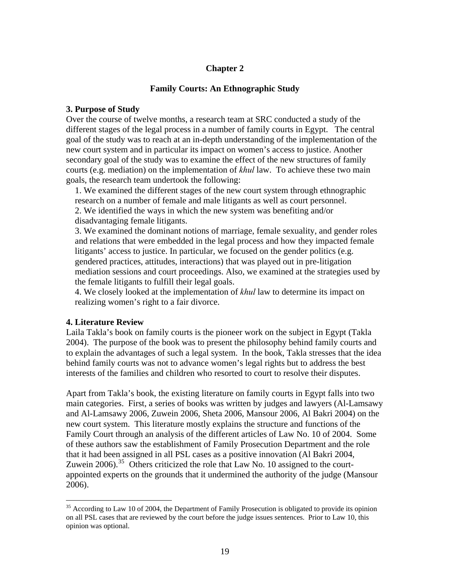#### **Chapter 2**

#### **Family Courts: An Ethnographic Study**

#### **3. Purpose of Study**

Over the course of twelve months, a research team at SRC conducted a study of the different stages of the legal process in a number of family courts in Egypt. The central goal of the study was to reach at an in-depth understanding of the implementation of the new court system and in particular its impact on women's access to justice. Another secondary goal of the study was to examine the effect of the new structures of family courts (e.g. mediation) on the implementation of *khul* law. To achieve these two main goals, the research team undertook the following:

1. We examined the different stages of the new court system through ethnographic research on a number of female and male litigants as well as court personnel. 2. We identified the ways in which the new system was benefiting and/or disadvantaging female litigants.

3. We examined the dominant notions of marriage, female sexuality, and gender roles and relations that were embedded in the legal process and how they impacted female litigants' access to justice. In particular, we focused on the gender politics (e.g. gendered practices, attitudes, interactions) that was played out in pre-litigation mediation sessions and court proceedings. Also, we examined at the strategies used by the female litigants to fulfill their legal goals.

4. We closely looked at the implementation of *khul* law to determine its impact on realizing women's right to a fair divorce.

#### **4. Literature Review**

1

Laila Takla's book on family courts is the pioneer work on the subject in Egypt (Takla 2004). The purpose of the book was to present the philosophy behind family courts and to explain the advantages of such a legal system. In the book, Takla stresses that the idea behind family courts was not to advance women's legal rights but to address the best interests of the families and children who resorted to court to resolve their disputes.

Apart from Takla's book, the existing literature on family courts in Egypt falls into two main categories. First, a series of books was written by judges and lawyers (Al-Lamsawy and Al-Lamsawy 2006, Zuwein 2006, Sheta 2006, Mansour 2006, Al Bakri 2004) on the new court system. This literature mostly explains the structure and functions of the Family Court through an analysis of the different articles of Law No. 10 of 2004. Some of these authors saw the establishment of Family Prosecution Department and the role that it had been assigned in all PSL cases as a positive innovation (Al Bakri 2004, Zuwein 2006).<sup>[35](#page-19-0)</sup> Others criticized the role that Law No. 10 assigned to the courtappointed experts on the grounds that it undermined the authority of the judge (Mansour 2006).

<span id="page-19-0"></span> $35$  According to Law 10 of 2004, the Department of Family Prosecution is obligated to provide its opinion on all PSL cases that are reviewed by the court before the judge issues sentences. Prior to Law 10, this opinion was optional.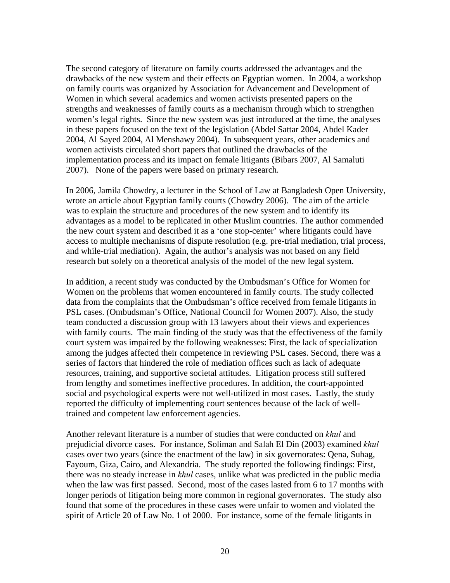The second category of literature on family courts addressed the advantages and the drawbacks of the new system and their effects on Egyptian women. In 2004, a workshop on family courts was organized by Association for Advancement and Development of Women in which several academics and women activists presented papers on the strengths and weaknesses of family courts as a mechanism through which to strengthen women's legal rights. Since the new system was just introduced at the time, the analyses in these papers focused on the text of the legislation (Abdel Sattar 2004, Abdel Kader 2004, Al Sayed 2004, Al Menshawy 2004). In subsequent years, other academics and women activists circulated short papers that outlined the drawbacks of the implementation process and its impact on female litigants (Bibars 2007, Al Samaluti 2007). None of the papers were based on primary research.

In 2006, Jamila Chowdry, a lecturer in the School of Law at Bangladesh Open University, wrote an article about Egyptian family courts (Chowdry 2006). The aim of the article was to explain the structure and procedures of the new system and to identify its advantages as a model to be replicated in other Muslim countries. The author commended the new court system and described it as a 'one stop-center' where litigants could have access to multiple mechanisms of dispute resolution (e.g. pre-trial mediation, trial process, and while-trial mediation). Again, the author's analysis was not based on any field research but solely on a theoretical analysis of the model of the new legal system.

In addition, a recent study was conducted by the Ombudsman's Office for Women for Women on the problems that women encountered in family courts. The study collected data from the complaints that the Ombudsman's office received from female litigants in PSL cases. (Ombudsman's Office, National Council for Women 2007). Also, the study team conducted a discussion group with 13 lawyers about their views and experiences with family courts. The main finding of the study was that the effectiveness of the family court system was impaired by the following weaknesses: First, the lack of specialization among the judges affected their competence in reviewing PSL cases. Second, there was a series of factors that hindered the role of mediation offices such as lack of adequate resources, training, and supportive societal attitudes. Litigation process still suffered from lengthy and sometimes ineffective procedures. In addition, the court-appointed social and psychological experts were not well-utilized in most cases. Lastly, the study reported the difficulty of implementing court sentences because of the lack of welltrained and competent law enforcement agencies.

Another relevant literature is a number of studies that were conducted on *khul* and prejudicial divorce cases. For instance, Soliman and Salah El Din (2003) examined *khul*  cases over two years (since the enactment of the law) in six governorates: Qena, Suhag, Fayoum, Giza, Cairo, and Alexandria. The study reported the following findings: First, there was no steady increase in *khul* cases, unlike what was predicted in the public media when the law was first passed. Second, most of the cases lasted from 6 to 17 months with longer periods of litigation being more common in regional governorates. The study also found that some of the procedures in these cases were unfair to women and violated the spirit of Article 20 of Law No. 1 of 2000. For instance, some of the female litigants in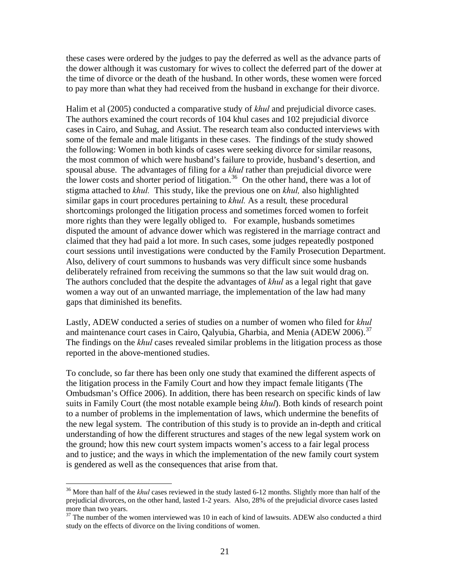these cases were ordered by the judges to pay the deferred as well as the advance parts of the dower although it was customary for wives to collect the deferred part of the dower at the time of divorce or the death of the husband. In other words, these women were forced to pay more than what they had received from the husband in exchange for their divorce.

Halim et al (2005) conducted a comparative study of *khul* and prejudicial divorce cases. The authors examined the court records of 104 khul cases and 102 prejudicial divorce cases in Cairo, and Suhag, and Assiut. The research team also conducted interviews with some of the female and male litigants in these cases. The findings of the study showed the following: Women in both kinds of cases were seeking divorce for similar reasons, the most common of which were husband's failure to provide, husband's desertion, and spousal abuse. The advantages of filing for a *khul* rather than prejudicial divorce were the lower costs and shorter period of litigation.<sup>[36](#page-21-0)</sup> On the other hand, there was a lot of stigma attached to *khul.* This study, like the previous one on *khul,* also highlighted similar gaps in court procedures pertaining to *khul.* As a result*,* these procedural shortcomings prolonged the litigation process and sometimes forced women to forfeit more rights than they were legally obliged to. For example, husbands sometimes disputed the amount of advance dower which was registered in the marriage contract and claimed that they had paid a lot more. In such cases, some judges repeatedly postponed court sessions until investigations were conducted by the Family Prosecution Department. Also, delivery of court summons to husbands was very difficult since some husbands deliberately refrained from receiving the summons so that the law suit would drag on. The authors concluded that the despite the advantages of *khul* as a legal right that gave women a way out of an unwanted marriage, the implementation of the law had many gaps that diminished its benefits.

Lastly, ADEW conducted a series of studies on a number of women who filed for *khul*  and maintenance court cases in Cairo, Oalyubia, Gharbia, and Menia (ADEW 2006).<sup>[37](#page-21-1)</sup> The findings on the *khul* cases revealed similar problems in the litigation process as those reported in the above-mentioned studies.

To conclude, so far there has been only one study that examined the different aspects of the litigation process in the Family Court and how they impact female litigants (The Ombudsman's Office 2006). In addition, there has been research on specific kinds of law suits in Family Court (the most notable example being *khul*). Both kinds of research point to a number of problems in the implementation of laws, which undermine the benefits of the new legal system. The contribution of this study is to provide an in-depth and critical understanding of how the different structures and stages of the new legal system work on the ground; how this new court system impacts women's access to a fair legal process and to justice; and the ways in which the implementation of the new family court system is gendered as well as the consequences that arise from that.

<span id="page-21-0"></span><sup>&</sup>lt;sup>36</sup> More than half of the *khul* cases reviewed in the study lasted 6-12 months. Slightly more than half of the prejudicial divorces, on the other hand, lasted 1-2 years. Also, 28% of the prejudicial divorce cases lasted more than two years.

<span id="page-21-1"></span><sup>&</sup>lt;sup>37</sup> The number of the women interviewed was 10 in each of kind of lawsuits. ADEW also conducted a third study on the effects of divorce on the living conditions of women.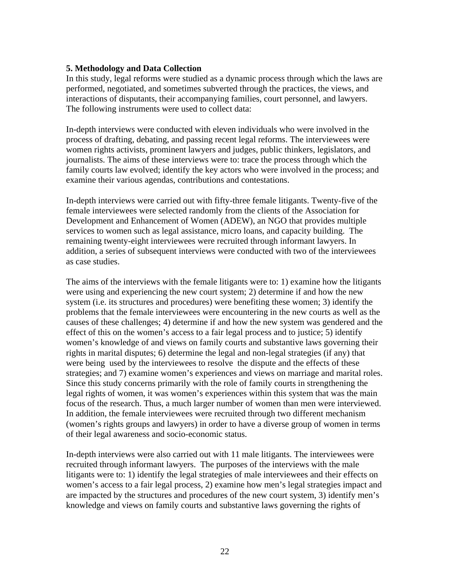#### **5. Methodology and Data Collection**

In this study, legal reforms were studied as a dynamic process through which the laws are performed, negotiated, and sometimes subverted through the practices, the views, and interactions of disputants, their accompanying families, court personnel, and lawyers. The following instruments were used to collect data:

In-depth interviews were conducted with eleven individuals who were involved in the process of drafting, debating, and passing recent legal reforms. The interviewees were women rights activists, prominent lawyers and judges, public thinkers, legislators, and journalists. The aims of these interviews were to: trace the process through which the family courts law evolved; identify the key actors who were involved in the process; and examine their various agendas, contributions and contestations.

In-depth interviews were carried out with fifty-three female litigants. Twenty-five of the female interviewees were selected randomly from the clients of the Association for Development and Enhancement of Women (ADEW), an NGO that provides multiple services to women such as legal assistance, micro loans, and capacity building. The remaining twenty-eight interviewees were recruited through informant lawyers. In addition, a series of subsequent interviews were conducted with two of the interviewees as case studies.

The aims of the interviews with the female litigants were to: 1) examine how the litigants were using and experiencing the new court system; 2) determine if and how the new system (i.e. its structures and procedures) were benefiting these women; 3) identify the problems that the female interviewees were encountering in the new courts as well as the causes of these challenges; 4) determine if and how the new system was gendered and the effect of this on the women's access to a fair legal process and to justice; 5) identify women's knowledge of and views on family courts and substantive laws governing their rights in marital disputes; 6) determine the legal and non-legal strategies (if any) that were being used by the interviewees to resolve the dispute and the effects of these strategies; and 7) examine women's experiences and views on marriage and marital roles. Since this study concerns primarily with the role of family courts in strengthening the legal rights of women, it was women's experiences within this system that was the main focus of the research. Thus, a much larger number of women than men were interviewed. In addition, the female interviewees were recruited through two different mechanism (women's rights groups and lawyers) in order to have a diverse group of women in terms of their legal awareness and socio-economic status.

In-depth interviews were also carried out with 11 male litigants. The interviewees were recruited through informant lawyers. The purposes of the interviews with the male litigants were to: 1) identify the legal strategies of male interviewees and their effects on women's access to a fair legal process, 2) examine how men's legal strategies impact and are impacted by the structures and procedures of the new court system, 3) identify men's knowledge and views on family courts and substantive laws governing the rights of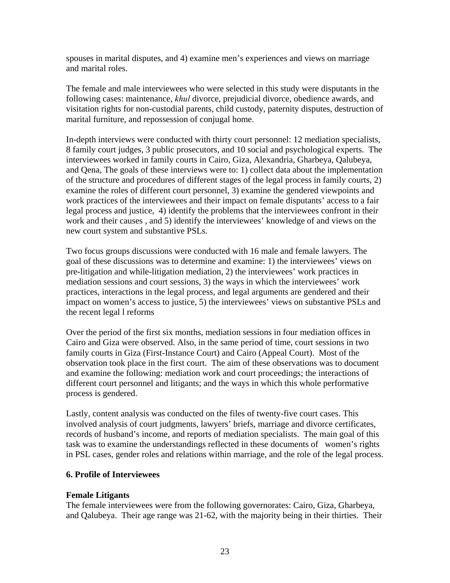spouses in marital disputes, and 4) examine men's experiences and views on marriage and marital roles.

The female and male interviewees who were selected in this study were disputants in the following cases: maintenance, *khul* divorce, prejudicial divorce, obedience awards, and visitation rights for non-custodial parents, child custody, paternity disputes, destruction of marital furniture, and repossession of conjugal home.

In-depth interviews were conducted with thirty court personnel: 12 mediation specialists, 8 family court judges, 3 public prosecutors, and 10 social and psychological experts. The interviewees worked in family courts in Cairo, Giza, Alexandria, Gharbeya, Qalubeya, and Qena, The goals of these interviews were to: 1) collect data about the implementation of the structure and procedures of different stages of the legal process in family courts, 2) examine the roles of different court personnel, 3) examine the gendered viewpoints and work practices of the interviewees and their impact on female disputants' access to a fair legal process and justice, 4) identify the problems that the interviewees confront in their work and their causes , and 5) identify the interviewees' knowledge of and views on the new court system and substantive PSLs.

Two focus groups discussions were conducted with 16 male and female lawyers. The goal of these discussions was to determine and examine: 1) the interviewees' views on pre-litigation and while-litigation mediation, 2) the interviewees' work practices in mediation sessions and court sessions, 3) the ways in which the interviewees' work practices, interactions in the legal process, and legal arguments are gendered and their impact on women's access to justice, 5) the interviewees' views on substantive PSLs and the recent legal l reforms

Over the period of the first six months, mediation sessions in four mediation offices in Cairo and Giza were observed. Also, in the same period of time, court sessions in two family courts in Giza (First-Instance Court) and Cairo (Appeal Court). Most of the observation took place in the first court. The aim of these observations was to document and examine the following: mediation work and court proceedings; the interactions of different court personnel and litigants; and the ways in which this whole performative process is gendered.

Lastly, content analysis was conducted on the files of twenty-five court cases. This involved analysis of court judgments, lawyers' briefs, marriage and divorce certificates, records of husband's income, and reports of mediation specialists. The main goal of this task was to examine the understandings reflected in these documents of women's rights in PSL cases, gender roles and relations within marriage, and the role of the legal process.

#### **6. Profile of Interviewees**

## **Female Litigants**

The female interviewees were from the following governorates: Cairo, Giza, Gharbeya, and Qalubeya. Their age range was 21-62, with the majority being in their thirties. Their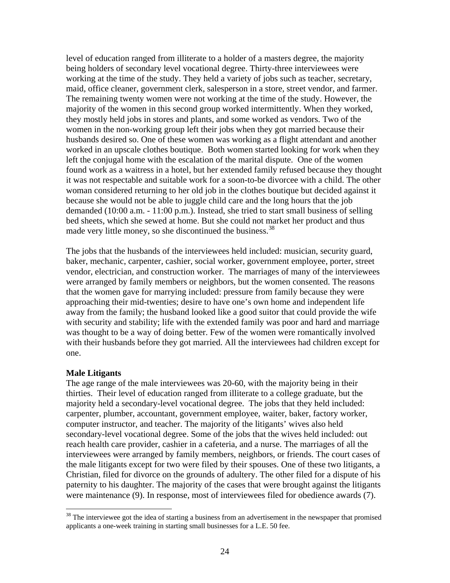level of education ranged from illiterate to a holder of a masters degree, the majority being holders of secondary level vocational degree. Thirty-three interviewees were working at the time of the study. They held a variety of jobs such as teacher, secretary, maid, office cleaner, government clerk, salesperson in a store, street vendor, and farmer. The remaining twenty women were not working at the time of the study. However, the majority of the women in this second group worked intermittently. When they worked, they mostly held jobs in stores and plants, and some worked as vendors. Two of the women in the non-working group left their jobs when they got married because their husbands desired so. One of these women was working as a flight attendant and another worked in an upscale clothes boutique. Both women started looking for work when they left the conjugal home with the escalation of the marital dispute. One of the women found work as a waitress in a hotel, but her extended family refused because they thought it was not respectable and suitable work for a soon-to-be divorcee with a child. The other woman considered returning to her old job in the clothes boutique but decided against it because she would not be able to juggle child care and the long hours that the job demanded (10:00 a.m. - 11:00 p.m.). Instead, she tried to start small business of selling bed sheets, which she sewed at home. But she could not market her product and thus made very little money, so she discontinued the business.<sup>[38](#page-24-0)</sup>

The jobs that the husbands of the interviewees held included: musician, security guard, baker, mechanic, carpenter, cashier, social worker, government employee, porter, street vendor, electrician, and construction worker. The marriages of many of the interviewees were arranged by family members or neighbors, but the women consented. The reasons that the women gave for marrying included: pressure from family because they were approaching their mid-twenties; desire to have one's own home and independent life away from the family; the husband looked like a good suitor that could provide the wife with security and stability; life with the extended family was poor and hard and marriage was thought to be a way of doing better. Few of the women were romantically involved with their husbands before they got married. All the interviewees had children except for one.

#### **Male Litigants**

 $\overline{a}$ 

The age range of the male interviewees was 20-60, with the majority being in their thirties. Their level of education ranged from illiterate to a college graduate, but the majority held a secondary-level vocational degree. The jobs that they held included: carpenter, plumber, accountant, government employee, waiter, baker, factory worker, computer instructor, and teacher. The majority of the litigants' wives also held secondary-level vocational degree. Some of the jobs that the wives held included: out reach health care provider, cashier in a cafeteria, and a nurse. The marriages of all the interviewees were arranged by family members, neighbors, or friends. The court cases of the male litigants except for two were filed by their spouses. One of these two litigants, a Christian, filed for divorce on the grounds of adultery. The other filed for a dispute of his paternity to his daughter. The majority of the cases that were brought against the litigants were maintenance (9). In response, most of interviewees filed for obedience awards (7).

<span id="page-24-0"></span> $38$  The interviewee got the idea of starting a business from an advertisement in the newspaper that promised applicants a one-week training in starting small businesses for a L.E. 50 fee.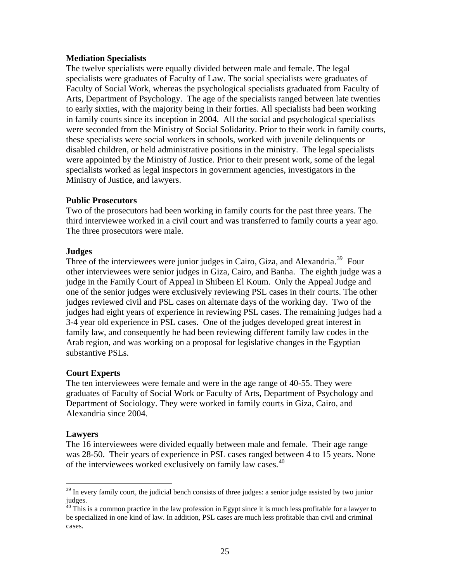#### **Mediation Specialists**

The twelve specialists were equally divided between male and female. The legal specialists were graduates of Faculty of Law. The social specialists were graduates of Faculty of Social Work, whereas the psychological specialists graduated from Faculty of Arts, Department of Psychology. The age of the specialists ranged between late twenties to early sixties, with the majority being in their forties. All specialists had been working in family courts since its inception in 2004. All the social and psychological specialists were seconded from the Ministry of Social Solidarity. Prior to their work in family courts, these specialists were social workers in schools, worked with juvenile delinquents or disabled children, or held administrative positions in the ministry. The legal specialists were appointed by the Ministry of Justice. Prior to their present work, some of the legal specialists worked as legal inspectors in government agencies, investigators in the Ministry of Justice, and lawyers.

#### **Public Prosecutors**

Two of the prosecutors had been working in family courts for the past three years. The third interviewee worked in a civil court and was transferred to family courts a year ago. The three prosecutors were male.

#### **Judges**

Three of the interviewees were junior judges in Cairo, Giza, and Alexandria.<sup>[39](#page-25-0)</sup> Four other interviewees were senior judges in Giza, Cairo, and Banha. The eighth judge was a judge in the Family Court of Appeal in Shibeen El Koum. Only the Appeal Judge and one of the senior judges were exclusively reviewing PSL cases in their courts. The other judges reviewed civil and PSL cases on alternate days of the working day. Two of the judges had eight years of experience in reviewing PSL cases. The remaining judges had a 3-4 year old experience in PSL cases. One of the judges developed great interest in family law, and consequently he had been reviewing different family law codes in the Arab region, and was working on a proposal for legislative changes in the Egyptian substantive PSLs.

## **Court Experts**

The ten interviewees were female and were in the age range of 40-55. They were graduates of Faculty of Social Work or Faculty of Arts, Department of Psychology and Department of Sociology. They were worked in family courts in Giza, Cairo, and Alexandria since 2004.

#### **Lawyers**

 $\overline{a}$ 

The 16 interviewees were divided equally between male and female. Their age range was 28-50. Their years of experience in PSL cases ranged between 4 to 15 years. None of the interviewees worked exclusively on family law cases.<sup>[40](#page-25-1)</sup>

<span id="page-25-0"></span> $39$  In every family court, the judicial bench consists of three judges: a senior judge assisted by two junior judges.

<span id="page-25-1"></span> $\frac{40}{40}$  This is a common practice in the law profession in Egypt since it is much less profitable for a lawyer to be specialized in one kind of law. In addition, PSL cases are much less profitable than civil and criminal cases.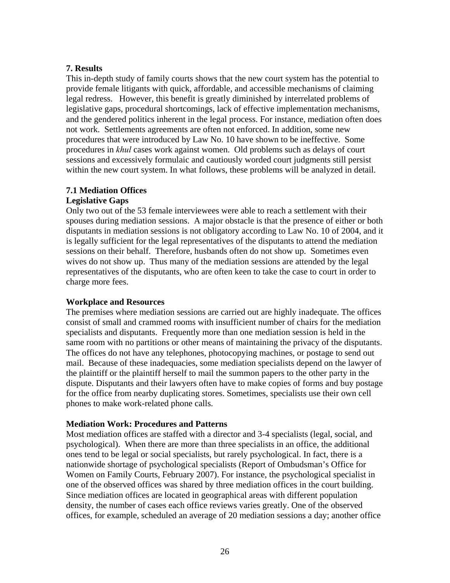#### **7. Results**

This in-depth study of family courts shows that the new court system has the potential to provide female litigants with quick, affordable, and accessible mechanisms of claiming legal redress. However, this benefit is greatly diminished by interrelated problems of legislative gaps, procedural shortcomings, lack of effective implementation mechanisms, and the gendered politics inherent in the legal process. For instance, mediation often does not work. Settlements agreements are often not enforced. In addition, some new procedures that were introduced by Law No. 10 have shown to be ineffective. Some procedures in *khul* cases work against women. Old problems such as delays of court sessions and excessively formulaic and cautiously worded court judgments still persist within the new court system. In what follows, these problems will be analyzed in detail.

# **7.1 Mediation Offices**

### **Legislative Gaps**

Only two out of the 53 female interviewees were able to reach a settlement with their spouses during mediation sessions. A major obstacle is that the presence of either or both disputants in mediation sessions is not obligatory according to Law No. 10 of 2004, and it is legally sufficient for the legal representatives of the disputants to attend the mediation sessions on their behalf. Therefore, husbands often do not show up. Sometimes even wives do not show up. Thus many of the mediation sessions are attended by the legal representatives of the disputants, who are often keen to take the case to court in order to charge more fees.

## **Workplace and Resources**

The premises where mediation sessions are carried out are highly inadequate. The offices consist of small and crammed rooms with insufficient number of chairs for the mediation specialists and disputants. Frequently more than one mediation session is held in the same room with no partitions or other means of maintaining the privacy of the disputants. The offices do not have any telephones, photocopying machines, or postage to send out mail. Because of these inadequacies, some mediation specialists depend on the lawyer of the plaintiff or the plaintiff herself to mail the summon papers to the other party in the dispute. Disputants and their lawyers often have to make copies of forms and buy postage for the office from nearby duplicating stores. Sometimes, specialists use their own cell phones to make work-related phone calls.

## **Mediation Work: Procedures and Patterns**

Most mediation offices are staffed with a director and 3-4 specialists (legal, social, and psychological). When there are more than three specialists in an office, the additional ones tend to be legal or social specialists, but rarely psychological. In fact, there is a nationwide shortage of psychological specialists (Report of Ombudsman's Office for Women on Family Courts, February 2007). For instance, the psychological specialist in one of the observed offices was shared by three mediation offices in the court building. Since mediation offices are located in geographical areas with different population density, the number of cases each office reviews varies greatly. One of the observed offices, for example, scheduled an average of 20 mediation sessions a day; another office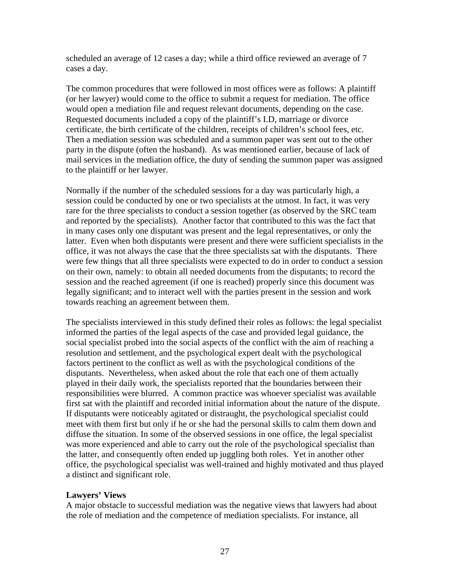scheduled an average of 12 cases a day; while a third office reviewed an average of 7 cases a day.

The common procedures that were followed in most offices were as follows: A plaintiff (or her lawyer) would come to the office to submit a request for mediation. The office would open a mediation file and request relevant documents, depending on the case. Requested documents included a copy of the plaintiff's I.D, marriage or divorce certificate, the birth certificate of the children, receipts of children's school fees, etc. Then a mediation session was scheduled and a summon paper was sent out to the other party in the dispute (often the husband). As was mentioned earlier, because of lack of mail services in the mediation office, the duty of sending the summon paper was assigned to the plaintiff or her lawyer.

Normally if the number of the scheduled sessions for a day was particularly high, a session could be conducted by one or two specialists at the utmost. In fact, it was very rare for the three specialists to conduct a session together (as observed by the SRC team and reported by the specialists). Another factor that contributed to this was the fact that in many cases only one disputant was present and the legal representatives, or only the latter. Even when both disputants were present and there were sufficient specialists in the office, it was not always the case that the three specialists sat with the disputants. There were few things that all three specialists were expected to do in order to conduct a session on their own, namely: to obtain all needed documents from the disputants; to record the session and the reached agreement (if one is reached) properly since this document was legally significant; and to interact well with the parties present in the session and work towards reaching an agreement between them.

The specialists interviewed in this study defined their roles as follows: the legal specialist informed the parties of the legal aspects of the case and provided legal guidance, the social specialist probed into the social aspects of the conflict with the aim of reaching a resolution and settlement, and the psychological expert dealt with the psychological factors pertinent to the conflict as well as with the psychological conditions of the disputants. Nevertheless, when asked about the role that each one of them actually played in their daily work, the specialists reported that the boundaries between their responsibilities were blurred. A common practice was whoever specialist was available first sat with the plaintiff and recorded initial information about the nature of the dispute. If disputants were noticeably agitated or distraught, the psychological specialist could meet with them first but only if he or she had the personal skills to calm them down and diffuse the situation. In some of the observed sessions in one office, the legal specialist was more experienced and able to carry out the role of the psychological specialist than the latter, and consequently often ended up juggling both roles. Yet in another other office, the psychological specialist was well-trained and highly motivated and thus played a distinct and significant role.

## **Lawyers' Views**

A major obstacle to successful mediation was the negative views that lawyers had about the role of mediation and the competence of mediation specialists. For instance, all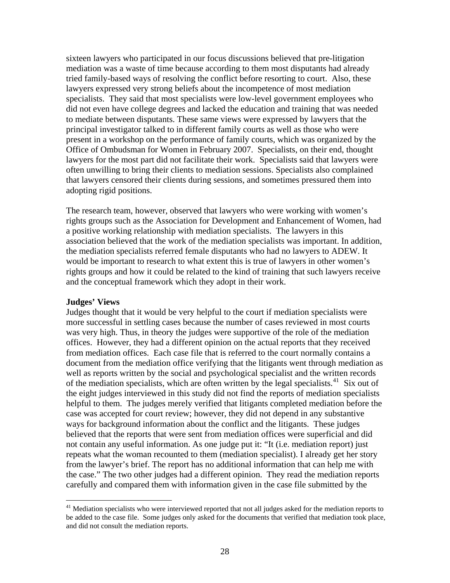sixteen lawyers who participated in our focus discussions believed that pre-litigation mediation was a waste of time because according to them most disputants had already tried family-based ways of resolving the conflict before resorting to court. Also, these lawyers expressed very strong beliefs about the incompetence of most mediation specialists. They said that most specialists were low-level government employees who did not even have college degrees and lacked the education and training that was needed to mediate between disputants. These same views were expressed by lawyers that the principal investigator talked to in different family courts as well as those who were present in a workshop on the performance of family courts, which was organized by the Office of Ombudsman for Women in February 2007. Specialists, on their end, thought lawyers for the most part did not facilitate their work. Specialists said that lawyers were often unwilling to bring their clients to mediation sessions. Specialists also complained that lawyers censored their clients during sessions, and sometimes pressured them into adopting rigid positions.

The research team, however, observed that lawyers who were working with women's rights groups such as the Association for Development and Enhancement of Women, had a positive working relationship with mediation specialists. The lawyers in this association believed that the work of the mediation specialists was important. In addition, the mediation specialists referred female disputants who had no lawyers to ADEW. It would be important to research to what extent this is true of lawyers in other women's rights groups and how it could be related to the kind of training that such lawyers receive and the conceptual framework which they adopt in their work.

#### **Judges' Views**

 $\overline{a}$ 

Judges thought that it would be very helpful to the court if mediation specialists were more successful in settling cases because the number of cases reviewed in most courts was very high. Thus, in theory the judges were supportive of the role of the mediation offices. However, they had a different opinion on the actual reports that they received from mediation offices. Each case file that is referred to the court normally contains a document from the mediation office verifying that the litigants went through mediation as well as reports written by the social and psychological specialist and the written records of the mediation specialists, which are often written by the legal specialists.<sup>[41](#page-28-0)</sup> Six out of the eight judges interviewed in this study did not find the reports of mediation specialists helpful to them. The judges merely verified that litigants completed mediation before the case was accepted for court review; however, they did not depend in any substantive ways for background information about the conflict and the litigants. These judges believed that the reports that were sent from mediation offices were superficial and did not contain any useful information. As one judge put it: "It (i.e. mediation report) just repeats what the woman recounted to them (mediation specialist). I already get her story from the lawyer's brief. The report has no additional information that can help me with the case." The two other judges had a different opinion. They read the mediation reports carefully and compared them with information given in the case file submitted by the

<span id="page-28-0"></span><sup>&</sup>lt;sup>41</sup> Mediation specialists who were interviewed reported that not all judges asked for the mediation reports to be added to the case file. Some judges only asked for the documents that verified that mediation took place, and did not consult the mediation reports.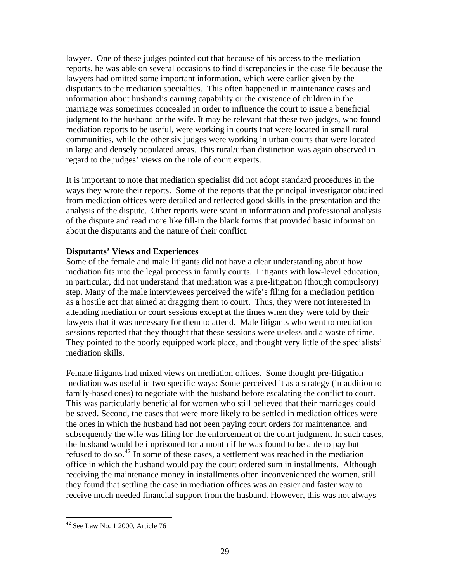lawyer. One of these judges pointed out that because of his access to the mediation reports, he was able on several occasions to find discrepancies in the case file because the lawyers had omitted some important information, which were earlier given by the disputants to the mediation specialties. This often happened in maintenance cases and information about husband's earning capability or the existence of children in the marriage was sometimes concealed in order to influence the court to issue a beneficial judgment to the husband or the wife. It may be relevant that these two judges, who found mediation reports to be useful, were working in courts that were located in small rural communities, while the other six judges were working in urban courts that were located in large and densely populated areas. This rural/urban distinction was again observed in regard to the judges' views on the role of court experts.

It is important to note that mediation specialist did not adopt standard procedures in the ways they wrote their reports. Some of the reports that the principal investigator obtained from mediation offices were detailed and reflected good skills in the presentation and the analysis of the dispute. Other reports were scant in information and professional analysis of the dispute and read more like fill-in the blank forms that provided basic information about the disputants and the nature of their conflict.

#### **Disputants' Views and Experiences**

Some of the female and male litigants did not have a clear understanding about how mediation fits into the legal process in family courts. Litigants with low-level education, in particular, did not understand that mediation was a pre-litigation (though compulsory) step. Many of the male interviewees perceived the wife's filing for a mediation petition as a hostile act that aimed at dragging them to court. Thus, they were not interested in attending mediation or court sessions except at the times when they were told by their lawyers that it was necessary for them to attend. Male litigants who went to mediation sessions reported that they thought that these sessions were useless and a waste of time. They pointed to the poorly equipped work place, and thought very little of the specialists' mediation skills.

Female litigants had mixed views on mediation offices. Some thought pre-litigation mediation was useful in two specific ways: Some perceived it as a strategy (in addition to family-based ones) to negotiate with the husband before escalating the conflict to court. This was particularly beneficial for women who still believed that their marriages could be saved. Second, the cases that were more likely to be settled in mediation offices were the ones in which the husband had not been paying court orders for maintenance, and subsequently the wife was filing for the enforcement of the court judgment. In such cases, the husband would be imprisoned for a month if he was found to be able to pay but refused to do so.<sup>[42](#page-29-0)</sup> In some of these cases, a settlement was reached in the mediation office in which the husband would pay the court ordered sum in installments. Although receiving the maintenance money in installments often inconvenienced the women, still they found that settling the case in mediation offices was an easier and faster way to receive much needed financial support from the husband. However, this was not always

<span id="page-29-0"></span> $42$  See Law No. 1 2000, Article 76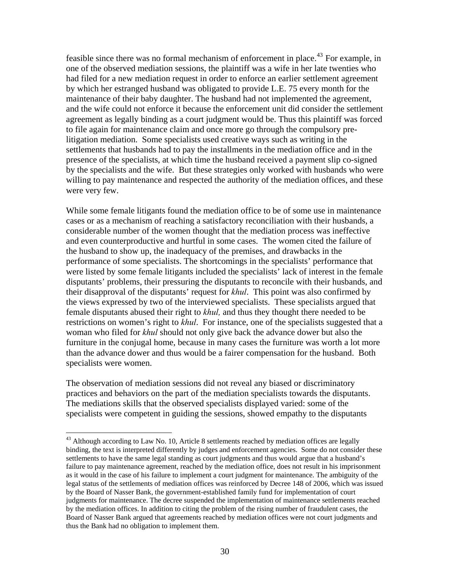feasible since there was no formal mechanism of enforcement in place.<sup>[43](#page-30-0)</sup> For example, in one of the observed mediation sessions, the plaintiff was a wife in her late twenties who had filed for a new mediation request in order to enforce an earlier settlement agreement by which her estranged husband was obligated to provide L.E. 75 every month for the maintenance of their baby daughter. The husband had not implemented the agreement, and the wife could not enforce it because the enforcement unit did consider the settlement agreement as legally binding as a court judgment would be. Thus this plaintiff was forced to file again for maintenance claim and once more go through the compulsory prelitigation mediation. Some specialists used creative ways such as writing in the settlements that husbands had to pay the installments in the mediation office and in the presence of the specialists, at which time the husband received a payment slip co-signed by the specialists and the wife. But these strategies only worked with husbands who were willing to pay maintenance and respected the authority of the mediation offices, and these were very few.

While some female litigants found the mediation office to be of some use in maintenance cases or as a mechanism of reaching a satisfactory reconciliation with their husbands, a considerable number of the women thought that the mediation process was ineffective and even counterproductive and hurtful in some cases. The women cited the failure of the husband to show up, the inadequacy of the premises, and drawbacks in the performance of some specialists. The shortcomings in the specialists' performance that were listed by some female litigants included the specialists' lack of interest in the female disputants' problems, their pressuring the disputants to reconcile with their husbands, and their disapproval of the disputants' request for *khul*. This point was also confirmed by the views expressed by two of the interviewed specialists. These specialists argued that female disputants abused their right to *khul,* and thus they thought there needed to be restrictions on women's right to *khul*. For instance, one of the specialists suggested that a woman who filed for *khul* should not only give back the advance dower but also the furniture in the conjugal home, because in many cases the furniture was worth a lot more than the advance dower and thus would be a fairer compensation for the husband. Both specialists were women.

The observation of mediation sessions did not reveal any biased or discriminatory practices and behaviors on the part of the mediation specialists towards the disputants. The mediations skills that the observed specialists displayed varied: some of the specialists were competent in guiding the sessions, showed empathy to the disputants

<span id="page-30-0"></span><sup>&</sup>lt;sup>43</sup> Although according to Law No. 10, Article 8 settlements reached by mediation offices are legally binding, the text is interpreted differently by judges and enforcement agencies. Some do not consider these settlements to have the same legal standing as court judgments and thus would argue that a husband's failure to pay maintenance agreement, reached by the mediation office, does not result in his imprisonment as it would in the case of his failure to implement a court judgment for maintenance. The ambiguity of the legal status of the settlements of mediation offices was reinforced by Decree 148 of 2006, which was issued by the Board of Nasser Bank, the government-established family fund for implementation of court judgments for maintenance. The decree suspended the implementation of maintenance settlements reached by the mediation offices. In addition to citing the problem of the rising number of fraudulent cases, the Board of Nasser Bank argued that agreements reached by mediation offices were not court judgments and thus the Bank had no obligation to implement them.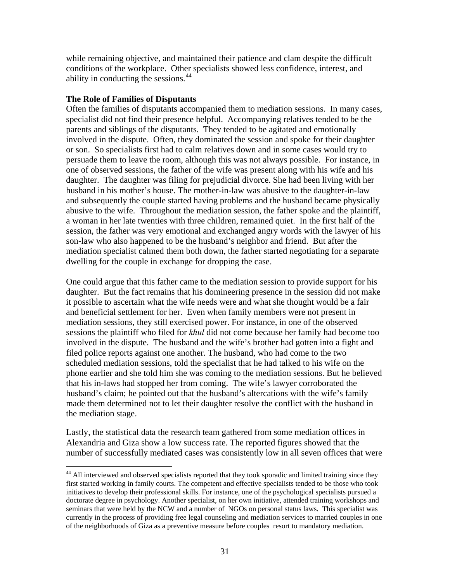while remaining objective, and maintained their patience and clam despite the difficult conditions of the workplace. Other specialists showed less confidence, interest, and ability in conducting the sessions.<sup>[44](#page-31-0)</sup>

#### **The Role of Families of Disputants**

 $\overline{a}$ 

Often the families of disputants accompanied them to mediation sessions. In many cases, specialist did not find their presence helpful. Accompanying relatives tended to be the parents and siblings of the disputants. They tended to be agitated and emotionally involved in the dispute. Often, they dominated the session and spoke for their daughter or son. So specialists first had to calm relatives down and in some cases would try to persuade them to leave the room, although this was not always possible. For instance, in one of observed sessions, the father of the wife was present along with his wife and his daughter. The daughter was filing for prejudicial divorce. She had been living with her husband in his mother's house. The mother-in-law was abusive to the daughter-in-law and subsequently the couple started having problems and the husband became physically abusive to the wife. Throughout the mediation session, the father spoke and the plaintiff, a woman in her late twenties with three children, remained quiet. In the first half of the session, the father was very emotional and exchanged angry words with the lawyer of his son-law who also happened to be the husband's neighbor and friend. But after the mediation specialist calmed them both down, the father started negotiating for a separate dwelling for the couple in exchange for dropping the case.

One could argue that this father came to the mediation session to provide support for his daughter. But the fact remains that his domineering presence in the session did not make it possible to ascertain what the wife needs were and what she thought would be a fair and beneficial settlement for her. Even when family members were not present in mediation sessions, they still exercised power. For instance, in one of the observed sessions the plaintiff who filed for *khul* did not come because her family had become too involved in the dispute. The husband and the wife's brother had gotten into a fight and filed police reports against one another. The husband, who had come to the two scheduled mediation sessions, told the specialist that he had talked to his wife on the phone earlier and she told him she was coming to the mediation sessions. But he believed that his in-laws had stopped her from coming. The wife's lawyer corroborated the husband's claim; he pointed out that the husband's altercations with the wife's family made them determined not to let their daughter resolve the conflict with the husband in the mediation stage.

Lastly, the statistical data the research team gathered from some mediation offices in Alexandria and Giza show a low success rate. The reported figures showed that the number of successfully mediated cases was consistently low in all seven offices that were

<span id="page-31-0"></span><sup>&</sup>lt;sup>44</sup> All interviewed and observed specialists reported that they took sporadic and limited training since they first started working in family courts. The competent and effective specialists tended to be those who took initiatives to develop their professional skills. For instance, one of the psychological specialists pursued a doctorate degree in psychology. Another specialist, on her own initiative, attended training workshops and seminars that were held by the NCW and a number of NGOs on personal status laws. This specialist was currently in the process of providing free legal counseling and mediation services to married couples in one of the neighborhoods of Giza as a preventive measure before couples resort to mandatory mediation.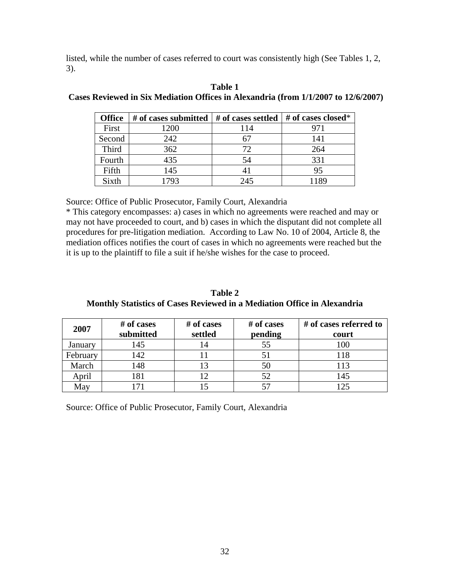listed, while the number of cases referred to court was consistently high (See Tables 1, 2, 3).

| <b>Office</b> | # of cases submitted $\vert \#$ of cases settled $\vert \#$ of cases closed* |     |     |
|---------------|------------------------------------------------------------------------------|-----|-----|
| First         | 1200                                                                         | 114 | 971 |
| Second        | 242                                                                          |     | 141 |
| Third         | 362                                                                          | 72  | 264 |
| Fourth        | 435                                                                          | 54  | 331 |
| Fifth         | 145                                                                          | 41  | 95  |
| Sixth         | 1793                                                                         | 245 | 189 |

#### **Table 1 Cases Reviewed in Six Mediation Offices in Alexandria (from 1/1/2007 to 12/6/2007)**

Source: Office of Public Prosecutor, Family Court, Alexandria

\* This category encompasses: a) cases in which no agreements were reached and may or may not have proceeded to court, and b) cases in which the disputant did not complete all procedures for pre-litigation mediation. According to Law No. 10 of 2004, Article 8, the mediation offices notifies the court of cases in which no agreements were reached but the it is up to the plaintiff to file a suit if he/she wishes for the case to proceed.

**Table 2 Monthly Statistics of Cases Reviewed in a Mediation Office in Alexandria** 

| 2007     | # of cases<br>submitted | # of cases<br>settled | # of cases<br>pending | # of cases referred to<br>court |
|----------|-------------------------|-----------------------|-----------------------|---------------------------------|
| January  | 145                     | 14                    |                       | 100                             |
| February | 142                     |                       |                       | 118                             |
| March    | 148                     |                       | 50                    | 113                             |
| April    | 81                      |                       | 52                    | 145                             |
| May      |                         |                       |                       | ∣ 25                            |

Source: Office of Public Prosecutor, Family Court, Alexandria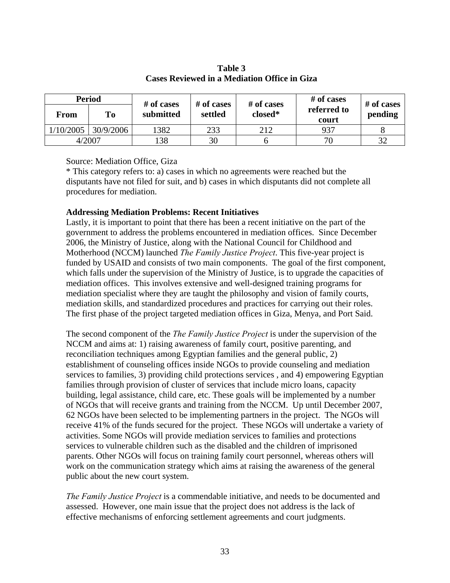| <b>Period</b> |           | # of cases<br># of cases | # of cases | # of cases | # of cases           |         |
|---------------|-----------|--------------------------|------------|------------|----------------------|---------|
| From          | To        | submitted                | settled    | closed*    | referred to<br>court | pending |
| 1/10/2005     | 30/9/2006 | 1382                     | 233        | 212        | 937                  |         |
|               | 4/2007    | 138                      | 30         |            | 70                   | 32      |

## **Table 3 Cases Reviewed in a Mediation Office in Giza**

Source: Mediation Office, Giza

\* This category refers to: a) cases in which no agreements were reached but the disputants have not filed for suit, and b) cases in which disputants did not complete all procedures for mediation.

## **Addressing Mediation Problems: Recent Initiatives**

Lastly, it is important to point that there has been a recent initiative on the part of the government to address the problems encountered in mediation offices. Since December 2006, the Ministry of Justice, along with the National Council for Childhood and Motherhood (NCCM) launched *The Family Justice Project*. This five-year project is funded by USAID and consists of two main components. The goal of the first component, which falls under the supervision of the Ministry of Justice, is to upgrade the capacities of mediation offices. This involves extensive and well-designed training programs for mediation specialist where they are taught the philosophy and vision of family courts, mediation skills, and standardized procedures and practices for carrying out their roles. The first phase of the project targeted mediation offices in Giza, Menya, and Port Said.

The second component of the *The Family Justice Project* is under the supervision of the NCCM and aims at: 1) raising awareness of family court, positive parenting, and reconciliation techniques among Egyptian families and the general public, 2) establishment of counseling offices inside NGOs to provide counseling and mediation services to families, 3) providing child protections services , and 4) empowering Egyptian families through provision of cluster of services that include micro loans, capacity building, legal assistance, child care, etc. These goals will be implemented by a number of NGOs that will receive grants and training from the NCCM. Up until December 2007, 62 NGOs have been selected to be implementing partners in the project. The NGOs will receive 41% of the funds secured for the project. These NGOs will undertake a variety of activities. Some NGOs will provide mediation services to families and protections services to vulnerable children such as the disabled and the children of imprisoned parents. Other NGOs will focus on training family court personnel, whereas others will work on the communication strategy which aims at raising the awareness of the general public about the new court system.

*The Family Justice Project* is a commendable initiative, and needs to be documented and assessed. However, one main issue that the project does not address is the lack of effective mechanisms of enforcing settlement agreements and court judgments.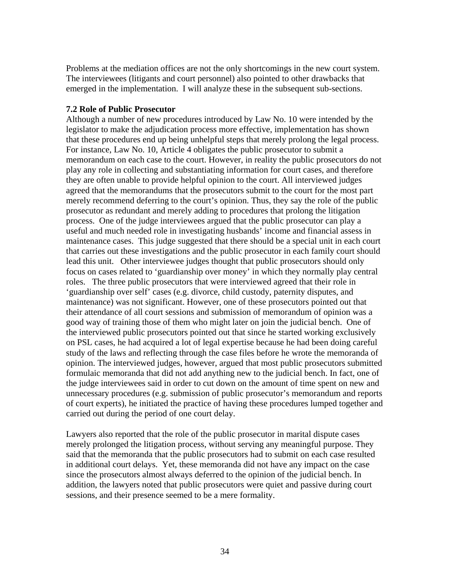Problems at the mediation offices are not the only shortcomings in the new court system. The interviewees (litigants and court personnel) also pointed to other drawbacks that emerged in the implementation. I will analyze these in the subsequent sub-sections.

#### **7.2 Role of Public Prosecutor**

Although a number of new procedures introduced by Law No. 10 were intended by the legislator to make the adjudication process more effective, implementation has shown that these procedures end up being unhelpful steps that merely prolong the legal process. For instance, Law No. 10, Article 4 obligates the public prosecutor to submit a memorandum on each case to the court. However, in reality the public prosecutors do not play any role in collecting and substantiating information for court cases, and therefore they are often unable to provide helpful opinion to the court. All interviewed judges agreed that the memorandums that the prosecutors submit to the court for the most part merely recommend deferring to the court's opinion. Thus, they say the role of the public prosecutor as redundant and merely adding to procedures that prolong the litigation process. One of the judge interviewees argued that the public prosecutor can play a useful and much needed role in investigating husbands' income and financial assess in maintenance cases. This judge suggested that there should be a special unit in each court that carries out these investigations and the public prosecutor in each family court should lead this unit. Other interviewee judges thought that public prosecutors should only focus on cases related to 'guardianship over money' in which they normally play central roles. The three public prosecutors that were interviewed agreed that their role in 'guardianship over self' cases (e.g. divorce, child custody, paternity disputes, and maintenance) was not significant. However, one of these prosecutors pointed out that their attendance of all court sessions and submission of memorandum of opinion was a good way of training those of them who might later on join the judicial bench. One of the interviewed public prosecutors pointed out that since he started working exclusively on PSL cases, he had acquired a lot of legal expertise because he had been doing careful study of the laws and reflecting through the case files before he wrote the memoranda of opinion. The interviewed judges, however, argued that most public prosecutors submitted formulaic memoranda that did not add anything new to the judicial bench. In fact, one of the judge interviewees said in order to cut down on the amount of time spent on new and unnecessary procedures (e.g. submission of public prosecutor's memorandum and reports of court experts), he initiated the practice of having these procedures lumped together and carried out during the period of one court delay.

Lawyers also reported that the role of the public prosecutor in marital dispute cases merely prolonged the litigation process, without serving any meaningful purpose. They said that the memoranda that the public prosecutors had to submit on each case resulted in additional court delays. Yet, these memoranda did not have any impact on the case since the prosecutors almost always deferred to the opinion of the judicial bench. In addition, the lawyers noted that public prosecutors were quiet and passive during court sessions, and their presence seemed to be a mere formality.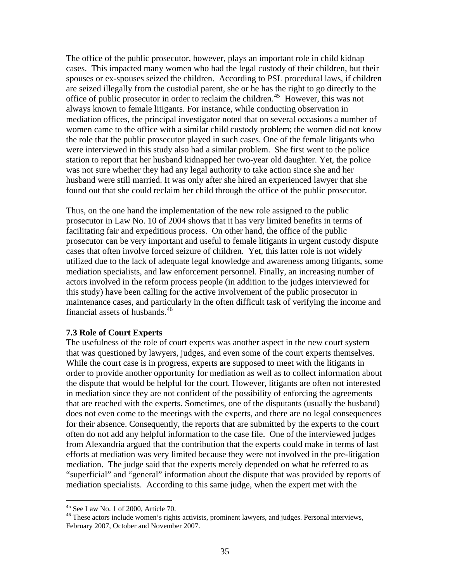The office of the public prosecutor, however, plays an important role in child kidnap cases. This impacted many women who had the legal custody of their children, but their spouses or ex-spouses seized the children. According to PSL procedural laws, if children are seized illegally from the custodial parent, she or he has the right to go directly to the office of public prosecutor in order to reclaim the children.<sup>[45](#page-35-0)</sup> However, this was not always known to female litigants. For instance, while conducting observation in mediation offices, the principal investigator noted that on several occasions a number of women came to the office with a similar child custody problem; the women did not know the role that the public prosecutor played in such cases. One of the female litigants who were interviewed in this study also had a similar problem. She first went to the police station to report that her husband kidnapped her two-year old daughter. Yet, the police was not sure whether they had any legal authority to take action since she and her husband were still married. It was only after she hired an experienced lawyer that she found out that she could reclaim her child through the office of the public prosecutor.

Thus, on the one hand the implementation of the new role assigned to the public prosecutor in Law No. 10 of 2004 shows that it has very limited benefits in terms of facilitating fair and expeditious process. On other hand, the office of the public prosecutor can be very important and useful to female litigants in urgent custody dispute cases that often involve forced seizure of children. Yet, this latter role is not widely utilized due to the lack of adequate legal knowledge and awareness among litigants, some mediation specialists, and law enforcement personnel. Finally, an increasing number of actors involved in the reform process people (in addition to the judges interviewed for this study) have been calling for the active involvement of the public prosecutor in maintenance cases, and particularly in the often difficult task of verifying the income and financial assets of husbands.<sup>[46](#page-35-1)</sup>

#### **7.3 Role of Court Experts**

The usefulness of the role of court experts was another aspect in the new court system that was questioned by lawyers, judges, and even some of the court experts themselves. While the court case is in progress, experts are supposed to meet with the litigants in order to provide another opportunity for mediation as well as to collect information about the dispute that would be helpful for the court. However, litigants are often not interested in mediation since they are not confident of the possibility of enforcing the agreements that are reached with the experts. Sometimes, one of the disputants (usually the husband) does not even come to the meetings with the experts, and there are no legal consequences for their absence. Consequently, the reports that are submitted by the experts to the court often do not add any helpful information to the case file. One of the interviewed judges from Alexandria argued that the contribution that the experts could make in terms of last efforts at mediation was very limited because they were not involved in the pre-litigation mediation. The judge said that the experts merely depended on what he referred to as "superficial" and "general" information about the dispute that was provided by reports of mediation specialists. According to this same judge, when the expert met with the

<span id="page-35-0"></span><sup>45</sup> See Law No. 1 of 2000, Article 70.

<span id="page-35-1"></span><sup>&</sup>lt;sup>46</sup> These actors include women's rights activists, prominent lawyers, and judges. Personal interviews, February 2007, October and November 2007.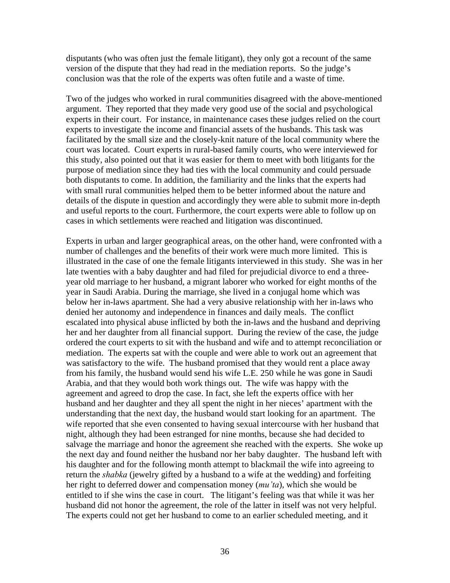disputants (who was often just the female litigant), they only got a recount of the same version of the dispute that they had read in the mediation reports. So the judge's conclusion was that the role of the experts was often futile and a waste of time.

Two of the judges who worked in rural communities disagreed with the above-mentioned argument. They reported that they made very good use of the social and psychological experts in their court. For instance, in maintenance cases these judges relied on the court experts to investigate the income and financial assets of the husbands. This task was facilitated by the small size and the closely-knit nature of the local community where the court was located. Court experts in rural-based family courts, who were interviewed for this study, also pointed out that it was easier for them to meet with both litigants for the purpose of mediation since they had ties with the local community and could persuade both disputants to come. In addition, the familiarity and the links that the experts had with small rural communities helped them to be better informed about the nature and details of the dispute in question and accordingly they were able to submit more in-depth and useful reports to the court. Furthermore, the court experts were able to follow up on cases in which settlements were reached and litigation was discontinued.

Experts in urban and larger geographical areas, on the other hand, were confronted with a number of challenges and the benefits of their work were much more limited. This is illustrated in the case of one the female litigants interviewed in this study. She was in her late twenties with a baby daughter and had filed for prejudicial divorce to end a threeyear old marriage to her husband, a migrant laborer who worked for eight months of the year in Saudi Arabia. During the marriage, she lived in a conjugal home which was below her in-laws apartment. She had a very abusive relationship with her in-laws who denied her autonomy and independence in finances and daily meals. The conflict escalated into physical abuse inflicted by both the in-laws and the husband and depriving her and her daughter from all financial support. During the review of the case, the judge ordered the court experts to sit with the husband and wife and to attempt reconciliation or mediation. The experts sat with the couple and were able to work out an agreement that was satisfactory to the wife. The husband promised that they would rent a place away from his family, the husband would send his wife L.E. 250 while he was gone in Saudi Arabia, and that they would both work things out. The wife was happy with the agreement and agreed to drop the case. In fact, she left the experts office with her husband and her daughter and they all spent the night in her nieces' apartment with the understanding that the next day, the husband would start looking for an apartment. The wife reported that she even consented to having sexual intercourse with her husband that night, although they had been estranged for nine months, because she had decided to salvage the marriage and honor the agreement she reached with the experts. She woke up the next day and found neither the husband nor her baby daughter. The husband left with his daughter and for the following month attempt to blackmail the wife into agreeing to return the *shabka* (jewelry gifted by a husband to a wife at the wedding) and forfeiting her right to deferred dower and compensation money (*mu'ta*), which she would be entitled to if she wins the case in court. The litigant's feeling was that while it was her husband did not honor the agreement, the role of the latter in itself was not very helpful. The experts could not get her husband to come to an earlier scheduled meeting, and it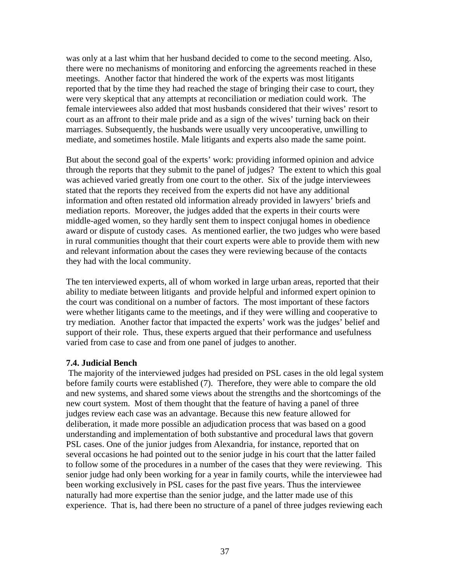was only at a last whim that her husband decided to come to the second meeting. Also, there were no mechanisms of monitoring and enforcing the agreements reached in these meetings. Another factor that hindered the work of the experts was most litigants reported that by the time they had reached the stage of bringing their case to court, they were very skeptical that any attempts at reconciliation or mediation could work. The female interviewees also added that most husbands considered that their wives' resort to court as an affront to their male pride and as a sign of the wives' turning back on their marriages. Subsequently, the husbands were usually very uncooperative, unwilling to mediate, and sometimes hostile. Male litigants and experts also made the same point.

But about the second goal of the experts' work: providing informed opinion and advice through the reports that they submit to the panel of judges? The extent to which this goal was achieved varied greatly from one court to the other. Six of the judge interviewees stated that the reports they received from the experts did not have any additional information and often restated old information already provided in lawyers' briefs and mediation reports. Moreover, the judges added that the experts in their courts were middle-aged women, so they hardly sent them to inspect conjugal homes in obedience award or dispute of custody cases. As mentioned earlier, the two judges who were based in rural communities thought that their court experts were able to provide them with new and relevant information about the cases they were reviewing because of the contacts they had with the local community.

The ten interviewed experts, all of whom worked in large urban areas, reported that their ability to mediate between litigants and provide helpful and informed expert opinion to the court was conditional on a number of factors. The most important of these factors were whether litigants came to the meetings, and if they were willing and cooperative to try mediation. Another factor that impacted the experts' work was the judges' belief and support of their role. Thus, these experts argued that their performance and usefulness varied from case to case and from one panel of judges to another.

## **7.4. Judicial Bench**

 The majority of the interviewed judges had presided on PSL cases in the old legal system before family courts were established (7). Therefore, they were able to compare the old and new systems, and shared some views about the strengths and the shortcomings of the new court system. Most of them thought that the feature of having a panel of three judges review each case was an advantage. Because this new feature allowed for deliberation, it made more possible an adjudication process that was based on a good understanding and implementation of both substantive and procedural laws that govern PSL cases. One of the junior judges from Alexandria, for instance, reported that on several occasions he had pointed out to the senior judge in his court that the latter failed to follow some of the procedures in a number of the cases that they were reviewing. This senior judge had only been working for a year in family courts, while the interviewee had been working exclusively in PSL cases for the past five years. Thus the interviewee naturally had more expertise than the senior judge, and the latter made use of this experience. That is, had there been no structure of a panel of three judges reviewing each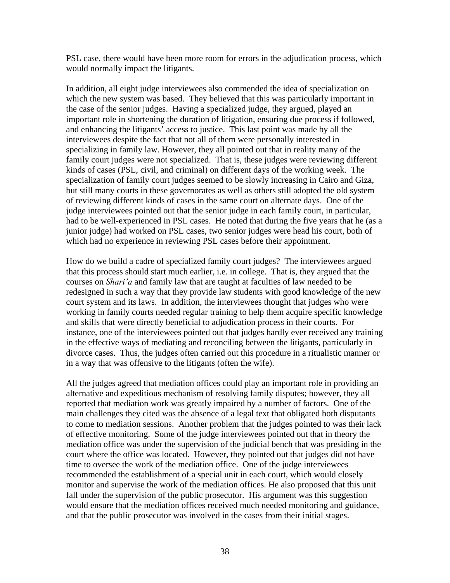PSL case, there would have been more room for errors in the adjudication process, which would normally impact the litigants.

In addition, all eight judge interviewees also commended the idea of specialization on which the new system was based. They believed that this was particularly important in the case of the senior judges. Having a specialized judge, they argued, played an important role in shortening the duration of litigation, ensuring due process if followed, and enhancing the litigants' access to justice. This last point was made by all the interviewees despite the fact that not all of them were personally interested in specializing in family law. However, they all pointed out that in reality many of the family court judges were not specialized. That is, these judges were reviewing different kinds of cases (PSL, civil, and criminal) on different days of the working week. The specialization of family court judges seemed to be slowly increasing in Cairo and Giza, but still many courts in these governorates as well as others still adopted the old system of reviewing different kinds of cases in the same court on alternate days. One of the judge interviewees pointed out that the senior judge in each family court, in particular, had to be well-experienced in PSL cases. He noted that during the five years that he (as a junior judge) had worked on PSL cases, two senior judges were head his court, both of which had no experience in reviewing PSL cases before their appointment.

How do we build a cadre of specialized family court judges? The interviewees argued that this process should start much earlier, i.e. in college. That is, they argued that the courses on *Shari'a* and family law that are taught at faculties of law needed to be redesigned in such a way that they provide law students with good knowledge of the new court system and its laws. In addition, the interviewees thought that judges who were working in family courts needed regular training to help them acquire specific knowledge and skills that were directly beneficial to adjudication process in their courts. For instance, one of the interviewees pointed out that judges hardly ever received any training in the effective ways of mediating and reconciling between the litigants, particularly in divorce cases. Thus, the judges often carried out this procedure in a ritualistic manner or in a way that was offensive to the litigants (often the wife).

All the judges agreed that mediation offices could play an important role in providing an alternative and expeditious mechanism of resolving family disputes; however, they all reported that mediation work was greatly impaired by a number of factors. One of the main challenges they cited was the absence of a legal text that obligated both disputants to come to mediation sessions. Another problem that the judges pointed to was their lack of effective monitoring. Some of the judge interviewees pointed out that in theory the mediation office was under the supervision of the judicial bench that was presiding in the court where the office was located. However, they pointed out that judges did not have time to oversee the work of the mediation office. One of the judge interviewees recommended the establishment of a special unit in each court, which would closely monitor and supervise the work of the mediation offices. He also proposed that this unit fall under the supervision of the public prosecutor. His argument was this suggestion would ensure that the mediation offices received much needed monitoring and guidance, and that the public prosecutor was involved in the cases from their initial stages.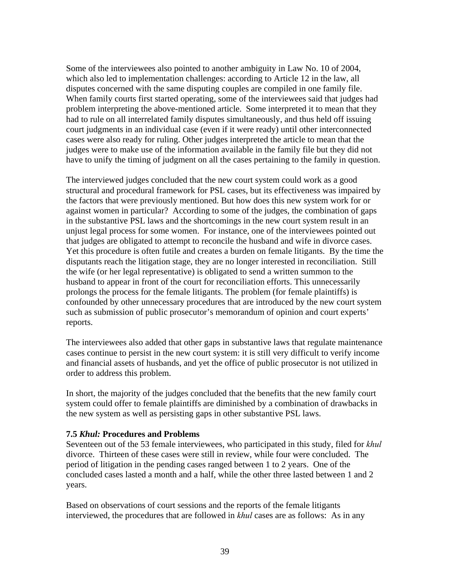Some of the interviewees also pointed to another ambiguity in Law No. 10 of 2004, which also led to implementation challenges: according to Article 12 in the law, all disputes concerned with the same disputing couples are compiled in one family file. When family courts first started operating, some of the interviewees said that judges had problem interpreting the above-mentioned article. Some interpreted it to mean that they had to rule on all interrelated family disputes simultaneously, and thus held off issuing court judgments in an individual case (even if it were ready) until other interconnected cases were also ready for ruling. Other judges interpreted the article to mean that the judges were to make use of the information available in the family file but they did not have to unify the timing of judgment on all the cases pertaining to the family in question.

The interviewed judges concluded that the new court system could work as a good structural and procedural framework for PSL cases, but its effectiveness was impaired by the factors that were previously mentioned. But how does this new system work for or against women in particular? According to some of the judges, the combination of gaps in the substantive PSL laws and the shortcomings in the new court system result in an unjust legal process for some women. For instance, one of the interviewees pointed out that judges are obligated to attempt to reconcile the husband and wife in divorce cases. Yet this procedure is often futile and creates a burden on female litigants. By the time the disputants reach the litigation stage, they are no longer interested in reconciliation. Still the wife (or her legal representative) is obligated to send a written summon to the husband to appear in front of the court for reconciliation efforts. This unnecessarily prolongs the process for the female litigants. The problem (for female plaintiffs) is confounded by other unnecessary procedures that are introduced by the new court system such as submission of public prosecutor's memorandum of opinion and court experts' reports.

The interviewees also added that other gaps in substantive laws that regulate maintenance cases continue to persist in the new court system: it is still very difficult to verify income and financial assets of husbands, and yet the office of public prosecutor is not utilized in order to address this problem.

In short, the majority of the judges concluded that the benefits that the new family court system could offer to female plaintiffs are diminished by a combination of drawbacks in the new system as well as persisting gaps in other substantive PSL laws.

## **7.5** *Khul:* **Procedures and Problems**

Seventeen out of the 53 female interviewees, who participated in this study, filed for *khul*  divorce. Thirteen of these cases were still in review, while four were concluded. The period of litigation in the pending cases ranged between 1 to 2 years. One of the concluded cases lasted a month and a half, while the other three lasted between 1 and 2 years.

Based on observations of court sessions and the reports of the female litigants interviewed, the procedures that are followed in *khul* cases are as follows: As in any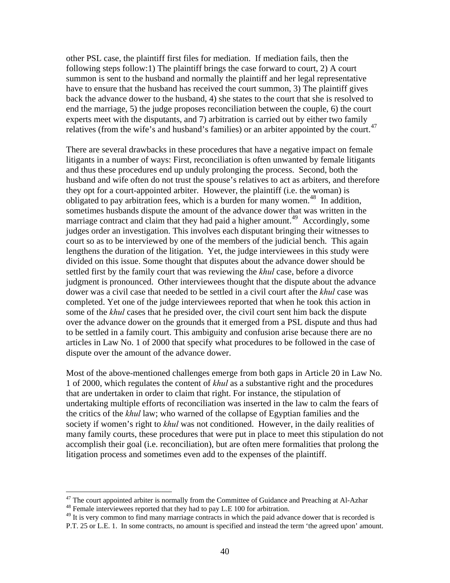other PSL case, the plaintiff first files for mediation. If mediation fails, then the following steps follow:1) The plaintiff brings the case forward to court, 2) A court summon is sent to the husband and normally the plaintiff and her legal representative have to ensure that the husband has received the court summon, 3) The plaintiff gives back the advance dower to the husband, 4) she states to the court that she is resolved to end the marriage, 5) the judge proposes reconciliation between the couple, 6) the court experts meet with the disputants, and 7) arbitration is carried out by either two family relatives (from the wife's and husband's families) or an arbiter appointed by the court.<sup>[47](#page-40-0)</sup>

There are several drawbacks in these procedures that have a negative impact on female litigants in a number of ways: First, reconciliation is often unwanted by female litigants and thus these procedures end up unduly prolonging the process. Second, both the husband and wife often do not trust the spouse's relatives to act as arbiters, and therefore they opt for a court-appointed arbiter. However, the plaintiff (i.e. the woman) is obligated to pay arbitration fees, which is a burden for many women.<sup>[48](#page-40-1)</sup> In addition, sometimes husbands dispute the amount of the advance dower that was written in the marriage contract and claim that they had paid a higher amount.<sup>[49](#page-40-2)</sup> Accordingly, some judges order an investigation. This involves each disputant bringing their witnesses to court so as to be interviewed by one of the members of the judicial bench. This again lengthens the duration of the litigation. Yet, the judge interviewees in this study were divided on this issue. Some thought that disputes about the advance dower should be settled first by the family court that was reviewing the *khul* case, before a divorce judgment is pronounced. Other interviewees thought that the dispute about the advance dower was a civil case that needed to be settled in a civil court after the *khul* case was completed. Yet one of the judge interviewees reported that when he took this action in some of the *khul* cases that he presided over, the civil court sent him back the dispute over the advance dower on the grounds that it emerged from a PSL dispute and thus had to be settled in a family court. This ambiguity and confusion arise because there are no articles in Law No. 1 of 2000 that specify what procedures to be followed in the case of dispute over the amount of the advance dower.

Most of the above-mentioned challenges emerge from both gaps in Article 20 in Law No. 1 of 2000, which regulates the content of *khul* as a substantive right and the procedures that are undertaken in order to claim that right. For instance, the stipulation of undertaking multiple efforts of reconciliation was inserted in the law to calm the fears of the critics of the *khul* law; who warned of the collapse of Egyptian families and the society if women's right to *khul* was not conditioned. However, in the daily realities of many family courts, these procedures that were put in place to meet this stipulation do not accomplish their goal (i.e. reconciliation), but are often mere formalities that prolong the litigation process and sometimes even add to the expenses of the plaintiff.

<span id="page-40-0"></span><sup>&</sup>lt;sup>47</sup> The court appointed arbiter is normally from the Committee of Guidance and Preaching at Al-Azhar  $^{48}$  Female interviewees reported that they had to pay L.E 100 for arbitration.

<span id="page-40-2"></span><span id="page-40-1"></span><sup>&</sup>lt;sup>49</sup> It is very common to find many marriage contracts in which the paid advance dower that is recorded is P.T. 25 or L.E. 1. In some contracts, no amount is specified and instead the term 'the agreed upon' amount.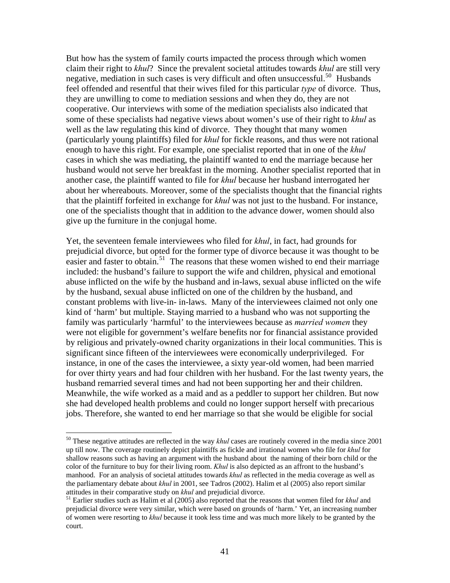But how has the system of family courts impacted the process through which women claim their right to *khul*? Since the prevalent societal attitudes towards *khul* are still very negative, mediation in such cases is very difficult and often unsuccessful.<sup>[50](#page-41-0)</sup> Husbands feel offended and resentful that their wives filed for this particular *type* of divorce. Thus, they are unwilling to come to mediation sessions and when they do, they are not cooperative. Our interviews with some of the mediation specialists also indicated that some of these specialists had negative views about women's use of their right to *khul* as well as the law regulating this kind of divorce. They thought that many women (particularly young plaintiffs) filed for *khul* for fickle reasons, and thus were not rational enough to have this right. For example, one specialist reported that in one of the *khul* cases in which she was mediating, the plaintiff wanted to end the marriage because her husband would not serve her breakfast in the morning. Another specialist reported that in another case, the plaintiff wanted to file for *khul* because her husband interrogated her about her whereabouts. Moreover, some of the specialists thought that the financial rights that the plaintiff forfeited in exchange for *khul* was not just to the husband. For instance, one of the specialists thought that in addition to the advance dower, women should also give up the furniture in the conjugal home.

Yet, the seventeen female interviewees who filed for *khul*, in fact, had grounds for prejudicial divorce, but opted for the former type of divorce because it was thought to be easier and faster to obtain.<sup>[51](#page-41-1)</sup> The reasons that these women wished to end their marriage included: the husband's failure to support the wife and children, physical and emotional abuse inflicted on the wife by the husband and in-laws, sexual abuse inflicted on the wife by the husband, sexual abuse inflicted on one of the children by the husband, and constant problems with live-in- in-laws. Many of the interviewees claimed not only one kind of 'harm' but multiple. Staying married to a husband who was not supporting the family was particularly 'harmful' to the interviewees because as *married women* they were not eligible for government's welfare benefits nor for financial assistance provided by religious and privately-owned charity organizations in their local communities. This is significant since fifteen of the interviewees were economically underprivileged. For instance, in one of the cases the interviewee, a sixty year-old women, had been married for over thirty years and had four children with her husband. For the last twenty years, the husband remarried several times and had not been supporting her and their children. Meanwhile, the wife worked as a maid and as a peddler to support her children. But now she had developed health problems and could no longer support herself with precarious jobs. Therefore, she wanted to end her marriage so that she would be eligible for social

1

<span id="page-41-0"></span><sup>50</sup> These negative attitudes are reflected in the way *khul* cases are routinely covered in the media since 2001 up till now. The coverage routinely depict plaintiffs as fickle and irrational women who file for *khul* for shallow reasons such as having an argument with the husband about the naming of their born child or the color of the furniture to buy for their living room. *Khul* is also depicted as an affront to the husband's manhood. For an analysis of societal attitudes towards *khul* as reflected in the media coverage as well as the parliamentary debate about *khul* in 2001, see Tadros (2002). Halim et al (2005) also report similar attitudes in their comparative study on *khul* and prejudicial divorce. 51 Earlier studies such as Halim et al (2005) also reported that the reasons that women filed for *khul* and

<span id="page-41-1"></span>prejudicial divorce were very similar, which were based on grounds of 'harm.' Yet, an increasing number of women were resorting to *khul* because it took less time and was much more likely to be granted by the court.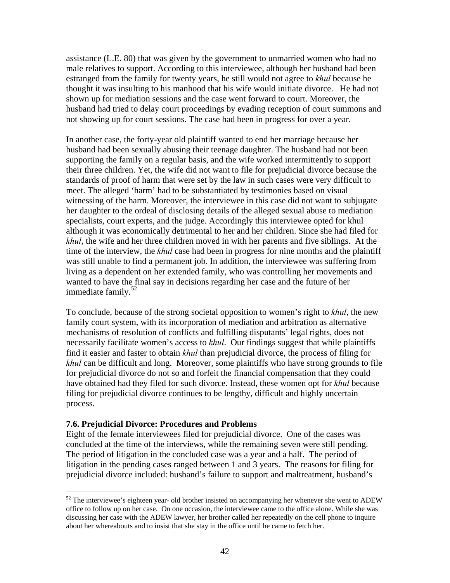assistance (L.E. 80) that was given by the government to unmarried women who had no male relatives to support. According to this interviewee, although her husband had been estranged from the family for twenty years, he still would not agree to *khul* because he thought it was insulting to his manhood that his wife would initiate divorce. He had not shown up for mediation sessions and the case went forward to court. Moreover, the husband had tried to delay court proceedings by evading reception of court summons and not showing up for court sessions. The case had been in progress for over a year.

In another case, the forty-year old plaintiff wanted to end her marriage because her husband had been sexually abusing their teenage daughter. The husband had not been supporting the family on a regular basis, and the wife worked intermittently to support their three children. Yet, the wife did not want to file for prejudicial divorce because the standards of proof of harm that were set by the law in such cases were very difficult to meet. The alleged 'harm' had to be substantiated by testimonies based on visual witnessing of the harm. Moreover, the interviewee in this case did not want to subjugate her daughter to the ordeal of disclosing details of the alleged sexual abuse to mediation specialists, court experts, and the judge. Accordingly this interviewee opted for khul although it was economically detrimental to her and her children. Since she had filed for *khul*, the wife and her three children moved in with her parents and five siblings. At the time of the interview, the *khul* case had been in progress for nine months and the plaintiff was still unable to find a permanent job. In addition, the interviewee was suffering from living as a dependent on her extended family, who was controlling her movements and wanted to have the final say in decisions regarding her case and the future of her immediate family.<sup>[52](#page-42-0)</sup>

To conclude, because of the strong societal opposition to women's right to *khul*, the new family court system, with its incorporation of mediation and arbitration as alternative mechanisms of resolution of conflicts and fulfilling disputants' legal rights, does not necessarily facilitate women's access to *khul*. Our findings suggest that while plaintiffs find it easier and faster to obtain *khul* than prejudicial divorce, the process of filing for *khul* can be difficult and long. Moreover, some plaintiffs who have strong grounds to file for prejudicial divorce do not so and forfeit the financial compensation that they could have obtained had they filed for such divorce. Instead, these women opt for *khul* because filing for prejudicial divorce continues to be lengthy, difficult and highly uncertain process.

#### **7.6. Prejudicial Divorce: Procedures and Problems**

 $\overline{a}$ 

Eight of the female interviewees filed for prejudicial divorce. One of the cases was concluded at the time of the interviews, while the remaining seven were still pending. The period of litigation in the concluded case was a year and a half. The period of litigation in the pending cases ranged between 1 and 3 years. The reasons for filing for prejudicial divorce included: husband's failure to support and maltreatment, husband's

<span id="page-42-0"></span> $52$  The interviewee's eighteen year- old brother insisted on accompanying her whenever she went to ADEW office to follow up on her case. On one occasion, the interviewee came to the office alone. While she was discussing her case with the ADEW lawyer, her brother called her repeatedly on the cell phone to inquire about her whereabouts and to insist that she stay in the office until he came to fetch her.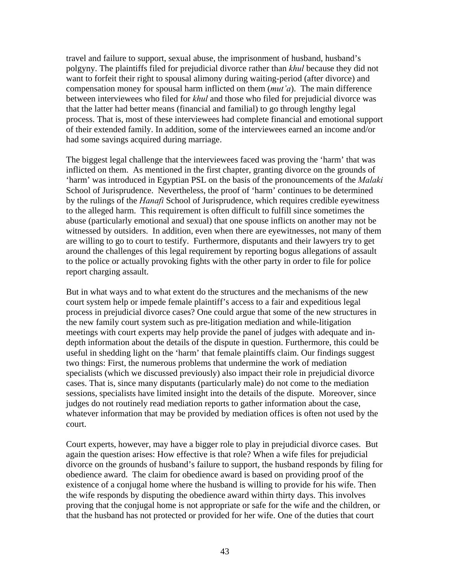travel and failure to support, sexual abuse, the imprisonment of husband, husband's polgyny. The plaintiffs filed for prejudicial divorce rather than *khul* because they did not want to forfeit their right to spousal alimony during waiting-period (after divorce) and compensation money for spousal harm inflicted on them (*mut'a*). The main difference between interviewees who filed for *khul* and those who filed for prejudicial divorce was that the latter had better means (financial and familial) to go through lengthy legal process. That is, most of these interviewees had complete financial and emotional support of their extended family. In addition, some of the interviewees earned an income and/or had some savings acquired during marriage.

The biggest legal challenge that the interviewees faced was proving the 'harm' that was inflicted on them. As mentioned in the first chapter, granting divorce on the grounds of 'harm' was introduced in Egyptian PSL on the basis of the pronouncements of the *Malaki* School of Jurisprudence. Nevertheless, the proof of 'harm' continues to be determined by the rulings of the *Hanafi* School of Jurisprudence, which requires credible eyewitness to the alleged harm. This requirement is often difficult to fulfill since sometimes the abuse (particularly emotional and sexual) that one spouse inflicts on another may not be witnessed by outsiders. In addition, even when there are eyewitnesses, not many of them are willing to go to court to testify. Furthermore, disputants and their lawyers try to get around the challenges of this legal requirement by reporting bogus allegations of assault to the police or actually provoking fights with the other party in order to file for police report charging assault.

But in what ways and to what extent do the structures and the mechanisms of the new court system help or impede female plaintiff's access to a fair and expeditious legal process in prejudicial divorce cases? One could argue that some of the new structures in the new family court system such as pre-litigation mediation and while-litigation meetings with court experts may help provide the panel of judges with adequate and indepth information about the details of the dispute in question. Furthermore, this could be useful in shedding light on the 'harm' that female plaintiffs claim. Our findings suggest two things: First, the numerous problems that undermine the work of mediation specialists (which we discussed previously) also impact their role in prejudicial divorce cases. That is, since many disputants (particularly male) do not come to the mediation sessions, specialists have limited insight into the details of the dispute. Moreover, since judges do not routinely read mediation reports to gather information about the case, whatever information that may be provided by mediation offices is often not used by the court.

Court experts, however, may have a bigger role to play in prejudicial divorce cases. But again the question arises: How effective is that role? When a wife files for prejudicial divorce on the grounds of husband's failure to support, the husband responds by filing for obedience award. The claim for obedience award is based on providing proof of the existence of a conjugal home where the husband is willing to provide for his wife. Then the wife responds by disputing the obedience award within thirty days. This involves proving that the conjugal home is not appropriate or safe for the wife and the children, or that the husband has not protected or provided for her wife. One of the duties that court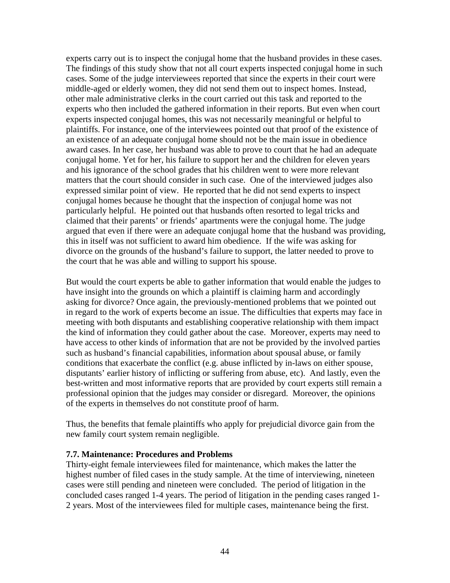experts carry out is to inspect the conjugal home that the husband provides in these cases. The findings of this study show that not all court experts inspected conjugal home in such cases. Some of the judge interviewees reported that since the experts in their court were middle-aged or elderly women, they did not send them out to inspect homes. Instead, other male administrative clerks in the court carried out this task and reported to the experts who then included the gathered information in their reports. But even when court experts inspected conjugal homes, this was not necessarily meaningful or helpful to plaintiffs. For instance, one of the interviewees pointed out that proof of the existence of an existence of an adequate conjugal home should not be the main issue in obedience award cases. In her case, her husband was able to prove to court that he had an adequate conjugal home. Yet for her, his failure to support her and the children for eleven years and his ignorance of the school grades that his children went to were more relevant matters that the court should consider in such case. One of the interviewed judges also expressed similar point of view. He reported that he did not send experts to inspect conjugal homes because he thought that the inspection of conjugal home was not particularly helpful. He pointed out that husbands often resorted to legal tricks and claimed that their parents' or friends' apartments were the conjugal home. The judge argued that even if there were an adequate conjugal home that the husband was providing, this in itself was not sufficient to award him obedience. If the wife was asking for divorce on the grounds of the husband's failure to support, the latter needed to prove to the court that he was able and willing to support his spouse.

But would the court experts be able to gather information that would enable the judges to have insight into the grounds on which a plaintiff is claiming harm and accordingly asking for divorce? Once again, the previously-mentioned problems that we pointed out in regard to the work of experts become an issue. The difficulties that experts may face in meeting with both disputants and establishing cooperative relationship with them impact the kind of information they could gather about the case. Moreover, experts may need to have access to other kinds of information that are not be provided by the involved parties such as husband's financial capabilities, information about spousal abuse, or family conditions that exacerbate the conflict (e.g. abuse inflicted by in-laws on either spouse, disputants' earlier history of inflicting or suffering from abuse, etc). And lastly, even the best-written and most informative reports that are provided by court experts still remain a professional opinion that the judges may consider or disregard. Moreover, the opinions of the experts in themselves do not constitute proof of harm.

Thus, the benefits that female plaintiffs who apply for prejudicial divorce gain from the new family court system remain negligible.

## **7.7. Maintenance: Procedures and Problems**

Thirty-eight female interviewees filed for maintenance, which makes the latter the highest number of filed cases in the study sample. At the time of interviewing, nineteen cases were still pending and nineteen were concluded. The period of litigation in the concluded cases ranged 1-4 years. The period of litigation in the pending cases ranged 1- 2 years. Most of the interviewees filed for multiple cases, maintenance being the first.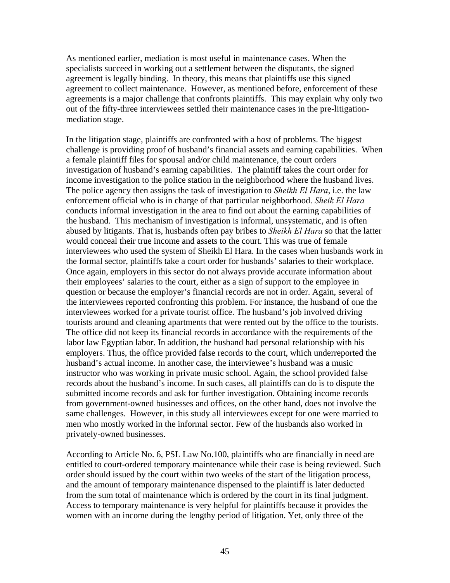As mentioned earlier, mediation is most useful in maintenance cases. When the specialists succeed in working out a settlement between the disputants, the signed agreement is legally binding. In theory, this means that plaintiffs use this signed agreement to collect maintenance. However, as mentioned before, enforcement of these agreements is a major challenge that confronts plaintiffs. This may explain why only two out of the fifty-three interviewees settled their maintenance cases in the pre-litigationmediation stage.

In the litigation stage, plaintiffs are confronted with a host of problems. The biggest challenge is providing proof of husband's financial assets and earning capabilities. When a female plaintiff files for spousal and/or child maintenance, the court orders investigation of husband's earning capabilities. The plaintiff takes the court order for income investigation to the police station in the neighborhood where the husband lives. The police agency then assigns the task of investigation to *Sheikh El Hara*, i.e. the law enforcement official who is in charge of that particular neighborhood. *Sheik El Hara* conducts informal investigation in the area to find out about the earning capabilities of the husband. This mechanism of investigation is informal, unsystematic, and is often abused by litigants. That is, husbands often pay bribes to *Sheikh El Hara* so that the latter would conceal their true income and assets to the court. This was true of female interviewees who used the system of Sheikh El Hara. In the cases when husbands work in the formal sector, plaintiffs take a court order for husbands' salaries to their workplace. Once again, employers in this sector do not always provide accurate information about their employees' salaries to the court, either as a sign of support to the employee in question or because the employer's financial records are not in order. Again, several of the interviewees reported confronting this problem. For instance, the husband of one the interviewees worked for a private tourist office. The husband's job involved driving tourists around and cleaning apartments that were rented out by the office to the tourists. The office did not keep its financial records in accordance with the requirements of the labor law Egyptian labor. In addition, the husband had personal relationship with his employers. Thus, the office provided false records to the court, which underreported the husband's actual income. In another case, the interviewee's husband was a music instructor who was working in private music school. Again, the school provided false records about the husband's income. In such cases, all plaintiffs can do is to dispute the submitted income records and ask for further investigation. Obtaining income records from government-owned businesses and offices, on the other hand, does not involve the same challenges. However, in this study all interviewees except for one were married to men who mostly worked in the informal sector. Few of the husbands also worked in privately-owned businesses.

According to Article No. 6, PSL Law No.100, plaintiffs who are financially in need are entitled to court-ordered temporary maintenance while their case is being reviewed. Such order should issued by the court within two weeks of the start of the litigation process, and the amount of temporary maintenance dispensed to the plaintiff is later deducted from the sum total of maintenance which is ordered by the court in its final judgment. Access to temporary maintenance is very helpful for plaintiffs because it provides the women with an income during the lengthy period of litigation. Yet, only three of the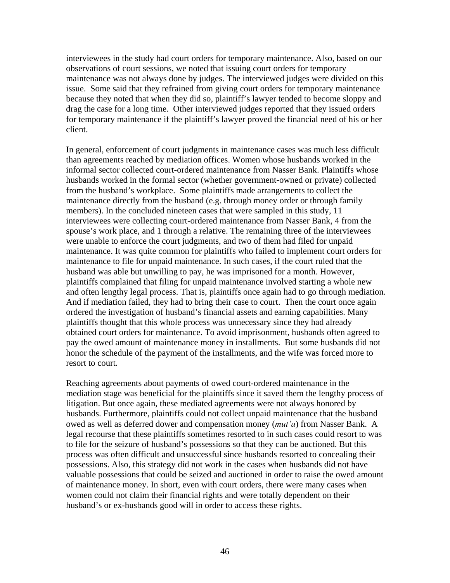interviewees in the study had court orders for temporary maintenance. Also, based on our observations of court sessions, we noted that issuing court orders for temporary maintenance was not always done by judges. The interviewed judges were divided on this issue. Some said that they refrained from giving court orders for temporary maintenance because they noted that when they did so, plaintiff's lawyer tended to become sloppy and drag the case for a long time. Other interviewed judges reported that they issued orders for temporary maintenance if the plaintiff's lawyer proved the financial need of his or her client.

In general, enforcement of court judgments in maintenance cases was much less difficult than agreements reached by mediation offices. Women whose husbands worked in the informal sector collected court-ordered maintenance from Nasser Bank. Plaintiffs whose husbands worked in the formal sector (whether government-owned or private) collected from the husband's workplace. Some plaintiffs made arrangements to collect the maintenance directly from the husband (e.g. through money order or through family members). In the concluded nineteen cases that were sampled in this study, 11 interviewees were collecting court-ordered maintenance from Nasser Bank, 4 from the spouse's work place, and 1 through a relative. The remaining three of the interviewees were unable to enforce the court judgments, and two of them had filed for unpaid maintenance. It was quite common for plaintiffs who failed to implement court orders for maintenance to file for unpaid maintenance. In such cases, if the court ruled that the husband was able but unwilling to pay, he was imprisoned for a month. However, plaintiffs complained that filing for unpaid maintenance involved starting a whole new and often lengthy legal process. That is, plaintiffs once again had to go through mediation. And if mediation failed, they had to bring their case to court. Then the court once again ordered the investigation of husband's financial assets and earning capabilities. Many plaintiffs thought that this whole process was unnecessary since they had already obtained court orders for maintenance. To avoid imprisonment, husbands often agreed to pay the owed amount of maintenance money in installments. But some husbands did not honor the schedule of the payment of the installments, and the wife was forced more to resort to court.

Reaching agreements about payments of owed court-ordered maintenance in the mediation stage was beneficial for the plaintiffs since it saved them the lengthy process of litigation. But once again, these mediated agreements were not always honored by husbands. Furthermore, plaintiffs could not collect unpaid maintenance that the husband owed as well as deferred dower and compensation money (*mut'a*) from Nasser Bank. A legal recourse that these plaintiffs sometimes resorted to in such cases could resort to was to file for the seizure of husband's possessions so that they can be auctioned. But this process was often difficult and unsuccessful since husbands resorted to concealing their possessions. Also, this strategy did not work in the cases when husbands did not have valuable possessions that could be seized and auctioned in order to raise the owed amount of maintenance money. In short, even with court orders, there were many cases when women could not claim their financial rights and were totally dependent on their husband's or ex-husbands good will in order to access these rights.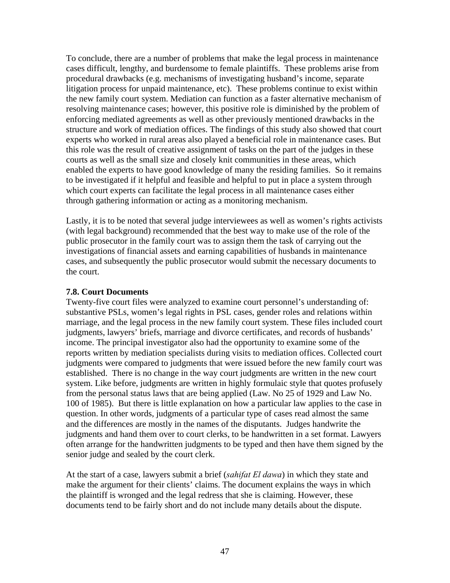To conclude, there are a number of problems that make the legal process in maintenance cases difficult, lengthy, and burdensome to female plaintiffs. These problems arise from procedural drawbacks (e.g. mechanisms of investigating husband's income, separate litigation process for unpaid maintenance, etc). These problems continue to exist within the new family court system. Mediation can function as a faster alternative mechanism of resolving maintenance cases; however, this positive role is diminished by the problem of enforcing mediated agreements as well as other previously mentioned drawbacks in the structure and work of mediation offices. The findings of this study also showed that court experts who worked in rural areas also played a beneficial role in maintenance cases. But this role was the result of creative assignment of tasks on the part of the judges in these courts as well as the small size and closely knit communities in these areas, which enabled the experts to have good knowledge of many the residing families. So it remains to be investigated if it helpful and feasible and helpful to put in place a system through which court experts can facilitate the legal process in all maintenance cases either through gathering information or acting as a monitoring mechanism.

Lastly, it is to be noted that several judge interviewees as well as women's rights activists (with legal background) recommended that the best way to make use of the role of the public prosecutor in the family court was to assign them the task of carrying out the investigations of financial assets and earning capabilities of husbands in maintenance cases, and subsequently the public prosecutor would submit the necessary documents to the court.

## **7.8. Court Documents**

Twenty-five court files were analyzed to examine court personnel's understanding of: substantive PSLs, women's legal rights in PSL cases, gender roles and relations within marriage, and the legal process in the new family court system. These files included court judgments, lawyers' briefs, marriage and divorce certificates, and records of husbands' income. The principal investigator also had the opportunity to examine some of the reports written by mediation specialists during visits to mediation offices. Collected court judgments were compared to judgments that were issued before the new family court was established. There is no change in the way court judgments are written in the new court system. Like before, judgments are written in highly formulaic style that quotes profusely from the personal status laws that are being applied (Law. No 25 of 1929 and Law No. 100 of 1985). But there is little explanation on how a particular law applies to the case in question. In other words, judgments of a particular type of cases read almost the same and the differences are mostly in the names of the disputants. Judges handwrite the judgments and hand them over to court clerks, to be handwritten in a set format. Lawyers often arrange for the handwritten judgments to be typed and then have them signed by the senior judge and sealed by the court clerk.

At the start of a case, lawyers submit a brief (*sahifat El dawa*) in which they state and make the argument for their clients' claims. The document explains the ways in which the plaintiff is wronged and the legal redress that she is claiming. However, these documents tend to be fairly short and do not include many details about the dispute.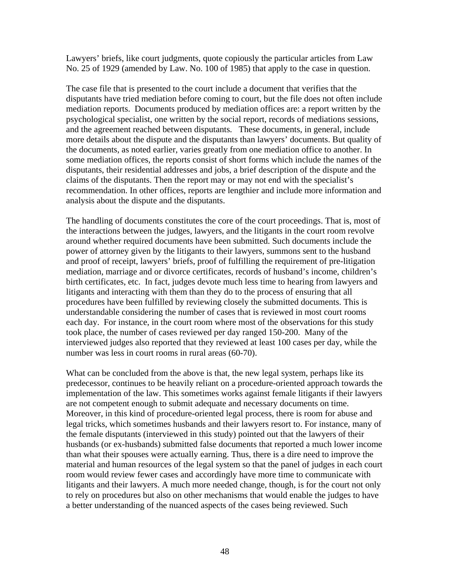Lawyers' briefs, like court judgments, quote copiously the particular articles from Law No. 25 of 1929 (amended by Law. No. 100 of 1985) that apply to the case in question.

The case file that is presented to the court include a document that verifies that the disputants have tried mediation before coming to court, but the file does not often include mediation reports. Documents produced by mediation offices are: a report written by the psychological specialist, one written by the social report, records of mediations sessions, and the agreement reached between disputants. These documents, in general, include more details about the dispute and the disputants than lawyers' documents. But quality of the documents, as noted earlier, varies greatly from one mediation office to another. In some mediation offices, the reports consist of short forms which include the names of the disputants, their residential addresses and jobs, a brief description of the dispute and the claims of the disputants. Then the report may or may not end with the specialist's recommendation. In other offices, reports are lengthier and include more information and analysis about the dispute and the disputants.

The handling of documents constitutes the core of the court proceedings. That is, most of the interactions between the judges, lawyers, and the litigants in the court room revolve around whether required documents have been submitted. Such documents include the power of attorney given by the litigants to their lawyers, summons sent to the husband and proof of receipt, lawyers' briefs, proof of fulfilling the requirement of pre-litigation mediation, marriage and or divorce certificates, records of husband's income, children's birth certificates, etc. In fact, judges devote much less time to hearing from lawyers and litigants and interacting with them than they do to the process of ensuring that all procedures have been fulfilled by reviewing closely the submitted documents. This is understandable considering the number of cases that is reviewed in most court rooms each day. For instance, in the court room where most of the observations for this study took place, the number of cases reviewed per day ranged 150-200. Many of the interviewed judges also reported that they reviewed at least 100 cases per day, while the number was less in court rooms in rural areas (60-70).

What can be concluded from the above is that, the new legal system, perhaps like its predecessor, continues to be heavily reliant on a procedure-oriented approach towards the implementation of the law. This sometimes works against female litigants if their lawyers are not competent enough to submit adequate and necessary documents on time. Moreover, in this kind of procedure-oriented legal process, there is room for abuse and legal tricks, which sometimes husbands and their lawyers resort to. For instance, many of the female disputants (interviewed in this study) pointed out that the lawyers of their husbands (or ex-husbands) submitted false documents that reported a much lower income than what their spouses were actually earning. Thus, there is a dire need to improve the material and human resources of the legal system so that the panel of judges in each court room would review fewer cases and accordingly have more time to communicate with litigants and their lawyers. A much more needed change, though, is for the court not only to rely on procedures but also on other mechanisms that would enable the judges to have a better understanding of the nuanced aspects of the cases being reviewed. Such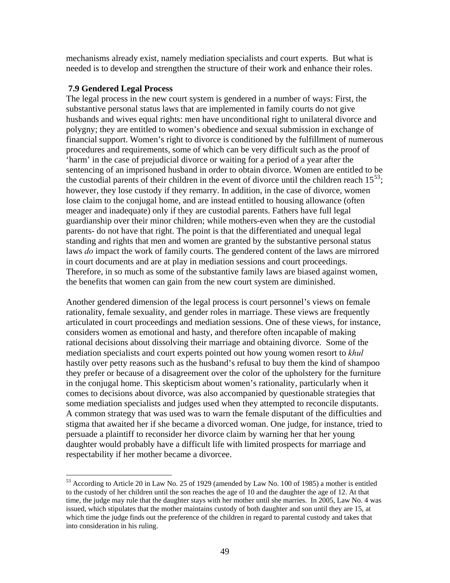mechanisms already exist, namely mediation specialists and court experts. But what is needed is to develop and strengthen the structure of their work and enhance their roles.

# **7.9 Gendered Legal Process**

 $\overline{a}$ 

The legal process in the new court system is gendered in a number of ways: First, the substantive personal status laws that are implemented in family courts do not give husbands and wives equal rights: men have unconditional right to unilateral divorce and polygny; they are entitled to women's obedience and sexual submission in exchange of financial support. Women's right to divorce is conditioned by the fulfillment of numerous procedures and requirements, some of which can be very difficult such as the proof of 'harm' in the case of prejudicial divorce or waiting for a period of a year after the sentencing of an imprisoned husband in order to obtain divorce. Women are entitled to be the custodial parents of their children in the event of divorce until the children reach  $15^{53}$  $15^{53}$  $15^{53}$ ; however, they lose custody if they remarry. In addition, in the case of divorce, women lose claim to the conjugal home, and are instead entitled to housing allowance (often meager and inadequate) only if they are custodial parents. Fathers have full legal guardianship over their minor children; while mothers-even when they are the custodial parents- do not have that right. The point is that the differentiated and unequal legal standing and rights that men and women are granted by the substantive personal status laws *do* impact the work of family courts. The gendered content of the laws are mirrored in court documents and are at play in mediation sessions and court proceedings. Therefore, in so much as some of the substantive family laws are biased against women, the benefits that women can gain from the new court system are diminished.

Another gendered dimension of the legal process is court personnel's views on female rationality, female sexuality, and gender roles in marriage. These views are frequently articulated in court proceedings and mediation sessions. One of these views, for instance, considers women as emotional and hasty, and therefore often incapable of making rational decisions about dissolving their marriage and obtaining divorce. Some of the mediation specialists and court experts pointed out how young women resort to *khul*  hastily over petty reasons such as the husband's refusal to buy them the kind of shampoo they prefer or because of a disagreement over the color of the upholstery for the furniture in the conjugal home. This skepticism about women's rationality, particularly when it comes to decisions about divorce, was also accompanied by questionable strategies that some mediation specialists and judges used when they attempted to reconcile disputants. A common strategy that was used was to warn the female disputant of the difficulties and stigma that awaited her if she became a divorced woman. One judge, for instance, tried to persuade a plaintiff to reconsider her divorce claim by warning her that her young daughter would probably have a difficult life with limited prospects for marriage and respectability if her mother became a divorcee.

<span id="page-49-0"></span><sup>&</sup>lt;sup>53</sup> According to Article 20 in Law No. 25 of 1929 (amended by Law No. 100 of 1985) a mother is entitled to the custody of her children until the son reaches the age of 10 and the daughter the age of 12. At that time, the judge may rule that the daughter stays with her mother until she marries. In 2005, Law No. 4 was issued, which stipulates that the mother maintains custody of both daughter and son until they are 15, at which time the judge finds out the preference of the children in regard to parental custody and takes that into consideration in his ruling.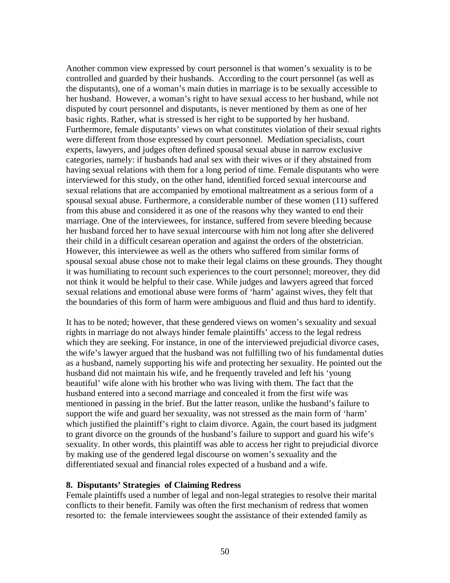Another common view expressed by court personnel is that women's sexuality is to be controlled and guarded by their husbands. According to the court personnel (as well as the disputants), one of a woman's main duties in marriage is to be sexually accessible to her husband. However, a woman's right to have sexual access to her husband, while not disputed by court personnel and disputants, is never mentioned by them as one of her basic rights. Rather, what is stressed is her right to be supported by her husband. Furthermore, female disputants' views on what constitutes violation of their sexual rights were different from those expressed by court personnel. Mediation specialists, court experts, lawyers, and judges often defined spousal sexual abuse in narrow exclusive categories, namely: if husbands had anal sex with their wives or if they abstained from having sexual relations with them for a long period of time. Female disputants who were interviewed for this study, on the other hand, identified forced sexual intercourse and sexual relations that are accompanied by emotional maltreatment as a serious form of a spousal sexual abuse. Furthermore, a considerable number of these women (11) suffered from this abuse and considered it as one of the reasons why they wanted to end their marriage. One of the interviewees, for instance, suffered from severe bleeding because her husband forced her to have sexual intercourse with him not long after she delivered their child in a difficult cesarean operation and against the orders of the obstetrician. However, this interviewee as well as the others who suffered from similar forms of spousal sexual abuse chose not to make their legal claims on these grounds. They thought it was humiliating to recount such experiences to the court personnel; moreover, they did not think it would be helpful to their case. While judges and lawyers agreed that forced sexual relations and emotional abuse were forms of 'harm' against wives, they felt that the boundaries of this form of harm were ambiguous and fluid and thus hard to identify.

It has to be noted; however, that these gendered views on women's sexuality and sexual rights in marriage do not always hinder female plaintiffs' access to the legal redress which they are seeking. For instance, in one of the interviewed prejudicial divorce cases, the wife's lawyer argued that the husband was not fulfilling two of his fundamental duties as a husband, namely supporting his wife and protecting her sexuality. He pointed out the husband did not maintain his wife, and he frequently traveled and left his 'young beautiful' wife alone with his brother who was living with them. The fact that the husband entered into a second marriage and concealed it from the first wife was mentioned in passing in the brief. But the latter reason, unlike the husband's failure to support the wife and guard her sexuality, was not stressed as the main form of 'harm' which justified the plaintiff's right to claim divorce. Again, the court based its judgment to grant divorce on the grounds of the husband's failure to support and guard his wife's sexuality. In other words, this plaintiff was able to access her right to prejudicial divorce by making use of the gendered legal discourse on women's sexuality and the differentiated sexual and financial roles expected of a husband and a wife.

#### **8. Disputants' Strategies of Claiming Redress**

Female plaintiffs used a number of legal and non-legal strategies to resolve their marital conflicts to their benefit. Family was often the first mechanism of redress that women resorted to: the female interviewees sought the assistance of their extended family as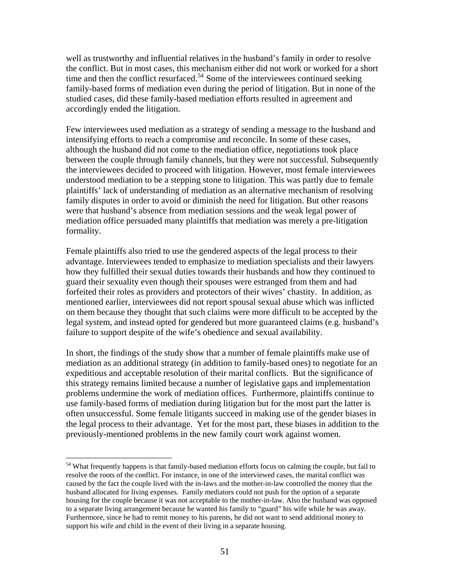well as trustworthy and influential relatives in the husband's family in order to resolve the conflict. But in most cases, this mechanism either did not work or worked for a short time and then the conflict resurfaced.<sup>[54](#page-51-0)</sup> Some of the interviewees continued seeking family-based forms of mediation even during the period of litigation. But in none of the studied cases, did these family-based mediation efforts resulted in agreement and accordingly ended the litigation.

Few interviewees used mediation as a strategy of sending a message to the husband and intensifying efforts to reach a compromise and reconcile. In some of these cases, although the husband did not come to the mediation office, negotiations took place between the couple through family channels, but they were not successful. Subsequently the interviewees decided to proceed with litigation. However, most female interviewees understood mediation to be a stepping stone to litigation. This was partly due to female plaintiffs' lack of understanding of mediation as an alternative mechanism of resolving family disputes in order to avoid or diminish the need for litigation. But other reasons were that husband's absence from mediation sessions and the weak legal power of mediation office persuaded many plaintiffs that mediation was merely a pre-litigation formality.

Female plaintiffs also tried to use the gendered aspects of the legal process to their advantage. Interviewees tended to emphasize to mediation specialists and their lawyers how they fulfilled their sexual duties towards their husbands and how they continued to guard their sexuality even though their spouses were estranged from them and had forfeited their roles as providers and protectors of their wives' chastity. In addition, as mentioned earlier, interviewees did not report spousal sexual abuse which was inflicted on them because they thought that such claims were more difficult to be accepted by the legal system, and instead opted for gendered but more guaranteed claims (e.g. husband's failure to support despite of the wife's obedience and sexual availability.

In short, the findings of the study show that a number of female plaintiffs make use of mediation as an additional strategy (in addition to family-based ones) to negotiate for an expeditious and acceptable resolution of their marital conflicts. But the significance of this strategy remains limited because a number of legislative gaps and implementation problems undermine the work of mediation offices. Furthermore, plaintiffs continue to use family-based forms of mediation during litigation but for the most part the latter is often unsuccessful. Some female litigants succeed in making use of the gender biases in the legal process to their advantage. Yet for the most part, these biases in addition to the previously-mentioned problems in the new family court work against women.

<span id="page-51-0"></span><sup>&</sup>lt;sup>54</sup> What frequently happens is that family-based mediation efforts focus on calming the couple, but fail to resolve the roots of the conflict. For instance, in one of the interviewed cases, the marital conflict was caused by the fact the couple lived with the in-laws and the mother-in-law controlled the money that the husband allocated for living expenses. Family mediators could not push for the option of a separate housing for the couple because it was not acceptable to the mother-in-law. Also the husband was opposed to a separate living arrangement because he wanted his family to "guard" his wife while he was away. Furthermore, since he had to remit money to his parents, he did not want to send additional money to support his wife and child in the event of their living in a separate housing.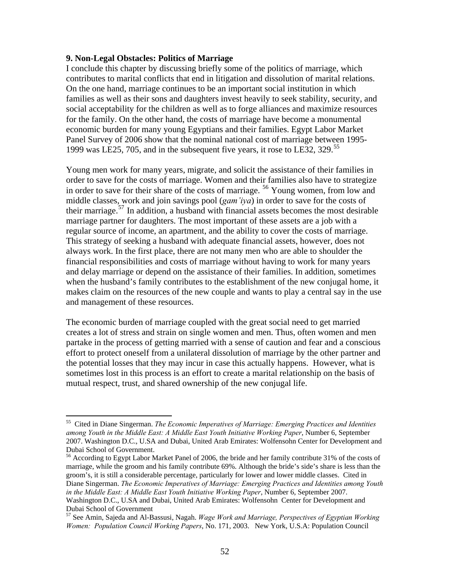#### **9. Non-Legal Obstacles: Politics of Marriage**

 $\overline{a}$ 

I conclude this chapter by discussing briefly some of the politics of marriage, which contributes to marital conflicts that end in litigation and dissolution of marital relations. On the one hand, marriage continues to be an important social institution in which families as well as their sons and daughters invest heavily to seek stability, security, and social acceptability for the children as well as to forge alliances and maximize resources for the family. On the other hand, the costs of marriage have become a monumental economic burden for many young Egyptians and their families. Egypt Labor Market Panel Survey of 2006 show that the nominal national cost of marriage between 1995- 1999 was LE25, 705, and in the subsequent five years, it rose to LE32, 329.[55](#page-52-0)

Young men work for many years, migrate, and solicit the assistance of their families in order to save for the costs of marriage. Women and their families also have to strategize in order to save for their share of the costs of marriage. [56](#page-52-1) Young women, from low and middle classes, work and join savings pool (*gam'iya*) in order to save for the costs of their marriage.[57](#page-52-2) In addition, a husband with financial assets becomes the most desirable marriage partner for daughters. The most important of these assets are a job with a regular source of income, an apartment, and the ability to cover the costs of marriage. This strategy of seeking a husband with adequate financial assets, however, does not always work. In the first place, there are not many men who are able to shoulder the financial responsibilities and costs of marriage without having to work for many years and delay marriage or depend on the assistance of their families. In addition, sometimes when the husband's family contributes to the establishment of the new conjugal home, it makes claim on the resources of the new couple and wants to play a central say in the use and management of these resources.

The economic burden of marriage coupled with the great social need to get married creates a lot of stress and strain on single women and men. Thus, often women and men partake in the process of getting married with a sense of caution and fear and a conscious effort to protect oneself from a unilateral dissolution of marriage by the other partner and the potential losses that they may incur in case this actually happens. However, what is sometimes lost in this process is an effort to create a marital relationship on the basis of mutual respect, trust, and shared ownership of the new conjugal life.

<span id="page-52-0"></span><sup>55</sup> Cited in Diane Singerman. *The Economic Imperatives of Marriage: Emerging Practices and Identities among Youth in the Middle East: A Middle East Youth Initiative Working Paper*, Number 6, September 2007. Washington D.C., U.SA and Dubai, United Arab Emirates: Wolfensohn Center for Development and Dubai School of Government.

<span id="page-52-1"></span><sup>56</sup> According to Egypt Labor Market Panel of 2006, the bride and her family contribute 31% of the costs of marriage, while the groom and his family contribute 69%. Although the bride's side's share is less than the groom's, it is still a considerable percentage, particularly for lower and lower middle classes. Cited in Diane Singerman. *The Economic Imperatives of Marriage: Emerging Practices and Identities among Youth in the Middle East: A Middle East Youth Initiative Working Paper*, Number 6, September 2007. Washington D.C., U.SA and Dubai, United Arab Emirates: Wolfensohn Center for Development and Dubai School of Government

<span id="page-52-2"></span><sup>57</sup> See Amin, Sajeda and Al-Bassusi, Nagah. *Wage Work and Marriage, Perspectives of Egyptian Working Women: Population Council Working Papers*, No. 171, 2003. New York, U.S.A: Population Council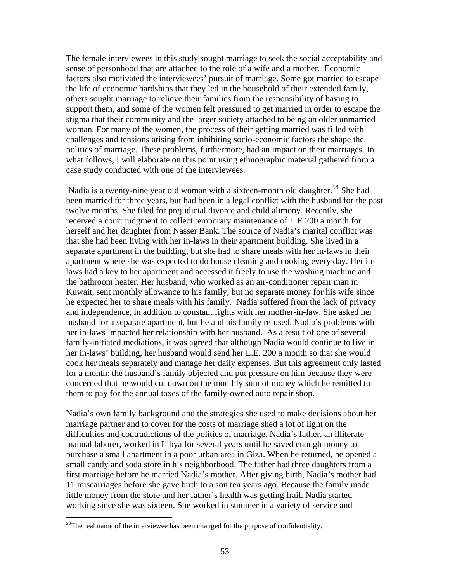The female interviewees in this study sought marriage to seek the social acceptability and sense of personhood that are attached to the role of a wife and a mother. Economic factors also motivated the interviewees' pursuit of marriage. Some got married to escape the life of economic hardships that they led in the household of their extended family, others sought marriage to relieve their families from the responsibility of having to support them, and some of the women felt pressured to get married in order to escape the stigma that their community and the larger society attached to being an older unmarried woman. For many of the women, the process of their getting married was filled with challenges and tensions arising from inhibiting socio-economic factors the shape the politics of marriage. These problems, furthermore, had an impact on their marriages. In what follows, I will elaborate on this point using ethnographic material gathered from a case study conducted with one of the interviewees.

Nadia is a twenty-nine year old woman with a sixteen-month old daughter.<sup>[58](#page-53-0)</sup> She had been married for three years, but had been in a legal conflict with the husband for the past twelve months. She filed for prejudicial divorce and child alimony. Recently, she received a court judgment to collect temporary maintenance of L.E 200 a month for herself and her daughter from Nasser Bank. The source of Nadia's marital conflict was that she had been living with her in-laws in their apartment building. She lived in a separate apartment in the building, but she had to share meals with her in-laws in their apartment where she was expected to do house cleaning and cooking every day. Her inlaws had a key to her apartment and accessed it freely to use the washing machine and the bathroom heater. Her husband, who worked as an air-conditioner repair man in Kuwait, sent monthly allowance to his family, but no separate money for his wife since he expected her to share meals with his family. Nadia suffered from the lack of privacy and independence, in addition to constant fights with her mother-in-law. She asked her husband for a separate apartment, but he and his family refused. Nadia's problems with her in-laws impacted her relationship with her husband. As a result of one of several family-initiated mediations, it was agreed that although Nadia would continue to live in her in-laws' building, her husband would send her L.E. 200 a month so that she would cook her meals separately and manage her daily expenses. But this agreement only lasted for a month: the husband's family objected and put pressure on him because they were concerned that he would cut down on the monthly sum of money which he remitted to them to pay for the annual taxes of the family-owned auto repair shop.

Nadia's own family background and the strategies she used to make decisions about her marriage partner and to cover for the costs of marriage shed a lot of light on the difficulties and contradictions of the politics of marriage. Nadia's father, an illiterate manual laborer, worked in Libya for several years until he saved enough money to purchase a small apartment in a poor urban area in Giza. When he returned, he opened a small candy and soda store in his neighborhood. The father had three daughters from a first marriage before he married Nadia's mother. After giving birth, Nadia's mother had 11 miscarriages before she gave birth to a son ten years ago. Because the family made little money from the store and her father's health was getting frail, Nadia started working since she was sixteen. She worked in summer in a variety of service and

<span id="page-53-0"></span> $58$ The real name of the interviewee has been changed for the purpose of confidentiality.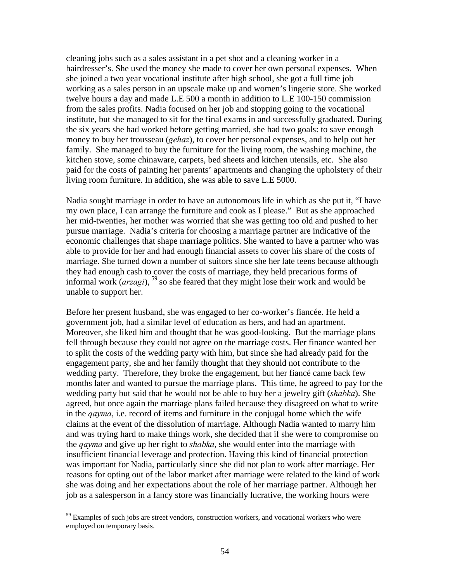cleaning jobs such as a sales assistant in a pet shot and a cleaning worker in a hairdresser's. She used the money she made to cover her own personal expenses. When she joined a two year vocational institute after high school, she got a full time job working as a sales person in an upscale make up and women's lingerie store. She worked twelve hours a day and made L.E 500 a month in addition to L.E 100-150 commission from the sales profits. Nadia focused on her job and stopping going to the vocational institute, but she managed to sit for the final exams in and successfully graduated. During the six years she had worked before getting married, she had two goals: to save enough money to buy her trousseau (*gehaz*), to cover her personal expenses, and to help out her family. She managed to buy the furniture for the living room, the washing machine, the kitchen stove, some chinaware, carpets, bed sheets and kitchen utensils, etc. She also paid for the costs of painting her parents' apartments and changing the upholstery of their living room furniture. In addition, she was able to save L.E 5000.

Nadia sought marriage in order to have an autonomous life in which as she put it, "I have my own place, I can arrange the furniture and cook as I please." But as she approached her mid-twenties, her mother was worried that she was getting too old and pushed to her pursue marriage. Nadia's criteria for choosing a marriage partner are indicative of the economic challenges that shape marriage politics. She wanted to have a partner who was able to provide for her and had enough financial assets to cover his share of the costs of marriage. She turned down a number of suitors since she her late teens because although they had enough cash to cover the costs of marriage, they held precarious forms of informal work (*arzagi*), [59](#page-54-0) so she feared that they might lose their work and would be unable to support her.

Before her present husband, she was engaged to her co-worker's fiancée. He held a government job, had a similar level of education as hers, and had an apartment. Moreover, she liked him and thought that he was good-looking. But the marriage plans fell through because they could not agree on the marriage costs. Her finance wanted her to split the costs of the wedding party with him, but since she had already paid for the engagement party, she and her family thought that they should not contribute to the wedding party. Therefore, they broke the engagement, but her fiancé came back few months later and wanted to pursue the marriage plans. This time, he agreed to pay for the wedding party but said that he would not be able to buy her a jewelry gift (*shabka*). She agreed, but once again the marriage plans failed because they disagreed on what to write in the *qayma*, i.e. record of items and furniture in the conjugal home which the wife claims at the event of the dissolution of marriage. Although Nadia wanted to marry him and was trying hard to make things work, she decided that if she were to compromise on the *qayma* and give up her right to *shabka*, she would enter into the marriage with insufficient financial leverage and protection. Having this kind of financial protection was important for Nadia, particularly since she did not plan to work after marriage. Her reasons for opting out of the labor market after marriage were related to the kind of work she was doing and her expectations about the role of her marriage partner. Although her job as a salesperson in a fancy store was financially lucrative, the working hours were

1

<span id="page-54-0"></span><sup>&</sup>lt;sup>59</sup> Examples of such jobs are street vendors, construction workers, and vocational workers who were employed on temporary basis.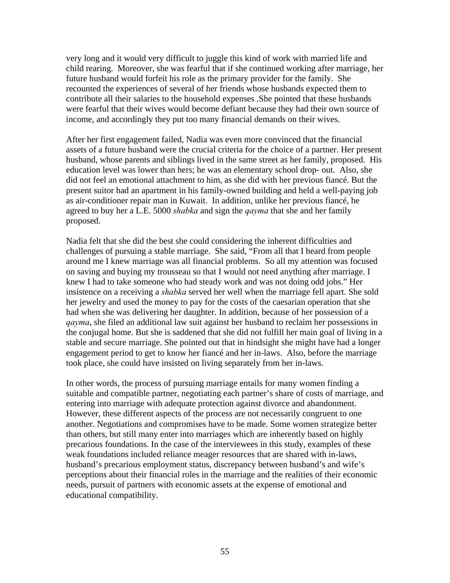very long and it would very difficult to juggle this kind of work with married life and child rearing. Moreover, she was fearful that if she continued working after marriage, her future husband would forfeit his role as the primary provider for the family. She recounted the experiences of several of her friends whose husbands expected them to contribute all their salaries to the household expenses .She pointed that these husbands were fearful that their wives would become defiant because they had their own source of income, and accordingly they put too many financial demands on their wives.

After her first engagement failed, Nadia was even more convinced that the financial assets of a future husband were the crucial criteria for the choice of a partner. Her present husband, whose parents and siblings lived in the same street as her family, proposed. His education level was lower than hers; he was an elementary school drop- out. Also, she did not feel an emotional attachment to him, as she did with her previous fiancé. But the present suitor had an apartment in his family-owned building and held a well-paying job as air-conditioner repair man in Kuwait. In addition, unlike her previous fiancé, he agreed to buy her a L.E. 5000 *shabka* and sign the *qayma* that she and her family proposed.

Nadia felt that she did the best she could considering the inherent difficulties and challenges of pursuing a stable marriage. She said, "From all that I heard from people around me I knew marriage was all financial problems. So all my attention was focused on saving and buying my trousseau so that I would not need anything after marriage. I knew I had to take someone who had steady work and was not doing odd jobs." Her insistence on a receiving a *shabka* served her well when the marriage fell apart. She sold her jewelry and used the money to pay for the costs of the caesarian operation that she had when she was delivering her daughter. In addition, because of her possession of a *qayma*, she filed an additional law suit against her husband to reclaim her possessions in the conjugal home. But she is saddened that she did not fulfill her main goal of living in a stable and secure marriage. She pointed out that in hindsight she might have had a longer engagement period to get to know her fiancé and her in-laws. Also, before the marriage took place, she could have insisted on living separately from her in-laws.

In other words, the process of pursuing marriage entails for many women finding a suitable and compatible partner, negotiating each partner's share of costs of marriage, and entering into marriage with adequate protection against divorce and abandonment. However, these different aspects of the process are not necessarily congruent to one another. Negotiations and compromises have to be made. Some women strategize better than others, but still many enter into marriages which are inherently based on highly precarious foundations. In the case of the interviewees in this study, examples of these weak foundations included reliance meager resources that are shared with in-laws, husband's precarious employment status, discrepancy between husband's and wife's perceptions about their financial roles in the marriage and the realities of their economic needs, pursuit of partners with economic assets at the expense of emotional and educational compatibility.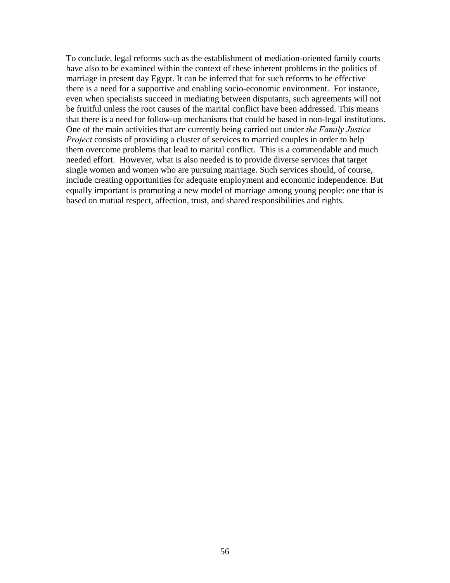To conclude, legal reforms such as the establishment of mediation-oriented family courts have also to be examined within the context of these inherent problems in the politics of marriage in present day Egypt. It can be inferred that for such reforms to be effective there is a need for a supportive and enabling socio-economic environment. For instance, even when specialists succeed in mediating between disputants, such agreements will not be fruitful unless the root causes of the marital conflict have been addressed. This means that there is a need for follow-up mechanisms that could be based in non-legal institutions. One of the main activities that are currently being carried out under *the Family Justice Project* consists of providing a cluster of services to married couples in order to help them overcome problems that lead to marital conflict. This is a commendable and much needed effort. However, what is also needed is to provide diverse services that target single women and women who are pursuing marriage. Such services should, of course, include creating opportunities for adequate employment and economic independence. But equally important is promoting a new model of marriage among young people: one that is based on mutual respect, affection, trust, and shared responsibilities and rights.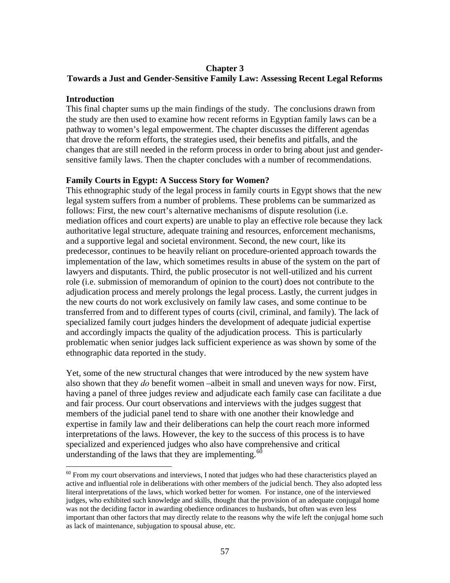# **Chapter 3**

# **Towards a Just and Gender-Sensitive Family Law: Assessing Recent Legal Reforms**

# **Introduction**

 $\overline{a}$ 

This final chapter sums up the main findings of the study. The conclusions drawn from the study are then used to examine how recent reforms in Egyptian family laws can be a pathway to women's legal empowerment. The chapter discusses the different agendas that drove the reform efforts, the strategies used, their benefits and pitfalls, and the changes that are still needed in the reform process in order to bring about just and gendersensitive family laws. Then the chapter concludes with a number of recommendations.

# **Family Courts in Egypt: A Success Story for Women?**

This ethnographic study of the legal process in family courts in Egypt shows that the new legal system suffers from a number of problems. These problems can be summarized as follows: First, the new court's alternative mechanisms of dispute resolution (i.e. mediation offices and court experts) are unable to play an effective role because they lack authoritative legal structure, adequate training and resources, enforcement mechanisms, and a supportive legal and societal environment. Second, the new court, like its predecessor, continues to be heavily reliant on procedure-oriented approach towards the implementation of the law, which sometimes results in abuse of the system on the part of lawyers and disputants. Third, the public prosecutor is not well-utilized and his current role (i.e. submission of memorandum of opinion to the court) does not contribute to the adjudication process and merely prolongs the legal process. Lastly, the current judges in the new courts do not work exclusively on family law cases, and some continue to be transferred from and to different types of courts (civil, criminal, and family). The lack of specialized family court judges hinders the development of adequate judicial expertise and accordingly impacts the quality of the adjudication process. This is particularly problematic when senior judges lack sufficient experience as was shown by some of the ethnographic data reported in the study.

Yet, some of the new structural changes that were introduced by the new system have also shown that they *do* benefit women –albeit in small and uneven ways for now. First, having a panel of three judges review and adjudicate each family case can facilitate a due and fair process. Our court observations and interviews with the judges suggest that members of the judicial panel tend to share with one another their knowledge and expertise in family law and their deliberations can help the court reach more informed interpretations of the laws. However, the key to the success of this process is to have specialized and experienced judges who also have comprehensive and critical understanding of the laws that they are implementing. $60$ 

<span id="page-57-0"></span> $60$  From my court observations and interviews, I noted that judges who had these characteristics played an active and influential role in deliberations with other members of the judicial bench. They also adopted less literal interpretations of the laws, which worked better for women. For instance, one of the interviewed judges, who exhibited such knowledge and skills, thought that the provision of an adequate conjugal home was not the deciding factor in awarding obedience ordinances to husbands, but often was even less important than other factors that may directly relate to the reasons why the wife left the conjugal home such as lack of maintenance, subjugation to spousal abuse, etc.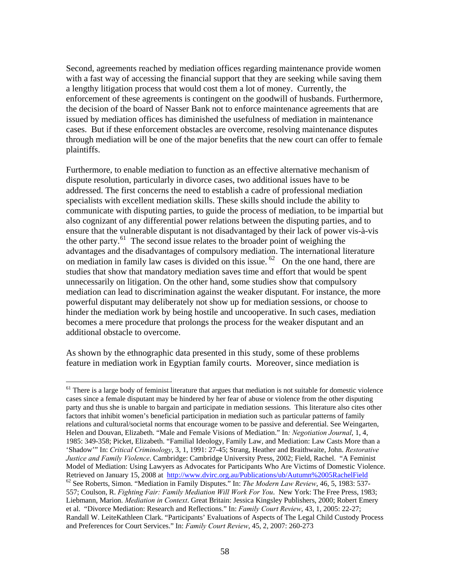Second, agreements reached by mediation offices regarding maintenance provide women with a fast way of accessing the financial support that they are seeking while saving them a lengthy litigation process that would cost them a lot of money. Currently, the enforcement of these agreements is contingent on the goodwill of husbands. Furthermore, the decision of the board of Nasser Bank not to enforce maintenance agreements that are issued by mediation offices has diminished the usefulness of mediation in maintenance cases. But if these enforcement obstacles are overcome, resolving maintenance disputes through mediation will be one of the major benefits that the new court can offer to female plaintiffs.

Furthermore, to enable mediation to function as an effective alternative mechanism of dispute resolution, particularly in divorce cases, two additional issues have to be addressed. The first concerns the need to establish a cadre of professional mediation specialists with excellent mediation skills. These skills should include the ability to communicate with disputing parties, to guide the process of mediation, to be impartial but also cognizant of any differential power relations between the disputing parties, and to ensure that the vulnerable disputant is not disadvantaged by their lack of power vis-à-vis the other party.<sup>[61](#page-58-0)</sup> The second issue relates to the broader point of weighing the advantages and the disadvantages of compulsory mediation. The international literature on mediation in family law cases is divided on this issue.  $62$  On the one hand, there are studies that show that mandatory mediation saves time and effort that would be spent unnecessarily on litigation. On the other hand, some studies show that compulsory mediation can lead to discrimination against the weaker disputant. For instance, the more powerful disputant may deliberately not show up for mediation sessions, or choose to hinder the mediation work by being hostile and uncooperative. In such cases, mediation becomes a mere procedure that prolongs the process for the weaker disputant and an additional obstacle to overcome.

As shown by the ethnographic data presented in this study, some of these problems feature in mediation work in Egyptian family courts. Moreover, since mediation is

<span id="page-58-1"></span><span id="page-58-0"></span> $61$  There is a large body of feminist literature that argues that mediation is not suitable for domestic violence cases since a female disputant may be hindered by her fear of abuse or violence from the other disputing party and thus she is unable to bargain and participate in mediation sessions. This literature also cites other factors that inhibit women's beneficial participation in mediation such as particular patterns of family relations and cultural/societal norms that encourage women to be passive and deferential. See Weingarten, Helen and Douvan, Elizabeth. "Male and Female Visions of Mediation." In*: Negotiation Journal*, 1, 4, 1985: 349-358; Picket, Elizabeth. "Familial Ideology, Family Law, and Mediation: Law Casts More than a 'Shadow'" In: *Critical Criminology*, 3, 1, 1991: 27-45; Strang, Heather and Braithwaite, John. *Restorative Justice and Family Violence*. Cambridge: Cambridge University Press, 2002; Field, Rachel. "A Feminist Model of Mediation: Using Lawyers as Advocates for Participants Who Are Victims of Domestic Violence. Retrieved on January 15, 2008 at <http://www.dvirc.org.au/Publications/ub/Autumn%2005RachelField><sup>62</sup> See Roberts, Simon. "Mediation in Family Disputes." In: *The Modern Law Review*, 46, 5, 1983: 537-557; Coulson, R. *Fighting Fair: Family Mediation Will Work For You*. New York: The Free Press, 1983; Liebmann, Marion. *Mediation in Context*. Great Britain: Jessica Kingsley Publishers, 2000; Robert Emery et al. "Divorce Mediation: Research and Reflections." In: *Family Court Review*, 43, 1, 2005: 22-27; Randall W. LeiteKathleen Clark. "Participants' Evaluations of Aspects of The Legal Child Custody Process and Preferences for Court Services." In: *Family Court Review*, 45, 2, 2007: 260-273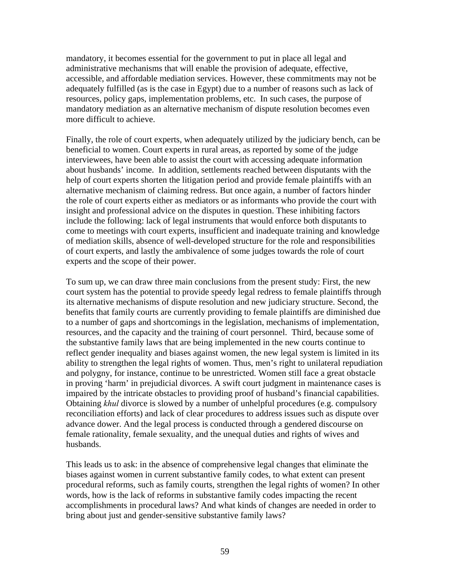mandatory, it becomes essential for the government to put in place all legal and administrative mechanisms that will enable the provision of adequate, effective, accessible, and affordable mediation services. However, these commitments may not be adequately fulfilled (as is the case in Egypt) due to a number of reasons such as lack of resources, policy gaps, implementation problems, etc. In such cases, the purpose of mandatory mediation as an alternative mechanism of dispute resolution becomes even more difficult to achieve.

Finally, the role of court experts, when adequately utilized by the judiciary bench, can be beneficial to women. Court experts in rural areas, as reported by some of the judge interviewees, have been able to assist the court with accessing adequate information about husbands' income. In addition, settlements reached between disputants with the help of court experts shorten the litigation period and provide female plaintiffs with an alternative mechanism of claiming redress. But once again, a number of factors hinder the role of court experts either as mediators or as informants who provide the court with insight and professional advice on the disputes in question. These inhibiting factors include the following: lack of legal instruments that would enforce both disputants to come to meetings with court experts, insufficient and inadequate training and knowledge of mediation skills, absence of well-developed structure for the role and responsibilities of court experts, and lastly the ambivalence of some judges towards the role of court experts and the scope of their power.

To sum up, we can draw three main conclusions from the present study: First, the new court system has the potential to provide speedy legal redress to female plaintiffs through its alternative mechanisms of dispute resolution and new judiciary structure. Second, the benefits that family courts are currently providing to female plaintiffs are diminished due to a number of gaps and shortcomings in the legislation, mechanisms of implementation, resources, and the capacity and the training of court personnel. Third, because some of the substantive family laws that are being implemented in the new courts continue to reflect gender inequality and biases against women, the new legal system is limited in its ability to strengthen the legal rights of women. Thus, men's right to unilateral repudiation and polygny, for instance, continue to be unrestricted. Women still face a great obstacle in proving 'harm' in prejudicial divorces. A swift court judgment in maintenance cases is impaired by the intricate obstacles to providing proof of husband's financial capabilities. Obtaining *khul* divorce is slowed by a number of unhelpful procedures (e.g. compulsory reconciliation efforts) and lack of clear procedures to address issues such as dispute over advance dower. And the legal process is conducted through a gendered discourse on female rationality, female sexuality, and the unequal duties and rights of wives and husbands.

This leads us to ask: in the absence of comprehensive legal changes that eliminate the biases against women in current substantive family codes, to what extent can present procedural reforms, such as family courts, strengthen the legal rights of women? In other words, how is the lack of reforms in substantive family codes impacting the recent accomplishments in procedural laws? And what kinds of changes are needed in order to bring about just and gender-sensitive substantive family laws?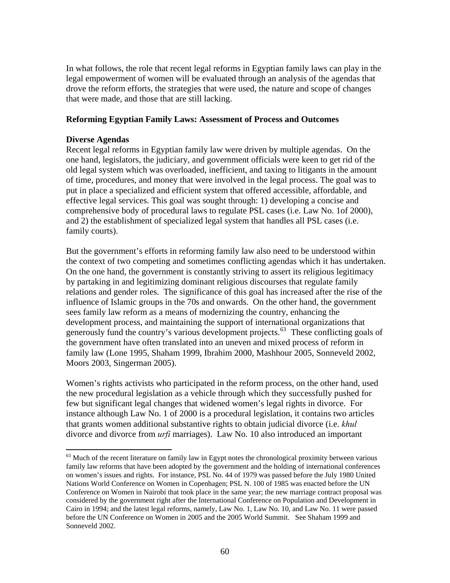In what follows, the role that recent legal reforms in Egyptian family laws can play in the legal empowerment of women will be evaluated through an analysis of the agendas that drove the reform efforts, the strategies that were used, the nature and scope of changes that were made, and those that are still lacking.

# **Reforming Egyptian Family Laws: Assessment of Process and Outcomes**

## **Diverse Agendas**

 $\overline{a}$ 

Recent legal reforms in Egyptian family law were driven by multiple agendas. On the one hand, legislators, the judiciary, and government officials were keen to get rid of the old legal system which was overloaded, inefficient, and taxing to litigants in the amount of time, procedures, and money that were involved in the legal process. The goal was to put in place a specialized and efficient system that offered accessible, affordable, and effective legal services. This goal was sought through: 1) developing a concise and comprehensive body of procedural laws to regulate PSL cases (i.e. Law No. 1of 2000), and 2) the establishment of specialized legal system that handles all PSL cases (i.e. family courts).

But the government's efforts in reforming family law also need to be understood within the context of two competing and sometimes conflicting agendas which it has undertaken. On the one hand, the government is constantly striving to assert its religious legitimacy by partaking in and legitimizing dominant religious discourses that regulate family relations and gender roles. The significance of this goal has increased after the rise of the influence of Islamic groups in the 70s and onwards. On the other hand, the government sees family law reform as a means of modernizing the country, enhancing the development process, and maintaining the support of international organizations that generously fund the country's various development projects.<sup>[63](#page-60-0)</sup> These conflicting goals of the government have often translated into an uneven and mixed process of reform in family law (Lone 1995, Shaham 1999, Ibrahim 2000, Mashhour 2005, Sonneveld 2002, Moors 2003, Singerman 2005).

Women's rights activists who participated in the reform process, on the other hand, used the new procedural legislation as a vehicle through which they successfully pushed for few but significant legal changes that widened women's legal rights in divorce. For instance although Law No. 1 of 2000 is a procedural legislation, it contains two articles that grants women additional substantive rights to obtain judicial divorce (i.e. *khul*  divorce and divorce from *urfi* marriages). Law No. 10 also introduced an important

<span id="page-60-0"></span><sup>&</sup>lt;sup>63</sup> Much of the recent literature on family law in Egypt notes the chronological proximity between various family law reforms that have been adopted by the government and the holding of international conferences on women's issues and rights. For instance, PSL No. 44 of 1979 was passed before the July 1980 United Nations World Conference on Women in Copenhagen; PSL N. 100 of 1985 was enacted before the UN Conference on Women in Nairobi that took place in the same year; the new marriage contract proposal was considered by the government right after the International Conference on Population and Development in Cairo in 1994; and the latest legal reforms, namely, Law No. 1, Law No. 10, and Law No. 11 were passed before the UN Conference on Women in 2005 and the 2005 World Summit. See Shaham 1999 and Sonneveld 2002.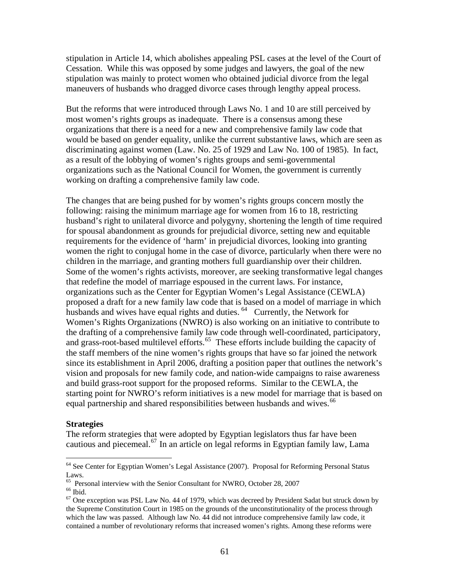stipulation in Article 14, which abolishes appealing PSL cases at the level of the Court of Cessation. While this was opposed by some judges and lawyers, the goal of the new stipulation was mainly to protect women who obtained judicial divorce from the legal maneuvers of husbands who dragged divorce cases through lengthy appeal process.

But the reforms that were introduced through Laws No. 1 and 10 are still perceived by most women's rights groups as inadequate. There is a consensus among these organizations that there is a need for a new and comprehensive family law code that would be based on gender equality, unlike the current substantive laws, which are seen as discriminating against women (Law. No. 25 of 1929 and Law No. 100 of 1985). In fact, as a result of the lobbying of women's rights groups and semi-governmental organizations such as the National Council for Women, the government is currently working on drafting a comprehensive family law code.

The changes that are being pushed for by women's rights groups concern mostly the following: raising the minimum marriage age for women from 16 to 18, restricting husband's right to unilateral divorce and polygyny, shortening the length of time required for spousal abandonment as grounds for prejudicial divorce, setting new and equitable requirements for the evidence of 'harm' in prejudicial divorces, looking into granting women the right to conjugal home in the case of divorce, particularly when there were no children in the marriage, and granting mothers full guardianship over their children. Some of the women's rights activists, moreover, are seeking transformative legal changes that redefine the model of marriage espoused in the current laws. For instance, organizations such as the Center for Egyptian Women's Legal Assistance (CEWLA) proposed a draft for a new family law code that is based on a model of marriage in which husbands and wives have equal rights and duties. <sup>[64](#page-61-0)</sup> Currently, the Network for Women's Rights Organizations (NWRO) is also working on an initiative to contribute to the drafting of a comprehensive family law code through well-coordinated, participatory, and grass-root-based multilevel efforts.<sup>[65](#page-61-1)</sup> These efforts include building the capacity of the staff members of the nine women's rights groups that have so far joined the network since its establishment in April 2006, drafting a position paper that outlines the network's vision and proposals for new family code, and nation-wide campaigns to raise awareness and build grass-root support for the proposed reforms. Similar to the CEWLA, the starting point for NWRO's reform initiatives is a new model for marriage that is based on equal partnership and shared responsibilities between husbands and wives.<sup>[66](#page-61-2)</sup>

#### **Strategies**

The reform strategies that were adopted by Egyptian legislators thus far have been cautious and piecemeal.<sup>[67](#page-61-3)</sup> In an article on legal reforms in Egyptian family law, Lama

<span id="page-61-0"></span><sup>&</sup>lt;sup>64</sup> See Center for Egyptian Women's Legal Assistance (2007). Proposal for Reforming Personal Status Laws.

<sup>&</sup>lt;sup>65</sup> Personal interview with the Senior Consultant for NWRO, October 28, 2007

<span id="page-61-3"></span><span id="page-61-2"></span><span id="page-61-1"></span> $\rm ^{66}$  Ibid.

 $<sup>67</sup>$  One exception was PSL Law No. 44 of 1979, which was decreed by President Sadat but struck down by</sup> the Supreme Constitution Court in 1985 on the grounds of the unconstitutionality of the process through which the law was passed. Although law No. 44 did not introduce comprehensive family law code, it contained a number of revolutionary reforms that increased women's rights. Among these reforms were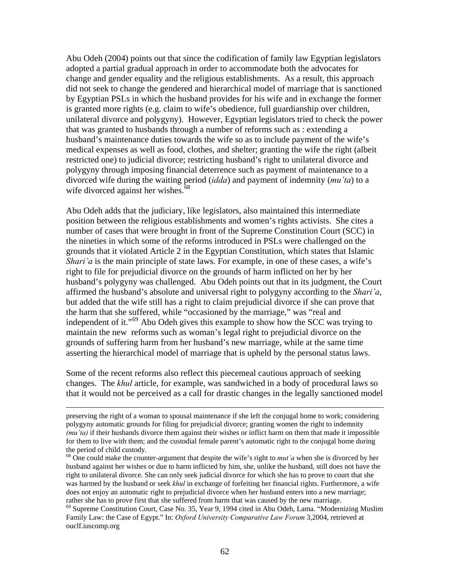Abu Odeh (2004) points out that since the codification of family law Egyptian legislators adopted a partial gradual approach in order to accommodate both the advocates for change and gender equality and the religious establishments. As a result, this approach did not seek to change the gendered and hierarchical model of marriage that is sanctioned by Egyptian PSLs in which the husband provides for his wife and in exchange the former is granted more rights (e.g. claim to wife's obedience, full guardianship over children, unilateral divorce and polygyny). However, Egyptian legislators tried to check the power that was granted to husbands through a number of reforms such as : extending a husband's maintenance duties towards the wife so as to include payment of the wife's medical expenses as well as food, clothes, and shelter; granting the wife the right (albeit restricted one) to judicial divorce; restricting husband's right to unilateral divorce and polygyny through imposing financial deterrence such as payment of maintenance to a divorced wife during the waiting period (*idda*) and payment of indemnity (*mu'ta*) to a wife divorced against her wishes.<sup>[68](#page-62-0)</sup>

Abu Odeh adds that the judiciary, like legislators, also maintained this intermediate position between the religious establishments and women's rights activists. She cites a number of cases that were brought in front of the Supreme Constitution Court (SCC) in the nineties in which some of the reforms introduced in PSLs were challenged on the grounds that it violated Article 2 in the Egyptian Constitution, which states that Islamic *Shari'a* is the main principle of state laws. For example, in one of these cases, a wife's right to file for prejudicial divorce on the grounds of harm inflicted on her by her husband's polygyny was challenged. Abu Odeh points out that in its judgment, the Court affirmed the husband's absolute and universal right to polygyny according to the *Shari'a*, but added that the wife still has a right to claim prejudicial divorce if she can prove that the harm that she suffered, while "occasioned by the marriage," was "real and independent of it."[69](#page-62-1) Abu Odeh gives this example to show how the SCC was trying to maintain the new reforms such as woman's legal right to prejudicial divorce on the grounds of suffering harm from her husband's new marriage, while at the same time asserting the hierarchical model of marriage that is upheld by the personal status laws.

Some of the recent reforms also reflect this piecemeal cautious approach of seeking changes. The *khul* article, for example, was sandwiched in a body of procedural laws so that it would not be perceived as a call for drastic changes in the legally sanctioned model

preserving the right of a woman to spousal maintenance if she left the conjugal home to work; considering polygyny automatic grounds for filing for prejudicial divorce; granting women the right to indemnity *(mu'ta)* if their husbands divorce them against their wishes or inflict harm on them that made it impossible for them to live with them; and the custodial female parent's automatic right to the conjugal home during the period of child custody.

<span id="page-62-0"></span><sup>&</sup>lt;sup>68</sup> One could make the counter-argument that despite the wife's right to *mut'a* when she is divorced by her husband against her wishes or due to harm inflicted by him, she, unlike the husband, still does not have the right to unilateral divorce. She can only seek judicial divorce for which she has to prove to court that she was harmed by the husband or seek *khul* in exchange of forfeiting her financial rights. Furthermore, a wife does not enjoy an automatic right to prejudicial divorce when her husband enters into a new marriage; rather she has to prove first that she suffered from harm that was caused by the new marriage.<br><sup>69</sup> Supreme Constitution Court, Case No. 35, Year 9, 1994 cited in Abu Odeh, Lama. "Modernizing Muslim

<span id="page-62-1"></span>Family Law: the Case of Egypt." In: *Oxford University Comparative Law Forum* 3,2004, retrieved at ouclf.iuscomp.org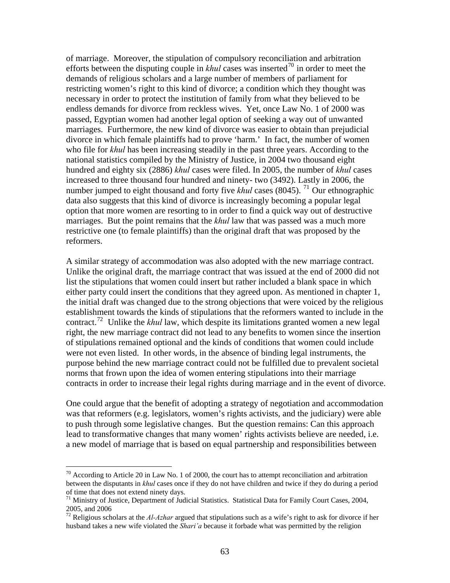of marriage. Moreover, the stipulation of compulsory reconciliation and arbitration efforts between the disputing couple in  $khu$  cases was inserted<sup>[70](#page-63-0)</sup> in order to meet the demands of religious scholars and a large number of members of parliament for restricting women's right to this kind of divorce; a condition which they thought was necessary in order to protect the institution of family from what they believed to be endless demands for divorce from reckless wives. Yet, once Law No. 1 of 2000 was passed, Egyptian women had another legal option of seeking a way out of unwanted marriages. Furthermore, the new kind of divorce was easier to obtain than prejudicial divorce in which female plaintiffs had to prove 'harm.' In fact, the number of women who file for *khul* has been increasing steadily in the past three years. According to the national statistics compiled by the Ministry of Justice, in 2004 two thousand eight hundred and eighty six (2886) *khul* cases were filed. In 2005, the number of *khul* cases increased to three thousand four hundred and ninety- two (3492). Lastly in 2006, the number jumped to eight thousand and forty five *khul* cases (8045). <sup>[71](#page-63-1)</sup> Our ethnographic data also suggests that this kind of divorce is increasingly becoming a popular legal option that more women are resorting to in order to find a quick way out of destructive marriages. But the point remains that the *khul* law that was passed was a much more restrictive one (to female plaintiffs) than the original draft that was proposed by the reformers.

A similar strategy of accommodation was also adopted with the new marriage contract. Unlike the original draft, the marriage contract that was issued at the end of 2000 did not list the stipulations that women could insert but rather included a blank space in which either party could insert the conditions that they agreed upon. As mentioned in chapter 1, the initial draft was changed due to the strong objections that were voiced by the religious establishment towards the kinds of stipulations that the reformers wanted to include in the contract.<sup>[72](#page-63-2)</sup> Unlike the *khul* law, which despite its limitations granted women a new legal right, the new marriage contract did not lead to any benefits to women since the insertion of stipulations remained optional and the kinds of conditions that women could include were not even listed. In other words, in the absence of binding legal instruments, the purpose behind the new marriage contract could not be fulfilled due to prevalent societal norms that frown upon the idea of women entering stipulations into their marriage contracts in order to increase their legal rights during marriage and in the event of divorce.

One could argue that the benefit of adopting a strategy of negotiation and accommodation was that reformers (e.g. legislators, women's rights activists, and the judiciary) were able to push through some legislative changes. But the question remains: Can this approach lead to transformative changes that many women' rights activists believe are needed, i.e. a new model of marriage that is based on equal partnership and responsibilities between

<span id="page-63-0"></span> $70$  According to Article 20 in Law No. 1 of 2000, the court has to attempt reconciliation and arbitration between the disputants in *khul* cases once if they do not have children and twice if they do during a period of time that does not extend ninety days.

<span id="page-63-1"></span><sup>&</sup>lt;sup>71</sup> Ministry of Justice, Department of Judicial Statistics. Statistical Data for Family Court Cases, 2004, 2005, and 2006

<span id="page-63-2"></span><sup>72</sup> Religious scholars at the *Al-Azhar* argued that stipulations such as a wife's right to ask for divorce if her husband takes a new wife violated the *Shari'a* because it forbade what was permitted by the religion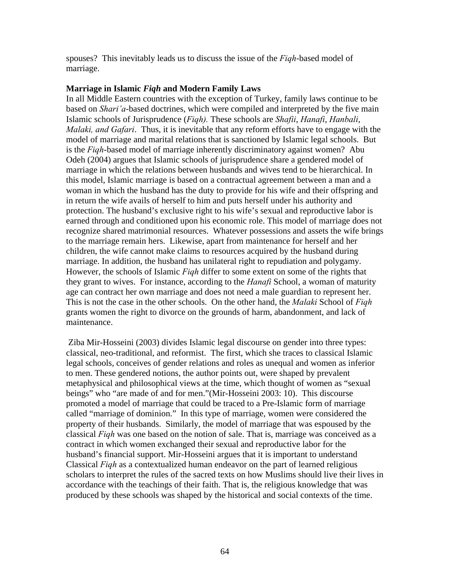spouses? This inevitably leads us to discuss the issue of the *Fiqh*-based model of marriage.

## **Marriage in Islamic** *Fiqh* **and Modern Family Laws**

In all Middle Eastern countries with the exception of Turkey, family laws continue to be based on *Shari'a*-based doctrines, which were compiled and interpreted by the five main Islamic schools of Jurisprudence (*Fiqh).* These schools are *Shafii*, *Hanafi*, *Hanbali*, *Malaki, and Gafari*. Thus, it is inevitable that any reform efforts have to engage with the model of marriage and marital relations that is sanctioned by Islamic legal schools. But is the *Fiqh*-based model of marriage inherently discriminatory against women? Abu Odeh (2004) argues that Islamic schools of jurisprudence share a gendered model of marriage in which the relations between husbands and wives tend to be hierarchical. In this model, Islamic marriage is based on a contractual agreement between a man and a woman in which the husband has the duty to provide for his wife and their offspring and in return the wife avails of herself to him and puts herself under his authority and protection. The husband's exclusive right to his wife's sexual and reproductive labor is earned through and conditioned upon his economic role. This model of marriage does not recognize shared matrimonial resources. Whatever possessions and assets the wife brings to the marriage remain hers. Likewise, apart from maintenance for herself and her children, the wife cannot make claims to resources acquired by the husband during marriage. In addition, the husband has unilateral right to repudiation and polygamy. However, the schools of Islamic *Fiqh* differ to some extent on some of the rights that they grant to wives. For instance, according to the *Hanafi* School, a woman of maturity age can contract her own marriage and does not need a male guardian to represent her. This is not the case in the other schools. On the other hand, the *Malaki* School of *Fiqh* grants women the right to divorce on the grounds of harm, abandonment, and lack of maintenance.

 Ziba Mir-Hosseini (2003) divides Islamic legal discourse on gender into three types: classical, neo-traditional, and reformist. The first, which she traces to classical Islamic legal schools, conceives of gender relations and roles as unequal and women as inferior to men. These gendered notions, the author points out, were shaped by prevalent metaphysical and philosophical views at the time, which thought of women as "sexual beings" who "are made of and for men."(Mir-Hosseini 2003: 10). This discourse promoted a model of marriage that could be traced to a Pre-Islamic form of marriage called "marriage of dominion." In this type of marriage, women were considered the property of their husbands. Similarly, the model of marriage that was espoused by the classical *Fiqh* was one based on the notion of sale. That is, marriage was conceived as a contract in which women exchanged their sexual and reproductive labor for the husband's financial support. Mir-Hosseini argues that it is important to understand Classical *Fiqh* as a contextualized human endeavor on the part of learned religious scholars to interpret the rules of the sacred texts on how Muslims should live their lives in accordance with the teachings of their faith. That is, the religious knowledge that was produced by these schools was shaped by the historical and social contexts of the time.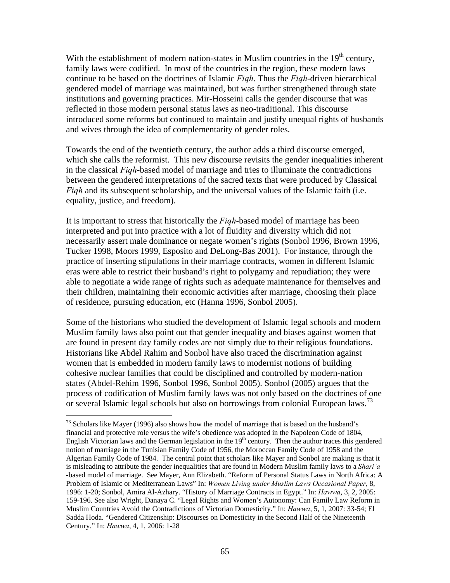With the establishment of modern nation-states in Muslim countries in the  $19<sup>th</sup>$  century, family laws were codified. In most of the countries in the region, these modern laws continue to be based on the doctrines of Islamic *Fiqh*. Thus the *Fiqh*-driven hierarchical gendered model of marriage was maintained, but was further strengthened through state institutions and governing practices. Mir-Hosseini calls the gender discourse that was reflected in those modern personal status laws as neo-traditional. This discourse introduced some reforms but continued to maintain and justify unequal rights of husbands and wives through the idea of complementarity of gender roles.

Towards the end of the twentieth century, the author adds a third discourse emerged, which she calls the reformist. This new discourse revisits the gender inequalities inherent in the classical *Fiqh*-based model of marriage and tries to illuminate the contradictions between the gendered interpretations of the sacred texts that were produced by Classical *Fiqh* and its subsequent scholarship, and the universal values of the Islamic faith (i.e. equality, justice, and freedom).

It is important to stress that historically the *Fiqh*-based model of marriage has been interpreted and put into practice with a lot of fluidity and diversity which did not necessarily assert male dominance or negate women's rights (Sonbol 1996, Brown 1996, Tucker 1998, Moors 1999, Esposito and DeLong-Bas 2001). For instance, through the practice of inserting stipulations in their marriage contracts, women in different Islamic eras were able to restrict their husband's right to polygamy and repudiation; they were able to negotiate a wide range of rights such as adequate maintenance for themselves and their children, maintaining their economic activities after marriage, choosing their place of residence, pursuing education, etc (Hanna 1996, Sonbol 2005).

Some of the historians who studied the development of Islamic legal schools and modern Muslim family laws also point out that gender inequality and biases against women that are found in present day family codes are not simply due to their religious foundations. Historians like Abdel Rahim and Sonbol have also traced the discrimination against women that is embedded in modern family laws to modernist notions of building cohesive nuclear families that could be disciplined and controlled by modern-nation states (Abdel-Rehim 1996, Sonbol 1996, Sonbol 2005). Sonbol (2005) argues that the process of codification of Muslim family laws was not only based on the doctrines of one or several Islamic legal schools but also on borrowings from colonial European laws.<sup>[73](#page-65-0)</sup>

<span id="page-65-0"></span><sup>&</sup>lt;sup>73</sup> Scholars like Mayer (1996) also shows how the model of marriage that is based on the husband's financial and protective role versus the wife's obedience was adopted in the Napoleon Code of 1804, English Victorian laws and the German legislation in the  $19<sup>th</sup>$  century. Then the author traces this gendered notion of marriage in the Tunisian Family Code of 1956, the Moroccan Family Code of 1958 and the Algerian Family Code of 1984. The central point that scholars like Mayer and Sonbol are making is that it is misleading to attribute the gender inequalities that are found in Modern Muslim family laws to a *Shari'a*  -based model of marriage. See Mayer, Ann Elizabeth. "Reform of Personal Status Laws in North Africa: A Problem of Islamic or Mediterranean Laws" In: *Women Living under Muslim Laws Occasional Paper,* 8, 1996: 1-20; Sonbol, Amira Al-Azhary. "History of Marriage Contracts in Egypt." In: *Hawwa*, 3, 2, 2005: 159-196. See also Wright, Danaya C. "Legal Rights and Women's Autonomy: Can Family Law Reform in Muslim Countries Avoid the Contradictions of Victorian Domesticity." In: *Hawwa*, 5, 1, 2007: 33-54; El Sadda Hoda. "Gendered Citizenship: Discourses on Domesticity in the Second Half of the Nineteenth Century." In: *Hawwa*, 4, 1, 2006: 1-28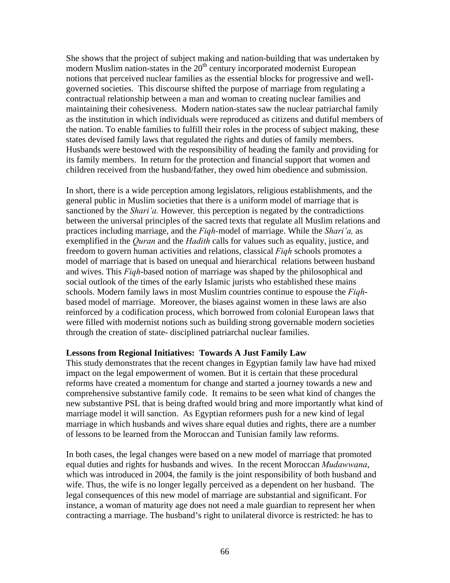She shows that the project of subject making and nation-building that was undertaken by modern Muslim nation-states in the  $20<sup>th</sup>$  century incorporated modernist European notions that perceived nuclear families as the essential blocks for progressive and wellgoverned societies. This discourse shifted the purpose of marriage from regulating a contractual relationship between a man and woman to creating nuclear families and maintaining their cohesiveness. Modern nation-states saw the nuclear patriarchal family as the institution in which individuals were reproduced as citizens and dutiful members of the nation. To enable families to fulfill their roles in the process of subject making, these states devised family laws that regulated the rights and duties of family members. Husbands were bestowed with the responsibility of heading the family and providing for its family members. In return for the protection and financial support that women and children received from the husband/father, they owed him obedience and submission.

In short, there is a wide perception among legislators, religious establishments, and the general public in Muslim societies that there is a uniform model of marriage that is sanctioned by the *Shari'a.* However*,* this perception is negated by the contradictions between the universal principles of the sacred texts that regulate all Muslim relations and practices including marriage, and the *Fiqh-*model of marriage. While the *Shari'a,* as exemplified in the *Quran* and the *Hadith* calls for values such as equality, justice, and freedom to govern human activities and relations, classical *Fiqh* schools promotes a model of marriage that is based on unequal and hierarchical relations between husband and wives. This *Fiqh*-based notion of marriage was shaped by the philosophical and social outlook of the times of the early Islamic jurists who established these mains schools. Modern family laws in most Muslim countries continue to espouse the *Fiqh*based model of marriage. Moreover, the biases against women in these laws are also reinforced by a codification process, which borrowed from colonial European laws that were filled with modernist notions such as building strong governable modern societies through the creation of state- disciplined patriarchal nuclear families.

## **Lessons from Regional Initiatives: Towards A Just Family Law**

This study demonstrates that the recent changes in Egyptian family law have had mixed impact on the legal empowerment of women. But it is certain that these procedural reforms have created a momentum for change and started a journey towards a new and comprehensive substantive family code. It remains to be seen what kind of changes the new substantive PSL that is being drafted would bring and more importantly what kind of marriage model it will sanction. As Egyptian reformers push for a new kind of legal marriage in which husbands and wives share equal duties and rights, there are a number of lessons to be learned from the Moroccan and Tunisian family law reforms.

In both cases, the legal changes were based on a new model of marriage that promoted equal duties and rights for husbands and wives. In the recent Moroccan *Mudawwana*, which was introduced in 2004, the family is the joint responsibility of both husband and wife. Thus, the wife is no longer legally perceived as a dependent on her husband. The legal consequences of this new model of marriage are substantial and significant. For instance, a woman of maturity age does not need a male guardian to represent her when contracting a marriage. The husband's right to unilateral divorce is restricted: he has to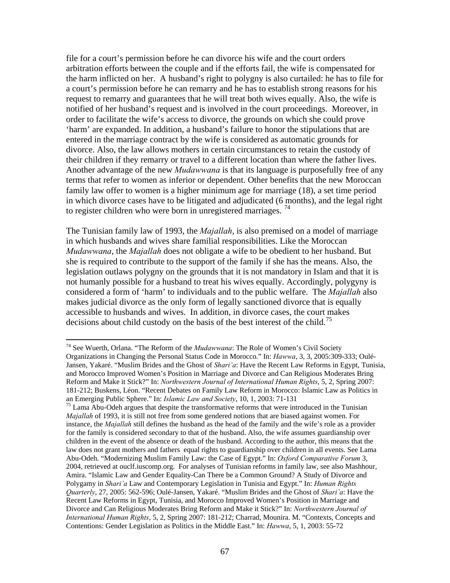file for a court's permission before he can divorce his wife and the court orders arbitration efforts between the couple and if the efforts fail, the wife is compensated for the harm inflicted on her. A husband's right to polygny is also curtailed: he has to file for a court's permission before he can remarry and he has to establish strong reasons for his request to remarry and guarantees that he will treat both wives equally. Also, the wife is notified of her husband's request and is involved in the court proceedings. Moreover, in order to facilitate the wife's access to divorce, the grounds on which she could prove 'harm' are expanded. In addition, a husband's failure to honor the stipulations that are entered in the marriage contract by the wife is considered as automatic grounds for divorce. Also, the law allows mothers in certain circumstances to retain the custody of their children if they remarry or travel to a different location than where the father lives. Another advantage of the new *Mudawwana* is that its language is purposefully free of any terms that refer to women as inferior or dependent. Other benefits that the new Moroccan family law offer to women is a higher minimum age for marriage (18), a set time period in which divorce cases have to be litigated and adjudicated (6 months), and the legal right to register children who were born in unregistered marriages.<sup>[74](#page-67-0)</sup>

The Tunisian family law of 1993, the *Majallah*, is also premised on a model of marriage in which husbands and wives share familial responsibilities. Like the Moroccan *Mudawwana*, the *Majallah* does not obligate a wife to be obedient to her husband. But she is required to contribute to the support of the family if she has the means. Also, the legislation outlaws polygny on the grounds that it is not mandatory in Islam and that it is not humanly possible for a husband to treat his wives equally. Accordingly, polygyny is considered a form of 'harm' to individuals and to the public welfare. The *Majallah* also makes judicial divorce as the only form of legally sanctioned divorce that is equally accessible to husbands and wives. In addition, in divorce cases, the court makes decisions about child custody on the basis of the best interest of the child.<sup>[75](#page-67-1)</sup>

<span id="page-67-0"></span><sup>74</sup> See Wuerth, Orlana. "The Reform of the *Mudawwana*: The Role of Women's Civil Society Organizations in Changing the Personal Status Code in Morocco." In: *Hawwa*, 3, 3, 2005:309-333; Oulé-Jansen, Yakaré. "Muslim Brides and the Ghost of *Shari'a*: Have the Recent Law Reforms in Egypt, Tunisia, and Morocco Improved Women's Position in Marriage and Divorce and Can Religious Moderates Bring Reform and Make it Stick?" In: *Northwestern Journal of International Human Rights*, 5, 2, Spring 2007: 181-212; Buskens, Léon. "Recent Debates on Family Law Reform in Morocco: Islamic Law as Politics in an Emerging Public Sphere." In: *Islamic Law and Society*, 10, 1, 2003: 71-131

<span id="page-67-1"></span><sup>&</sup>lt;sup>75</sup> Lama Abu-Odeh argues that despite the transformative reforms that were introduced in the Tunisian *Majallah* of 1993, it is still not free from some gendered notions that are biased against women. For instance, the *Majallah* still defines the husband as the head of the family and the wife's role as a provider for the family is considered secondary to that of the husband. Also, the wife assumes guardianship over children in the event of the absence or death of the husband. According to the author, this means that the law does not grant mothers and fathers equal rights to guardianship over children in all events. See Lama Abu-Odeh. "Modernizing Muslim Family Law: the Case of Egypt." In: *Oxford Comparative Forum* 3, 2004, retrieved at ouclf.iuscomp.org. For analyses of Tunisian reforms in family law, see also Mashhour, Amira. "Islamic Law and Gender Equality-Can There be a Common Ground? A Study of Divorce and Polygamy in *Shari'a* Law and Contemporary Legislation in Tunisia and Egypt." In: *Human Rights Quarterly*, 27, 2005: 562-596; Oulé-Jansen, Yakaré. "Muslim Brides and the Ghost of *Shari'a*: Have the Recent Law Reforms in Egypt, Tunisia, and Morocco Improved Women's Position in Marriage and Divorce and Can Religious Moderates Bring Reform and Make it Stick?" In: *Northwestern Journal of International Human Rights*, 5, 2, Spring 2007: 181-212; Charrad, Mounira. M. "Contexts, Concepts and Contentions: Gender Legislation as Politics in the Middle East." In: *Hawwa*, 5, 1, 2003: 55-72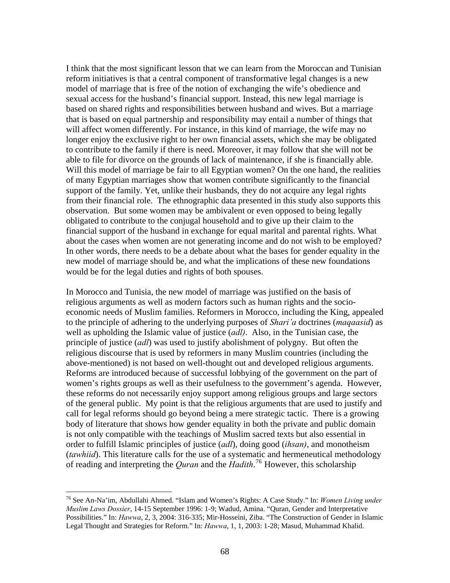I think that the most significant lesson that we can learn from the Moroccan and Tunisian reform initiatives is that a central component of transformative legal changes is a new model of marriage that is free of the notion of exchanging the wife's obedience and sexual access for the husband's financial support. Instead, this new legal marriage is based on shared rights and responsibilities between husband and wives. But a marriage that is based on equal partnership and responsibility may entail a number of things that will affect women differently. For instance, in this kind of marriage, the wife may no longer enjoy the exclusive right to her own financial assets, which she may be obligated to contribute to the family if there is need. Moreover, it may follow that she will not be able to file for divorce on the grounds of lack of maintenance, if she is financially able. Will this model of marriage be fair to all Egyptian women? On the one hand, the realities of many Egyptian marriages show that women contribute significantly to the financial support of the family. Yet, unlike their husbands, they do not acquire any legal rights from their financial role. The ethnographic data presented in this study also supports this observation. But some women may be ambivalent or even opposed to being legally obligated to contribute to the conjugal household and to give up their claim to the financial support of the husband in exchange for equal marital and parental rights. What about the cases when women are not generating income and do not wish to be employed? In other words, there needs to be a debate about what the bases for gender equality in the new model of marriage should be, and what the implications of these new foundations would be for the legal duties and rights of both spouses.

In Morocco and Tunisia, the new model of marriage was justified on the basis of religious arguments as well as modern factors such as human rights and the socioeconomic needs of Muslim families. Reformers in Morocco, including the King, appealed to the principle of adhering to the underlying purposes of *Shari'a* doctrines (*maqaasid*) as well as upholding the Islamic value of justice (*adl)*. Also, in the Tunisian case, the principle of justice (*adl*) was used to justify abolishment of polygny. But often the religious discourse that is used by reformers in many Muslim countries (including the above-mentioned) is not based on well-thought out and developed religious arguments. Reforms are introduced because of successful lobbying of the government on the part of women's rights groups as well as their usefulness to the government's agenda. However, these reforms do not necessarily enjoy support among religious groups and large sectors of the general public. My point is that the religious arguments that are used to justify and call for legal reforms should go beyond being a mere strategic tactic. There is a growing body of literature that shows how gender equality in both the private and public domain is not only compatible with the teachings of Muslim sacred texts but also essential in order to fulfill Islamic principles of justice (*adl*), doing good (*ihsan)*, and monotheism (*tawhiid*). This literature calls for the use of a systematic and hermeneutical methodology of reading and interpreting the *Quran* and the *Hadith*. [76](#page-68-0) However, this scholarship

<span id="page-68-0"></span><sup>76</sup> See An-Na'im, Abdullahi Ahmed. "Islam and Women's Rights: A Case Study." In: *Women Living under Muslim Laws Dossier*, 14-15 September 1996: 1-9; Wadud, Amina. "Quran, Gender and Interpretative Possibilities." In: *Hawwa*, 2, 3, 2004: 316-335; Mir-Hosseini, Ziba. "The Construction of Gender in Islamic Legal Thought and Strategies for Reform." In: *Hawwa*, 1, 1, 2003: 1-28; Masud, Muhammad Khalid.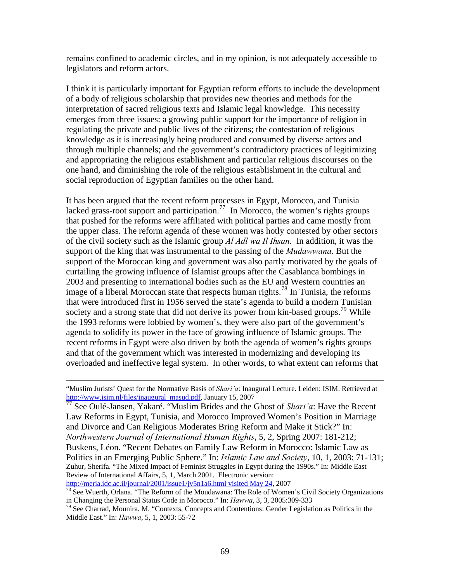remains confined to academic circles, and in my opinion, is not adequately accessible to legislators and reform actors.

I think it is particularly important for Egyptian reform efforts to include the development of a body of religious scholarship that provides new theories and methods for the interpretation of sacred religious texts and Islamic legal knowledge. This necessity emerges from three issues: a growing public support for the importance of religion in regulating the private and public lives of the citizens; the contestation of religious knowledge as it is increasingly being produced and consumed by diverse actors and through multiple channels; and the government's contradictory practices of legitimizing and appropriating the religious establishment and particular religious discourses on the one hand, and diminishing the role of the religious establishment in the cultural and social reproduction of Egyptian families on the other hand.

It has been argued that the recent reform processes in Egypt, Morocco, and Tunisia lacked grass-root support and participation.<sup>[77](#page-69-0)</sup> In Morocco, the women's rights groups that pushed for the reforms were affiliated with political parties and came mostly from the upper class. The reform agenda of these women was hotly contested by other sectors of the civil society such as the Islamic group *Al Adl wa Il Ihsan.* In addition, it was the support of the king that was instrumental to the passing of the *Mudawwana*. But the support of the Moroccan king and government was also partly motivated by the goals of curtailing the growing influence of Islamist groups after the Casablanca bombings in 2003 and presenting to international bodies such as the EU and Western countries an image of a liberal Moroccan state that respects human rights.<sup>[78](#page-69-1)</sup> In Tunisia, the reforms that were introduced first in 1956 served the state's agenda to build a modern Tunisian society and a strong state that did not derive its power from kin-based groups.<sup>[79](#page-69-2)</sup> While the 1993 reforms were lobbied by women's, they were also part of the government's agenda to solidify its power in the face of growing influence of Islamic groups. The recent reforms in Egypt were also driven by both the agenda of women's rights groups and that of the government which was interested in modernizing and developing its overloaded and ineffective legal system. In other words, to what extent can reforms that

<span id="page-69-0"></span>See Oulé-Jansen, Yakaré. "Muslim Brides and the Ghost of *Shari'a*: Have the Recent Law Reforms in Egypt, Tunisia, and Morocco Improved Women's Position in Marriage and Divorce and Can Religious Moderates Bring Reform and Make it Stick?" In: *Northwestern Journal of International Human Rights*, 5, 2, Spring 2007: 181-212; Buskens, Léon. "Recent Debates on Family Law Reform in Morocco: Islamic Law as Politics in an Emerging Public Sphere." In: *Islamic Law and Society*, 10, 1, 2003: 71-131; Zuhur, Sherifa. "The Mixed Impact of Feminist Struggles in Egypt during the 1990s." In: Middle East Review of International Affairs, 5, 1, March 2001. Electronic version:<br>http://meria.idc.ac.il/journal/2001/issue1/jv5n1a6.html visited May 24, 2007

 <sup>&</sup>quot;Muslim Jurists' Quest for the Normative Basis of *Shari'a*: Inaugural Lecture. Leiden: ISIM. Retrieved at [http://www.isim.nl/files/inaugural\\_masud.pdf](http://www.isim.nl/files/inaugural_masud.pdf), January 15, 2007<br>
The Oulé January 15, 2007

<span id="page-69-1"></span> $\frac{1}{78}$  $\frac{1}{78}$  $\frac{1}{78}$  See Wuerth, Orlana. "The Reform of the Moudawana: The Role of Women's Civil Society Organizations in Changing the Personal Status Code in Morocco." In: *Hawwa*, 3, 3, 2005:309-333<br><sup>79</sup> See Charrad, Mounira. M. "Contexts, Concepts and Contentions: Gender Legislation as Politics in the

<span id="page-69-2"></span>Middle East." In: *Hawwa*, 5, 1, 2003: 55-72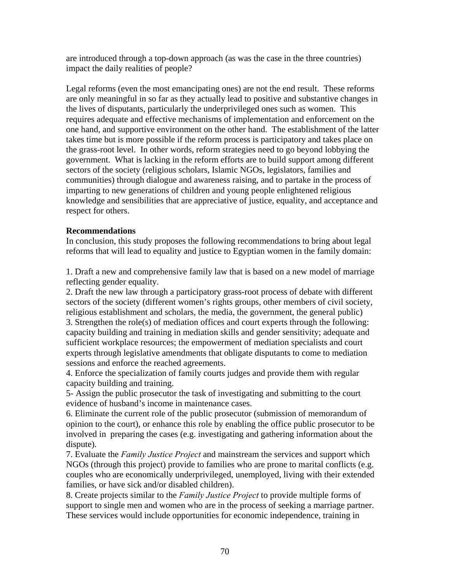are introduced through a top-down approach (as was the case in the three countries) impact the daily realities of people?

Legal reforms (even the most emancipating ones) are not the end result. These reforms are only meaningful in so far as they actually lead to positive and substantive changes in the lives of disputants, particularly the underprivileged ones such as women. This requires adequate and effective mechanisms of implementation and enforcement on the one hand, and supportive environment on the other hand. The establishment of the latter takes time but is more possible if the reform process is participatory and takes place on the grass-root level. In other words, reform strategies need to go beyond lobbying the government. What is lacking in the reform efforts are to build support among different sectors of the society (religious scholars, Islamic NGOs, legislators, families and communities) through dialogue and awareness raising, and to partake in the process of imparting to new generations of children and young people enlightened religious knowledge and sensibilities that are appreciative of justice, equality, and acceptance and respect for others.

# **Recommendations**

In conclusion, this study proposes the following recommendations to bring about legal reforms that will lead to equality and justice to Egyptian women in the family domain:

1. Draft a new and comprehensive family law that is based on a new model of marriage reflecting gender equality.

2. Draft the new law through a participatory grass-root process of debate with different sectors of the society (different women's rights groups, other members of civil society, religious establishment and scholars, the media, the government, the general public) 3. Strengthen the role(s) of mediation offices and court experts through the following: capacity building and training in mediation skills and gender sensitivity; adequate and sufficient workplace resources; the empowerment of mediation specialists and court experts through legislative amendments that obligate disputants to come to mediation sessions and enforce the reached agreements.

4. Enforce the specialization of family courts judges and provide them with regular capacity building and training.

5- Assign the public prosecutor the task of investigating and submitting to the court evidence of husband's income in maintenance cases.

6. Eliminate the current role of the public prosecutor (submission of memorandum of opinion to the court), or enhance this role by enabling the office public prosecutor to be involved in preparing the cases (e.g. investigating and gathering information about the dispute).

7. Evaluate the *Family Justice Project* and mainstream the services and support which NGOs (through this project) provide to families who are prone to marital conflicts (e.g. couples who are economically underprivileged, unemployed, living with their extended families, or have sick and/or disabled children).

8. Create projects similar to the *Family Justice Project* to provide multiple forms of support to single men and women who are in the process of seeking a marriage partner. These services would include opportunities for economic independence, training in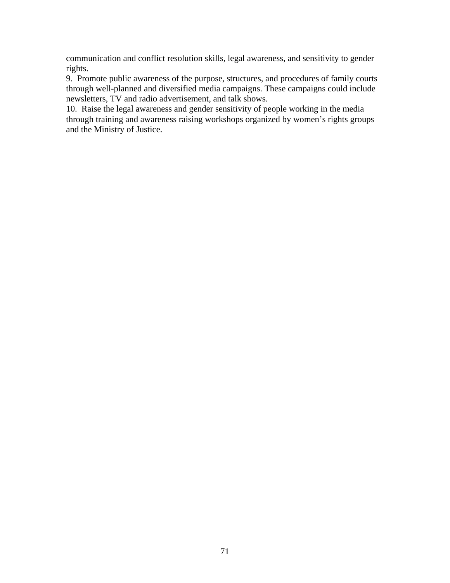communication and conflict resolution skills, legal awareness, and sensitivity to gender rights.

9. Promote public awareness of the purpose, structures, and procedures of family courts through well-planned and diversified media campaigns. These campaigns could include newsletters, TV and radio advertisement, and talk shows.

10. Raise the legal awareness and gender sensitivity of people working in the media through training and awareness raising workshops organized by women's rights groups and the Ministry of Justice.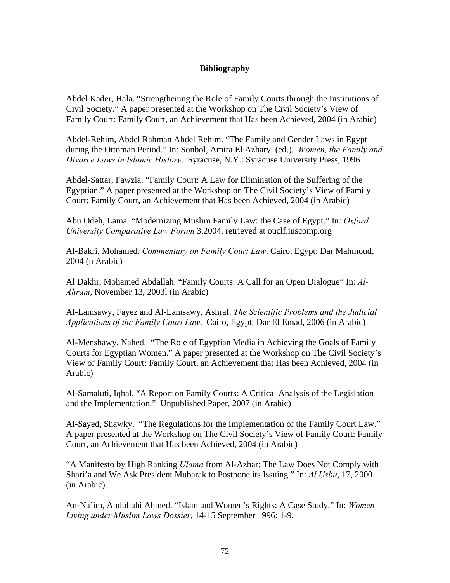## **Bibliography**

Abdel Kader, Hala. "Strengthening the Role of Family Courts through the Institutions of Civil Society." A paper presented at the Workshop on The Civil Society's View of Family Court: Family Court, an Achievement that Has been Achieved, 2004 (in Arabic)

Abdel-Rehim, Abdel Rahman Abdel Rehim. "The Family and Gender Laws in Egypt during the Ottoman Period." In: Sonbol, Amira El Azhary. (ed.). *Women, the Family and Divorce Laws in Islamic History*. Syracuse, N.Y.: Syracuse University Press, 1996

Abdel-Sattar, Fawzia. "Family Court: A Law for Elimination of the Suffering of the Egyptian." A paper presented at the Workshop on The Civil Society's View of Family Court: Family Court, an Achievement that Has been Achieved, 2004 (in Arabic)

Abu Odeh, Lama. "Modernizing Muslim Family Law: the Case of Egypt." In: *Oxford University Comparative Law Forum* 3,2004, retrieved at ouclf.iuscomp.org

Al-Bakri, Mohamed. *Commentary on Family Court Law*. Cairo, Egypt: Dar Mahmoud, 2004 (n Arabic)

Al Dakhr, Mohamed Abdallah. "Family Courts: A Call for an Open Dialogue" In: *Al-Ahram*, November 13, 2003l (in Arabic)

Al-Lamsawy, Fayez and Al-Lamsawy, Ashraf. *The Scientific Problems and the Judicial Applications of the Family Court Law*. Cairo, Egypt: Dar El Emad, 2006 (in Arabic)

Al-Menshawy, Nahed. "The Role of Egyptian Media in Achieving the Goals of Family Courts for Egyptian Women." A paper presented at the Workshop on The Civil Society's View of Family Court: Family Court, an Achievement that Has been Achieved, 2004 (in Arabic)

Al-Samaluti, Iqbal. "A Report on Family Courts: A Critical Analysis of the Legislation and the Implementation." Unpublished Paper, 2007 (in Arabic)

Al-Sayed, Shawky. "The Regulations for the Implementation of the Family Court Law." A paper presented at the Workshop on The Civil Society's View of Family Court: Family Court, an Achievement that Has been Achieved, 2004 (in Arabic)

"A Manifesto by High Ranking *Ulama* from Al-Azhar: The Law Does Not Comply with Shari'a and We Ask President Mubarak to Postpone its Issuing." In: *Al Usbu*, 17, 2000 (in Arabic)

An-Na'im, Abdullahi Ahmed. "Islam and Women's Rights: A Case Study." In: *Women Living under Muslim Laws Dossier*, 14-15 September 1996: 1-9.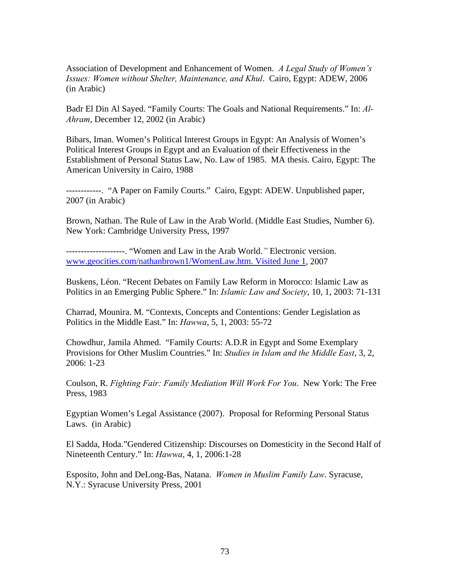Association of Development and Enhancement of Women. *A Legal Study of Women's Issues: Women without Shelter, Maintenance, and Khul*. Cairo, Egypt: ADEW, 2006 (in Arabic)

Badr El Din Al Sayed. "Family Courts: The Goals and National Requirements." In: *Al-Ahram*, December 12, 2002 (in Arabic)

Bibars, Iman. Women's Political Interest Groups in Egypt: An Analysis of Women's Political Interest Groups in Egypt and an Evaluation of their Effectiveness in the Establishment of Personal Status Law, No. Law of 1985. MA thesis. Cairo, Egypt: The American University in Cairo, 1988

------------. "A Paper on Family Courts." Cairo, Egypt: ADEW. Unpublished paper, 2007 (in Arabic)

Brown, Nathan. The Rule of Law in the Arab World. (Middle East Studies, Number 6). New York: Cambridge University Press, 1997

--------------------. "Women and Law in the Arab World.*"* Electronic version. [www.geocities.com/nathanbrown1/WomenLaw.htm. Visited June 1](http://www.geocities.com/nathanbrown1/WomenLaw.htm.%20Visited%20June%201), 2007

Buskens, Léon. "Recent Debates on Family Law Reform in Morocco: Islamic Law as Politics in an Emerging Public Sphere." In: *Islamic Law and Society*, 10, 1, 2003: 71-131

Charrad, Mounira. M. "Contexts, Concepts and Contentions: Gender Legislation as Politics in the Middle East." In: *Hawwa*, 5, 1, 2003: 55-72

Chowdhur, Jamila Ahmed. "Family Courts: A.D.R in Egypt and Some Exemplary Provisions for Other Muslim Countries." In: *Studies in Islam and the Middle East*, 3, 2, 2006: 1-23

Coulson, R. *Fighting Fair: Family Mediation Will Work For You*. New York: The Free Press, 1983

Egyptian Women's Legal Assistance (2007). Proposal for Reforming Personal Status Laws. (in Arabic)

El Sadda, Hoda."Gendered Citizenship: Discourses on Domesticity in the Second Half of Nineteenth Century." In: *Hawwa*, 4, 1, 2006:1-28

Esposito, John and DeLong-Bas, Natana. *Women in Muslim Family Law*. Syracuse, N.Y.: Syracuse University Press, 2001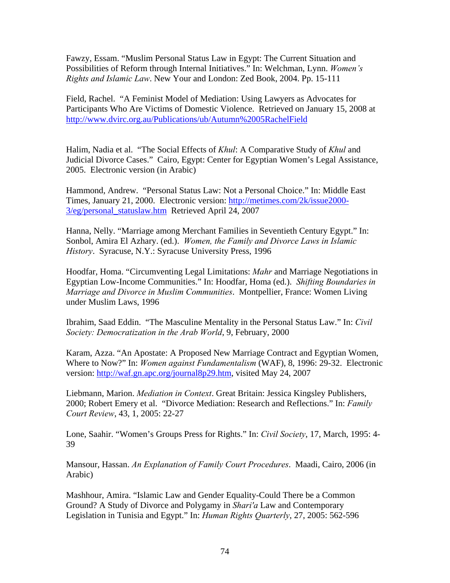Fawzy, Essam. "Muslim Personal Status Law in Egypt: The Current Situation and Possibilities of Reform through Internal Initiatives." In: Welchman, Lynn. *Women's Rights and Islamic Law*. New Your and London: Zed Book, 2004. Pp. 15-111

Field, Rachel. "A Feminist Model of Mediation: Using Lawyers as Advocates for Participants Who Are Victims of Domestic Violence. Retrieved on January 15, 2008 at <http://www.dvirc.org.au/Publications/ub/Autumn%2005RachelField>

Halim, Nadia et al. "The Social Effects of *Khul*: A Comparative Study of *Khul* and Judicial Divorce Cases." Cairo, Egypt: Center for Egyptian Women's Legal Assistance, 2005. Electronic version (in Arabic)

Hammond, Andrew. "Personal Status Law: Not a Personal Choice." In: Middle East Times, January 21, 2000. Electronic version: [http://metimes.com/2k/issue2000-](http://metimes.com/2k/issue2000-3/eg/personal_statuslaw.htm) [3/eg/personal\\_statuslaw.htm](http://metimes.com/2k/issue2000-3/eg/personal_statuslaw.htm) Retrieved April 24, 2007

Hanna, Nelly. "Marriage among Merchant Families in Seventieth Century Egypt." In: Sonbol, Amira El Azhary. (ed.). *Women, the Family and Divorce Laws in Islamic History*. Syracuse, N.Y.: Syracuse University Press, 1996

Hoodfar, Homa. "Circumventing Legal Limitations: *Mahr* and Marriage Negotiations in Egyptian Low-Income Communities." In: Hoodfar, Homa (ed.). *Shifting Boundaries in Marriage and Divorce in Muslim Communities*. Montpellier, France: Women Living under Muslim Laws, 1996

Ibrahim, Saad Eddin. "The Masculine Mentality in the Personal Status Law." In: *Civil Society: Democratization in the Arab World*, 9, February, 2000

Karam, Azza. "An Apostate: A Proposed New Marriage Contract and Egyptian Women, Where to Now?" In: *Women against Fundamentalism* (WAF), 8, 1996: 29-32. Electronic version: [http://waf.gn.apc.org/journal8p29.htm,](http://waf.gn.apc.org/journal8p29.htm) visited May 24, 2007

Liebmann, Marion. *Mediation in Context*. Great Britain: Jessica Kingsley Publishers, 2000; Robert Emery et al. "Divorce Mediation: Research and Reflections." In: *Family Court Review*, 43, 1, 2005: 22-27

Lone, Saahir. "Women's Groups Press for Rights." In: *Civil Society*, 17, March, 1995: 4- 39

Mansour, Hassan. *An Explanation of Family Court Procedures*. Maadi, Cairo, 2006 (in Arabic)

Mashhour, Amira. "Islamic Law and Gender Equality-Could There be a Common Ground? A Study of Divorce and Polygamy in *Shari'a* Law and Contemporary Legislation in Tunisia and Egypt." In: *Human Rights Quarterly*, 27, 2005: 562-596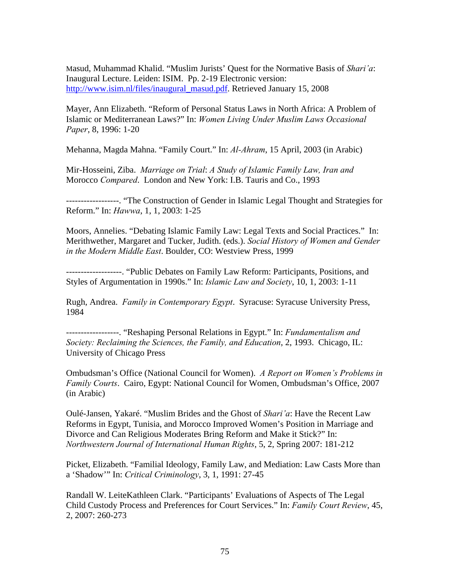Masud, Muhammad Khalid. "Muslim Jurists' Quest for the Normative Basis of *Shari'a*: Inaugural Lecture. Leiden: ISIM. Pp. 2-19 Electronic version: [http://www.isim.nl/files/inaugural\\_masud.pdf.](http://www.isim.nl/files/inaugural_masud.pdf) Retrieved January 15, 2008

Mayer, Ann Elizabeth. "Reform of Personal Status Laws in North Africa: A Problem of Islamic or Mediterranean Laws?" In: *Women Living Under Muslim Laws Occasional Paper*, 8, 1996: 1-20

Mehanna, Magda Mahna. "Family Court." In: *Al-Ahram*, 15 April, 2003 (in Arabic)

Mir-Hosseini, Ziba. *Marriage on Trial*: *A Study of Islamic Family Law, Iran and* Morocco *Compared*. London and New York: I.B. Tauris and Co., 1993

------------------. "The Construction of Gender in Islamic Legal Thought and Strategies for Reform." In: *Hawwa*, 1, 1, 2003: 1-25

Moors, Annelies. "Debating Islamic Family Law: Legal Texts and Social Practices." In: Merithwether, Margaret and Tucker, Judith. (eds.). *Social History of Women and Gender in the Modern Middle East*. Boulder, CO: Westview Press, 1999

-------------------. "Public Debates on Family Law Reform: Participants, Positions, and Styles of Argumentation in 1990s." In: *Islamic Law and Society*, 10, 1, 2003: 1-11

Rugh, Andrea. *Family in Contemporary Egypt*. Syracuse: Syracuse University Press, 1984

------------------. "Reshaping Personal Relations in Egypt." In: *Fundamentalism and Society: Reclaiming the Sciences, the Family, and Education*, 2, 1993. Chicago, IL: University of Chicago Press

Ombudsman's Office (National Council for Women). *A Report on Women's Problems in Family Courts*. Cairo, Egypt: National Council for Women, Ombudsman's Office, 2007 (in Arabic)

Oulé-Jansen, Yakaré. "Muslim Brides and the Ghost of *Shari'a*: Have the Recent Law Reforms in Egypt, Tunisia, and Morocco Improved Women's Position in Marriage and Divorce and Can Religious Moderates Bring Reform and Make it Stick?" In: *Northwestern Journal of International Human Rights*, 5, 2, Spring 2007: 181-212

Picket, Elizabeth. "Familial Ideology, Family Law, and Mediation: Law Casts More than a 'Shadow'" In: *Critical Criminology*, 3, 1, 1991: 27-45

Randall W. LeiteKathleen Clark. "Participants' Evaluations of Aspects of The Legal Child Custody Process and Preferences for Court Services." In: *Family Court Review*, 45, 2, 2007: 260-273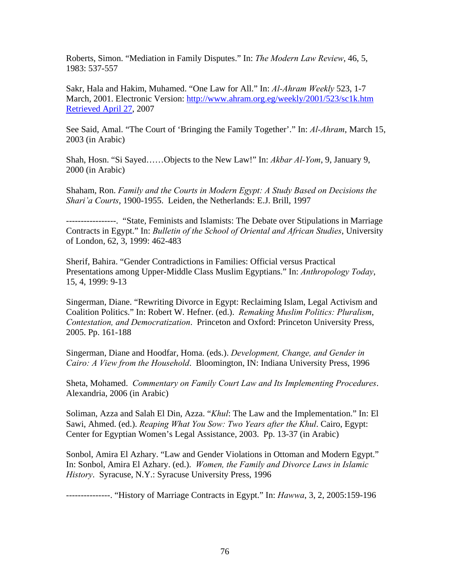Roberts, Simon. "Mediation in Family Disputes." In: *The Modern Law Review*, 46, 5, 1983: 537-557

Sakr, Hala and Hakim, Muhamed. "One Law for All." In: *Al-Ahram Weekly* 523, 1-7 March, 2001. Electronic Version: [http://www.ahram.org.eg/weekly/2001/523/sc1k.htm](http://www.ahram.org.eg/weekly/2001/523/sc1k.htm%20Retrieved%20April%2027)  [Retrieved April 27](http://www.ahram.org.eg/weekly/2001/523/sc1k.htm%20Retrieved%20April%2027), 2007

See Said, Amal. "The Court of 'Bringing the Family Together'." In: *Al-Ahram*, March 15, 2003 (in Arabic)

Shah, Hosn. "Si Sayed……Objects to the New Law!" In: *Akbar Al-Yom*, 9, January 9, 2000 (in Arabic)

Shaham, Ron. *Family and the Courts in Modern Egypt: A Study Based on Decisions the Shari'a Courts*, 1900-1955. Leiden, the Netherlands: E.J. Brill, 1997

-----------------. "State, Feminists and Islamists: The Debate over Stipulations in Marriage Contracts in Egypt." In: *Bulletin of the School of Oriental and African Studies*, University of London, 62, 3, 1999: 462-483

Sherif, Bahira. "Gender Contradictions in Families: Official versus Practical Presentations among Upper-Middle Class Muslim Egyptians." In: *Anthropology Today*, 15, 4, 1999: 9-13

Singerman, Diane. "Rewriting Divorce in Egypt: Reclaiming Islam, Legal Activism and Coalition Politics." In: Robert W. Hefner. (ed.). *Remaking Muslim Politics: Pluralism*, *Contestation, and Democratization*. Princeton and Oxford: Princeton University Press, 2005. Pp. 161-188

Singerman, Diane and Hoodfar, Homa. (eds.). *Development, Change, and Gender in Cairo: A View from the Household*. Bloomington, IN: Indiana University Press, 1996

Sheta, Mohamed. *Commentary on Family Court Law and Its Implementing Procedures*. Alexandria, 2006 (in Arabic)

Soliman, Azza and Salah El Din, Azza. "*Khul*: The Law and the Implementation." In: El Sawi, Ahmed. (ed.). *Reaping What You Sow: Two Years after the Khul*. Cairo, Egypt: Center for Egyptian Women's Legal Assistance, 2003. Pp. 13-37 (in Arabic)

Sonbol, Amira El Azhary. "Law and Gender Violations in Ottoman and Modern Egypt." In: Sonbol, Amira El Azhary. (ed.). *Women, the Family and Divorce Laws in Islamic History*. Syracuse, N.Y.: Syracuse University Press, 1996

---------------. "History of Marriage Contracts in Egypt." In: *Hawwa*, 3, 2, 2005:159-196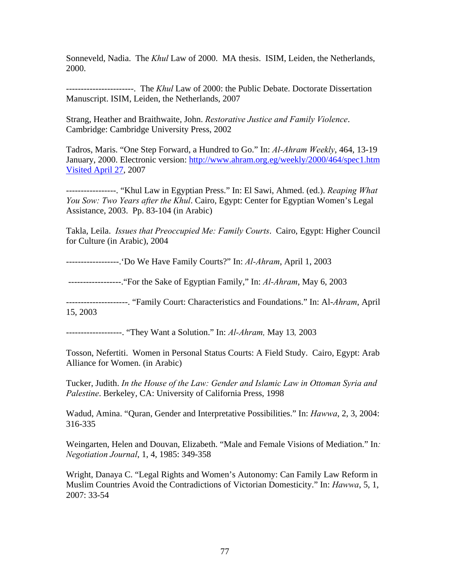Sonneveld, Nadia. The *Khul* Law of 2000. MA thesis. ISIM, Leiden, the Netherlands, 2000.

-----------------------. The *Khul* Law of 2000: the Public Debate. Doctorate Dissertation Manuscript. ISIM, Leiden, the Netherlands, 2007

Strang, Heather and Braithwaite, John. *Restorative Justice and Family Violence*. Cambridge: Cambridge University Press, 2002

Tadros, Maris. "One Step Forward, a Hundred to Go." In: *Al-Ahram Weekly*, 464, 13-19 January, 2000. Electronic version: [http://www.ahram.org.eg/weekly/2000/464/spec1.htm](http://www.ahram.org.eg/weekly/2000/464/spec1.htm%20Visited%20April%2027)  [Visited April 27](http://www.ahram.org.eg/weekly/2000/464/spec1.htm%20Visited%20April%2027), 2007

-----------------. "Khul Law in Egyptian Press." In: El Sawi, Ahmed. (ed.). *Reaping What You Sow: Two Years after the Khul*. Cairo, Egypt: Center for Egyptian Women's Legal Assistance, 2003. Pp. 83-104 (in Arabic)

Takla, Leila. *Issues that Preoccupied Me: Family Courts*. Cairo, Egypt: Higher Council for Culture (in Arabic), 2004

------------------.'Do We Have Family Courts?" In: *Al-Ahram*, April 1, 2003

------------------."For the Sake of Egyptian Family," In: *Al-Ahram*, May 6, 2003

---------------------. "Family Court: Characteristics and Foundations." In: Al-*Ahram*, April 15, 2003

-------------------. "They Want a Solution." In: *Al-Ahram,* May 13*,* 2003

Tosson, Nefertiti. Women in Personal Status Courts: A Field Study. Cairo, Egypt: Arab Alliance for Women. (in Arabic)

Tucker, Judith. *In the House of the Law: Gender and Islamic Law in Ottoman Syria and Palestine*. Berkeley, CA: University of California Press, 1998

Wadud, Amina. "Quran, Gender and Interpretative Possibilities." In: *Hawwa*, 2, 3, 2004: 316-335

Weingarten, Helen and Douvan, Elizabeth. "Male and Female Visions of Mediation." In*: Negotiation Journal*, 1, 4, 1985: 349-358

Wright, Danaya C. "Legal Rights and Women's Autonomy: Can Family Law Reform in Muslim Countries Avoid the Contradictions of Victorian Domesticity." In: *Hawwa*, 5, 1, 2007: 33-54